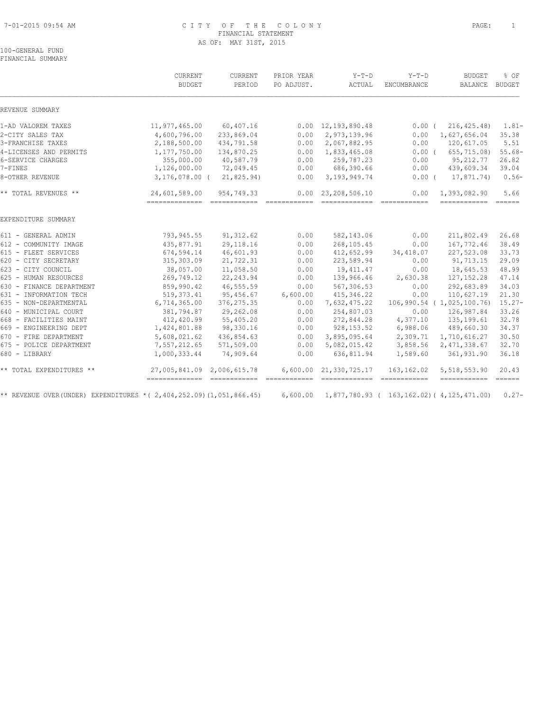#### 7-01-2015 09:54 AM C I T Y O F T H E C O L O N Y PAGE: 1 FINANCIAL STATEMENT AS OF: MAY 31ST, 2015

# 100-GENERAL FUND

FINANCIAL SUMMARY

|                                                                           | CURRENT                    | CURRENT     | PRIOR YEAR | $Y-T-D$                                            | $Y-T-D$     | <b>BUDGET</b>                                                                                                                                                                                                                                                                                                                                                                                                                                                                                | $8$ OF        |
|---------------------------------------------------------------------------|----------------------------|-------------|------------|----------------------------------------------------|-------------|----------------------------------------------------------------------------------------------------------------------------------------------------------------------------------------------------------------------------------------------------------------------------------------------------------------------------------------------------------------------------------------------------------------------------------------------------------------------------------------------|---------------|
|                                                                           | <b>BUDGET</b>              | PERIOD      | PO ADJUST. | ACTUAL                                             | ENCUMBRANCE | <b>BALANCE</b>                                                                                                                                                                                                                                                                                                                                                                                                                                                                               | <b>BUDGET</b> |
| REVENUE SUMMARY                                                           |                            |             |            |                                                    |             |                                                                                                                                                                                                                                                                                                                                                                                                                                                                                              |               |
| 1-AD VALOREM TAXES                                                        | 11,977,465.00              | 60,407.16   |            | $0.00 \quad 12,193,890.48$                         | $0.00$ (    | 216, 425.48)                                                                                                                                                                                                                                                                                                                                                                                                                                                                                 | $1.81 -$      |
| 2-CITY SALES TAX                                                          | 4,600,796.00               | 233,869.04  | 0.00       | 2,973,139.96                                       | 0.00        | 1,627,656.04                                                                                                                                                                                                                                                                                                                                                                                                                                                                                 | 35.38         |
| 3-FRANCHISE TAXES                                                         | 2,188,500.00               | 434,791.58  | 0.00       | 2,067,882.95                                       | 0.00        | 120,617.05                                                                                                                                                                                                                                                                                                                                                                                                                                                                                   | 5.51          |
| 4-LICENSES AND PERMITS                                                    | 1,177,750.00               | 134,870.25  | 0.00       | 1,833,465.08                                       | $0.00$ (    | 655,715.08)                                                                                                                                                                                                                                                                                                                                                                                                                                                                                  | $55.68-$      |
| 6-SERVICE CHARGES                                                         | 355,000.00                 | 40,587.79   | 0.00       | 259,787.23                                         | 0.00        | 95,212.77                                                                                                                                                                                                                                                                                                                                                                                                                                                                                    | 26.82         |
| 7-FINES                                                                   | 1,126,000.00               | 72,049.45   | 0.00       | 686,390.66                                         | 0.00        | 439,609.34                                                                                                                                                                                                                                                                                                                                                                                                                                                                                   | 39.04         |
| 8-OTHER REVENUE                                                           | $3,176,078.00$ (           | 21,825.94)  | 0.00       | 3, 193, 949.74                                     | $0.00$ (    | 17,871.74)                                                                                                                                                                                                                                                                                                                                                                                                                                                                                   | $0.56-$       |
| ** TOTAL REVENUES **                                                      | 24,601,589.00              | 954,749.33  |            | $0.00 \quad 23,208,506.10$                         | 0.00        | 1,393,082.90                                                                                                                                                                                                                                                                                                                                                                                                                                                                                 | 5.66          |
| EXPENDITURE SUMMARY                                                       |                            |             |            |                                                    |             |                                                                                                                                                                                                                                                                                                                                                                                                                                                                                              |               |
| 611 - GENERAL ADMIN                                                       | 793,945.55                 | 91, 312.62  | 0.00       | 582,143.06                                         | 0.00        | 211,802.49                                                                                                                                                                                                                                                                                                                                                                                                                                                                                   | 26.68         |
| 612 - COMMUNITY IMAGE                                                     | 435,877.91                 | 29, 118.16  | 0.00       | 268,105.45                                         | 0.00        | 167,772.46                                                                                                                                                                                                                                                                                                                                                                                                                                                                                   | 38.49         |
| 615 - FLEET SERVICES                                                      | 674,594.14                 | 46,601.93   | 0.00       | 412,652.99                                         | 34,418.07   | 227,523.08                                                                                                                                                                                                                                                                                                                                                                                                                                                                                   | 33.73         |
| 620 - CITY SECRETARY                                                      | 315, 303.09                | 21,722.31   | 0.00       | 223,589.94                                         | 0.00        | 91,713.15                                                                                                                                                                                                                                                                                                                                                                                                                                                                                    | 29.09         |
| 623 - CITY COUNCIL                                                        | 38,057.00                  | 11,058.50   | 0.00       | 19, 411. 47                                        | 0.00        | 18,645.53                                                                                                                                                                                                                                                                                                                                                                                                                                                                                    | 48.99         |
| 625 - HUMAN RESOURCES                                                     | 269,749.12                 | 22, 243.94  | 0.00       | 139,966.46                                         | 2,630.38    | 127, 152.28                                                                                                                                                                                                                                                                                                                                                                                                                                                                                  | 47.14         |
| 630 - FINANCE DEPARTMENT                                                  | 859,990.42                 | 46,555.59   | 0.00       | 567,306.53                                         | 0.00        | 292,683.89                                                                                                                                                                                                                                                                                                                                                                                                                                                                                   | 34.03         |
| 631 - INFORMATION TECH                                                    | 519, 373.41                | 95,456.67   | 6,600.00   | 415, 346.22                                        | 0.00        | 110,627.19                                                                                                                                                                                                                                                                                                                                                                                                                                                                                   | 21.30         |
| 635 - NON-DEPARTMENTAL                                                    | 6,714,365.00               | 376, 275.35 | 0.00       | 7,632,475.22                                       |             | 106,990.54 (1,025,100.76)                                                                                                                                                                                                                                                                                                                                                                                                                                                                    | $15.27 -$     |
| 640 - MUNICIPAL COURT                                                     | 381,794.87                 | 29,262.08   | 0.00       | 254,807.03                                         | 0.00        | 126,987.84                                                                                                                                                                                                                                                                                                                                                                                                                                                                                   | 33.26         |
| 668 - FACILITIES MAINT                                                    | 412,420.99                 | 55,405.20   | 0.00       | 272,844.28                                         | 4,377.10    | 135,199.61                                                                                                                                                                                                                                                                                                                                                                                                                                                                                   | 32.78         |
| 669 - ENGINEERING DEPT                                                    | 1,424,801.88               | 98,330.16   | 0.00       | 928, 153.52                                        | 6,988.06    | 489,660.30                                                                                                                                                                                                                                                                                                                                                                                                                                                                                   | 34.37         |
| 670 - FIRE DEPARTMENT                                                     | 5,608,021.62               | 436,854.63  | 0.00       | 3,895,095.64                                       | 2,309.71    | 1,710,616.27                                                                                                                                                                                                                                                                                                                                                                                                                                                                                 | 30.50         |
| 675 - POLICE DEPARTMENT                                                   | 7,557,212.65               | 571,509.00  | 0.00       | 5,082,015.42                                       | 3,858.56    | 2, 471, 338.67                                                                                                                                                                                                                                                                                                                                                                                                                                                                               | 32.70         |
| 680 - LIBRARY                                                             | 1,000,333.44               | 74,909.64   | 0.00       | 636,811.94                                         | 1,589.60    | 361,931.90                                                                                                                                                                                                                                                                                                                                                                                                                                                                                   | 36.18         |
| ** TOTAL EXPENDITURES **                                                  | 27,005,841.09 2,006,615.78 |             |            | 6,600.00 21,330,725.17                             | 163,162.02  | 5,518,553.90                                                                                                                                                                                                                                                                                                                                                                                                                                                                                 | 20.43         |
| ** REVENUE OVER (UNDER) EXPENDITURES * ( 2, 404, 252.09) (1, 051, 866.45) |                            |             | 6,600.00   | $1,877,780.93$ ( $163,162.02$ ) ( $4,125,471.00$ ) |             | $\begin{tabular}{lllllllllll} \multicolumn{3}{l}{{\color{red}\textbf{a}}}&\multicolumn{3}{l}{\color{blue}\textbf{a}}&\multicolumn{3}{l}{\color{blue}\textbf{a}}&\multicolumn{3}{l}{\color{blue}\textbf{a}}&\multicolumn{3}{l}{\color{blue}\textbf{a}}&\multicolumn{3}{l}{\color{blue}\textbf{a}}&\multicolumn{3}{l}{\color{blue}\textbf{a}}&\multicolumn{3}{l}{\color{blue}\textbf{a}}&\multicolumn{3}{l}{\color{blue}\textbf{a}}&\multicolumn{3}{l}{\color{blue}\textbf{a}}&\multicolumn{3$ | $0.27 -$      |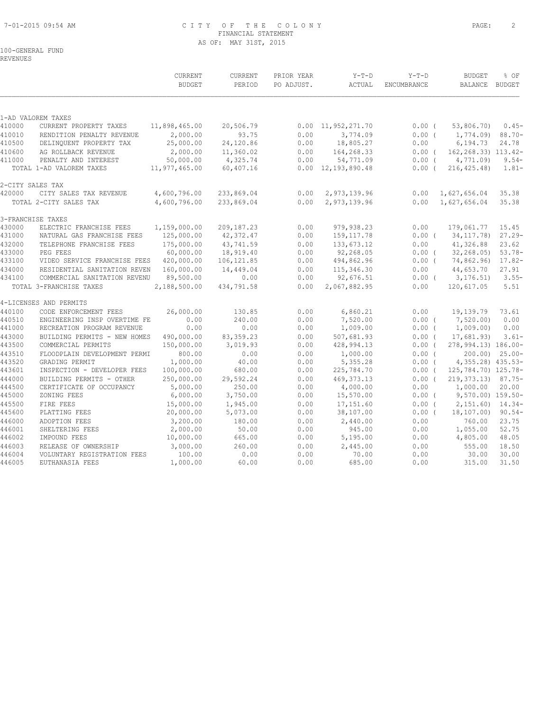# 7-01-2015 09:54 AM C I T Y O F T H E C O L O N Y PAGE: 2 FINANCIAL STATEMENT AS OF: MAY 31ST, 2015

# 100-GENERAL FUND

REVENUES

|                  |                                                              | CURRENT<br><b>BUDGET</b> | CURRENT<br>PERIOD  | PRIOR YEAR<br>PO ADJUST. | $Y-T-D$<br>ACTUAL          | $Y-T-D$<br>ENCUMBRANCE | <b>BUDGET</b><br><b>BALANCE</b>     | % OF<br>BUDGET       |
|------------------|--------------------------------------------------------------|--------------------------|--------------------|--------------------------|----------------------------|------------------------|-------------------------------------|----------------------|
|                  |                                                              |                          |                    |                          |                            |                        |                                     |                      |
| 410000           | 1-AD VALOREM TAXES                                           | 11,898,465.00            |                    |                          | $0.00 \quad 11,952,271.70$ | $0.00$ (               | 53,806.70)                          | $0.45-$              |
| 410010           | CURRENT PROPERTY TAXES                                       | 2,000.00                 | 20,506.79<br>93.75 | 0.00                     | 3,774.09                   | 0.00(                  |                                     | $88.70 -$            |
| 410500           | RENDITION PENALTY REVENUE<br>DELINQUENT PROPERTY TAX         | 25,000.00                | 24,120.86          | 0.00                     | 18,805.27                  | 0.00                   | 1,774.09)<br>6,194.73               | 24.78                |
| 410600           | AG ROLLBACK REVENUE                                          | 2,000.00                 | 11,360.02          | 0.00                     | 164,268.33                 | 0.00(                  | 162, 268.33) 113.42-                |                      |
| 411000           | PENALTY AND INTEREST                                         | 50,000.00                | 4,325.74           | 0.00                     | 54,771.09                  | $0.00$ (               | 4,771.09)                           | $9.54 -$             |
|                  | TOTAL 1-AD VALOREM TAXES                                     | 11,977,465.00            | 60,407.16          |                          | $0.00 \quad 12,193,890.48$ | $0.00$ (               | 216, 425.48                         | $1.81-$              |
|                  | 2-CITY SALES TAX                                             |                          |                    |                          |                            |                        |                                     |                      |
| 420000           | CITY SALES TAX REVENUE                                       | 4,600,796.00             | 233,869.04         | 0.00                     | 2,973,139.96               |                        | $0.00 \quad 1,627,656.04$           | 35.38                |
|                  | TOTAL 2-CITY SALES TAX                                       | 4,600,796.00             | 233,869.04         | 0.00                     | 2,973,139.96               | 0.00                   | 1,627,656.04                        | 35.38                |
|                  | 3-FRANCHISE TAXES                                            |                          |                    |                          |                            |                        |                                     |                      |
| 430000           | ELECTRIC FRANCHISE FEES                                      | 1,159,000.00             | 209, 187.23        | 0.00                     | 979, 938.23                | 0.00                   | 179,061.77                          | 15.45                |
| 431000           | NATURAL GAS FRANCHISE FEES                                   | 125,000.00               | 42,372.47          | 0.00                     | 159, 117.78                |                        | 0.00(34,117.78)                     | $27.29 -$            |
| 432000           | TELEPHONE FRANCHISE FEES                                     | 175,000.00               | 43,741.59          | 0.00                     | 133,673.12                 | 0.00                   | 41,326.88                           | 23.62                |
| 433000           | PEG FEES                                                     | 60,000.00                | 18,919.40          | 0.00                     | 92,268.05                  | $0.00$ (               | 32, 268.05                          | $53.78-$             |
| 433100           | VIDEO SERVICE FRANCHISE FEES                                 | 420,000.00               | 106, 121.85        | 0.00                     | 494,862.96                 | $0.00$ (               | 74,862.96)                          | $17.82 -$            |
| 434000<br>434100 | RESIDENTIAL SANITATION REVEN<br>COMMERCIAL SANITATION REVENU | 160,000.00<br>89,500.00  | 14,449.04<br>0.00  | 0.00<br>0.00             | 115,346.30                 | 0.00                   | 44,653.70                           | 27.91<br>$3.55-$     |
|                  | TOTAL 3-FRANCHISE TAXES                                      | 2,188,500.00             | 434,791.58         | 0.00                     | 92,676.51<br>2,067,882.95  | 0.00                   | $0.00$ ( $3,176.51$ )<br>120,617.05 | 5.51                 |
|                  |                                                              |                          |                    |                          |                            |                        |                                     |                      |
|                  | 4-LICENSES AND PERMITS                                       |                          |                    |                          |                            |                        |                                     |                      |
| 440100           | CODE ENFORCEMENT FEES                                        | 26,000.00                | 130.85             | 0.00                     | 6,860.21                   | 0.00                   | 19,139.79                           | 73.61                |
| 440510           | ENGINEERING INSP OVERTIME FE                                 | 0.00                     | 240.00             | 0.00                     | 7,520.00                   | 0.00(                  | 7,520.00)                           | 0.00                 |
| 441000           | RECREATION PROGRAM REVENUE                                   | 0.00                     | 0.00               | 0.00                     | 1,009.00                   | $0.00$ (               | 1,009.00                            | 0.00                 |
| 443000           | BUILDING PERMITS - NEW HOMES                                 | 490,000.00               | 83, 359. 23        | 0.00                     | 507,681.93                 | 0.00(                  | 17,681.93)                          | $3.61-$              |
| 443500           | COMMERCIAL PERMITS                                           | 150,000.00               | 3,019.93           | 0.00                     | 428,994.13                 | $0.00$ (               | 278,994.13) 186.00-                 |                      |
| 443510           | FLOODPLAIN DEVELOPMENT PERMI                                 | 800.00                   | 0.00               | 0.00                     | 1,000.00                   | 0.00(                  |                                     | $200.00$ ) $25.00 -$ |
| 443520           | GRADING PERMIT                                               | 1,000.00                 | 40.00              | 0.00                     | 5,355.28                   | $0.00$ (               | 4, 355. 28) 435. 53-                |                      |
| 443601           | INSPECTION - DEVELOPER FEES                                  | 100,000.00               | 680.00             | 0.00                     | 225,784.70                 | $0.00$ (               | 125,784.70) 125.78-                 |                      |
| 444000           | BUILDING PERMITS - OTHER                                     | 250,000.00               | 29,592.24          | 0.00                     | 469, 373. 13               | 0.00(                  | 219, 373. 13) 87. 75-               |                      |
| 444500           | CERTIFICATE OF OCCUPANCY                                     | 5,000.00                 | 250.00             | 0.00                     | 4,000.00                   | 0.00                   | 1,000.00                            | 20.00                |
| 445000           | ZONING FEES                                                  | 6,000.00                 | 3,750.00           | 0.00                     | 15,570.00                  | $0.00$ (               | 9,570.00) 159.50-                   |                      |
| 445500           | FIRE FEES                                                    | 15,000.00                | 1,945.00           | 0.00                     | 17,151.60                  | 0.00(                  | $2,151.60$ $14.34-$                 |                      |
| 445600           | PLATTING FEES                                                | 20,000.00                | 5,073.00           | 0.00                     | 38,107.00                  | $0.00$ (               | 18,107.00)                          | $90.54 -$            |
| 446000           | <b>ADOPTION FEES</b>                                         | 3,200.00                 | 180.00             | 0.00                     | 2,440.00                   | 0.00                   | 760.00                              | 23.75                |
| 446001           | SHELTERING FEES                                              | 2,000.00                 | 50.00              | 0.00                     | 945.00                     | 0.00                   | 1,055.00                            | 52.75<br>48.05       |
| 446002<br>446003 | IMPOUND FEES<br>RELEASE OF OWNERSHIP                         | 10,000.00<br>3,000.00    | 665.00<br>260.00   | 0.00<br>0.00             | 5,195.00                   | 0.00<br>0.00           | 4,805.00<br>555.00                  | 18.50                |
| 446004           | VOLUNTARY REGISTRATION FEES                                  | 100.00                   | 0.00               | 0.00                     | 2,445.00<br>70.00          | 0.00                   | 30.00                               | 30.00                |
| 446005           | EUTHANASIA FEES                                              | 1,000.00                 | 60.00              | 0.00                     | 685.00                     | 0.00                   | 315.00                              | 31.50                |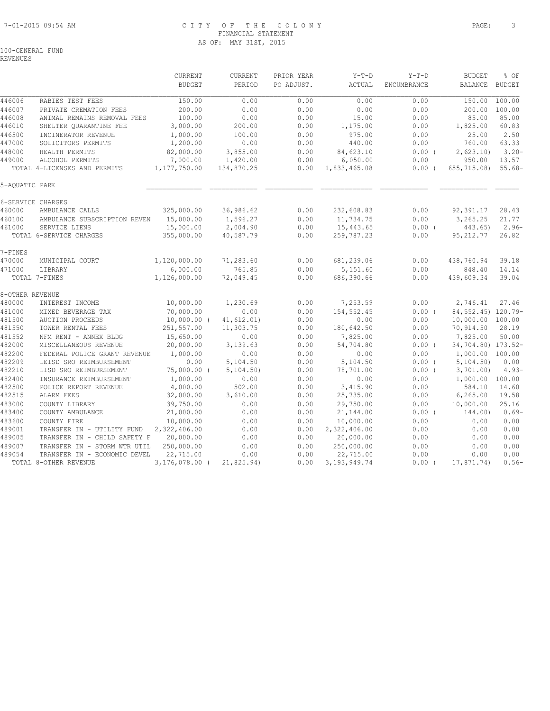#### 7-01-2015 09:54 AM C I T Y O F T H E C O L O N Y PAGE: 3 FINANCIAL STATEMENT AS OF: MAY 31ST, 2015

100-GENERAL FUND

REVENUES

|                   |                                                         | CURRENT<br><b>BUDGET</b> | <b>CURRENT</b><br>PERIOD | PRIOR YEAR<br>PO ADJUST. | $Y-T-D$<br>ACTUAL      | $Y-T-D$<br>ENCUMBRANCE | <b>BUDGET</b><br><b>BALANCE</b> | % OF<br><b>BUDGET</b> |
|-------------------|---------------------------------------------------------|--------------------------|--------------------------|--------------------------|------------------------|------------------------|---------------------------------|-----------------------|
| 446006            | RABIES TEST FEES                                        | 150.00                   | 0.00                     | 0.00                     | 0.00                   | 0.00                   | 150.00                          | 100.00                |
| 446007            | PRIVATE CREMATION FEES                                  | 200.00                   | 0.00                     | 0.00                     | 0.00                   | 0.00                   | 200.00                          | 100.00                |
| 446008            | ANIMAL REMAINS REMOVAL FEES                             | 100.00                   | 0.00                     | 0.00                     | 15.00                  | 0.00                   | 85.00                           | 85.00                 |
| 446010            | SHELTER QUARANTINE FEE                                  | 3,000.00                 | 200.00                   | 0.00                     | 1,175.00               | 0.00                   | 1,825.00                        | 60.83                 |
| 446500            | INCINERATOR REVENUE                                     | 1,000.00                 | 100.00                   | 0.00                     | 975.00                 | 0.00                   | 25.00                           | 2.50                  |
| 447000            | SOLICITORS PERMITS                                      | 1,200.00                 | 0.00                     | 0.00                     | 440.00                 | 0.00                   | 760.00                          | 63.33                 |
| 448000            | HEALTH PERMITS                                          | 82,000.00                | 3,855.00                 | 0.00                     | 84,623.10              | 0.00(                  | 2,623.10                        | $3.20 -$              |
| 449000            | ALCOHOL PERMITS                                         | 7,000.00                 | 1,420.00                 | 0.00                     | 6,050.00               | 0.00                   | 950.00                          | 13.57                 |
|                   | TOTAL 4-LICENSES AND PERMITS                            | 1,177,750.00             | 134,870.25               | 0.00                     | 1,833,465.08           | 0.00(                  | 655,715.08) 55.68-              |                       |
| 5-AQUATIC PARK    |                                                         |                          |                          |                          |                        |                        |                                 |                       |
| 6-SERVICE CHARGES |                                                         |                          |                          |                          |                        |                        |                                 |                       |
| 460000            | AMBULANCE CALLS                                         | 325,000.00               | 36,986.62                | 0.00                     | 232,608.83             | 0.00                   | 92,391.17                       | 28.43                 |
| 460100            | AMBULANCE SUBSCRIPTION REVEN                            | 15,000.00                | 1,596.27                 | 0.00                     | 11,734.75              | 0.00                   | 3,265.25                        | 21.77                 |
| 461000            | SERVICE LIENS                                           | 15,000.00                | 2,004.90                 | 0.00                     | 15,443.65              | $0.00$ (               | 443.65)                         | $2.96-$               |
|                   | TOTAL 6-SERVICE CHARGES                                 | 355,000.00               | 40,587.79                | 0.00                     | 259,787.23             | 0.00                   | 95, 212.77                      | 26.82                 |
| 7-FINES           |                                                         |                          |                          |                          |                        |                        |                                 |                       |
| 470000            | MUNICIPAL COURT                                         | 1,120,000.00             | 71,283.60                | 0.00                     | 681,239.06             | 0.00                   | 438,760.94                      | 39.18                 |
| 471000            | LIBRARY<br>TOTAL 7-FINES                                | 6,000.00<br>1,126,000.00 | 765.85<br>72,049.45      | 0.00<br>0.00             | 5,151.60<br>686,390.66 | 0.00<br>0.00           | 848.40<br>439,609.34            | 14.14<br>39.04        |
|                   |                                                         |                          |                          |                          |                        |                        |                                 |                       |
| 8-OTHER REVENUE   |                                                         |                          |                          |                          |                        |                        |                                 |                       |
| 480000            | INTEREST INCOME                                         | 10,000.00                | 1,230.69                 | 0.00                     | 7,253.59               | 0.00                   | 2,746.41                        | 27.46                 |
| 481000            | MIXED BEVERAGE TAX                                      | 70,000.00                | 0.00                     | 0.00                     | 154,552.45             | 0.00(                  | 84, 552, 45) 120. 79-           |                       |
| 481500            | <b>AUCTION PROCEEDS</b>                                 | $10,000.00$ (            | 41, 612.01)              | 0.00                     | 0.00                   | 0.00                   | 10,000.00 100.00                |                       |
| 481550            | TOWER RENTAL FEES                                       | 251,557.00               | 11,303.75                | 0.00                     | 180,642.50             | 0.00                   | 70,914.50                       | 28.19                 |
| 481552            | NFM RENT - ANNEX BLDG                                   | 15,650.00                | 0.00                     | 0.00                     | 7,825.00               | 0.00                   | 7,825.00                        | 50.00                 |
| 482000            | MISCELLANEOUS REVENUE                                   | 20,000.00                | 3,139.63                 | 0.00                     | 54,704.80              | $0.00$ (               | 34,704.80) 173.52-              |                       |
| 482200<br>482209  | FEDERAL POLICE GRANT REVENUE<br>LEISD SRO REIMBURSEMENT | 1,000.00<br>0.00         | 0.00<br>5,104.50         | 0.00                     | 0.00                   | 0.00                   | 1,000.00 100.00                 |                       |
| 482210            | LISD SRO REIMBURSEMENT                                  | 75,000.00 (              | 5,104.50)                | 0.00<br>0.00             | 5,104.50<br>78,701.00  | $0.00$ (<br>0.00(      | 5, 104.50<br>3,701,00)          | 0.00<br>$4.93-$       |
| 482400            | INSURANCE REIMBURSEMENT                                 | 1,000.00                 | 0.00                     | 0.00                     | 0.00                   | 0.00                   | 1,000.00 100.00                 |                       |
| 482500            | POLICE REPORT REVENUE                                   | 4,000.00                 | 502.00                   | 0.00                     | 3,415.90               | 0.00                   | 584.10                          | 14.60                 |
| 482515            | ALARM FEES                                              | 32,000.00                | 3,610.00                 | 0.00                     | 25,735.00              | 0.00                   | 6, 265.00                       | 19.58                 |
| 483000            | COUNTY LIBRARY                                          | 39,750.00                | 0.00                     | 0.00                     | 29,750.00              | 0.00                   | 10,000.00                       | 25.16                 |
| 483400            | COUNTY AMBULANCE                                        | 21,000.00                | 0.00                     | 0.00                     | 21,144.00              | 0.00(                  | 144.00)                         | $0.69-$               |
| 483600            | COUNTY FIRE                                             | 10,000.00                | 0.00                     | 0.00                     | 10,000.00              | 0.00                   | 0.00                            | 0.00                  |
| 489001            | TRANSFER IN - UTILITY FUND                              | 2,322,406.00             | 0.00                     | 0.00                     | 2,322,406.00           | 0.00                   | 0.00                            | 0.00                  |
| 489005            | TRANSFER IN - CHILD SAFETY F                            | 20,000.00                | 0.00                     | 0.00                     | 20,000.00              | 0.00                   | 0.00                            | 0.00                  |
| 489007            | TRANSFER IN - STORM WTR UTIL                            | 250,000.00               | 0.00                     | 0.00                     | 250,000.00             | 0.00                   | 0.00                            | 0.00                  |
| 489054            | TRANSFER IN - ECONOMIC DEVEL                            | 22,715.00                | 0.00                     | 0.00                     | 22,715.00              | 0.00                   | 0.00                            | 0.00                  |
|                   | TOTAL 8-OTHER REVENUE                                   | 3,176,078.00 (           | 21,825.94)               | 0.00                     | 3, 193, 949. 74        | $0.00$ (               | 17,871.74)                      | $0.56-$               |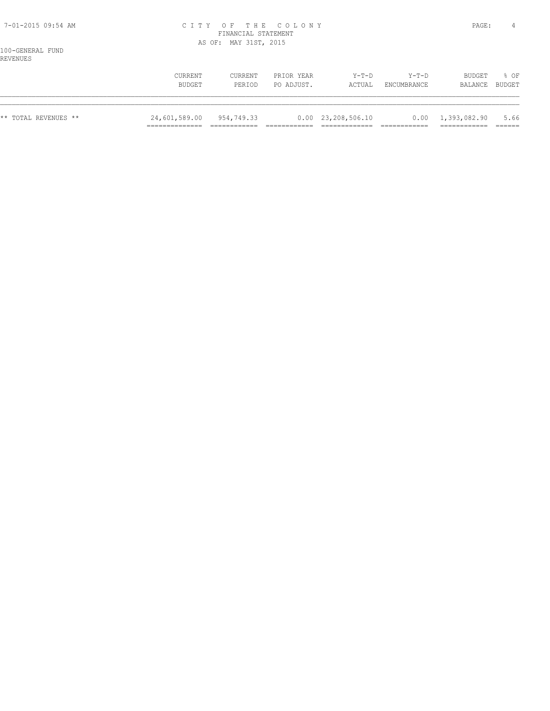#### 7-01-2015 09:54 AM C I T Y O F T H E C O L O N Y PAGE: 4 FINANCIAL STATEMENT AS OF: MAY 31ST, 2015

100-GENERAL FUND REVENUES

| ** TOTAL REVENUES ** | 24,601,589.00 | 954,749.33 |            | $0.00 \quad 23,208,506.10$ |                    | $0.00 \quad 1,393,082.90$ | 5.66   |
|----------------------|---------------|------------|------------|----------------------------|--------------------|---------------------------|--------|
|                      | CURRENT       | CURRENT    | PRIOR YEAR | $Y-T-D$                    | $Y-T-D$            | <b>BUDGET</b>             | % OF   |
|                      | BUDGET        | PERTOD     | PO ADJUST. | ACTUAL                     | <b>ENCUMBRANCE</b> | BALANCE                   | BUDGET |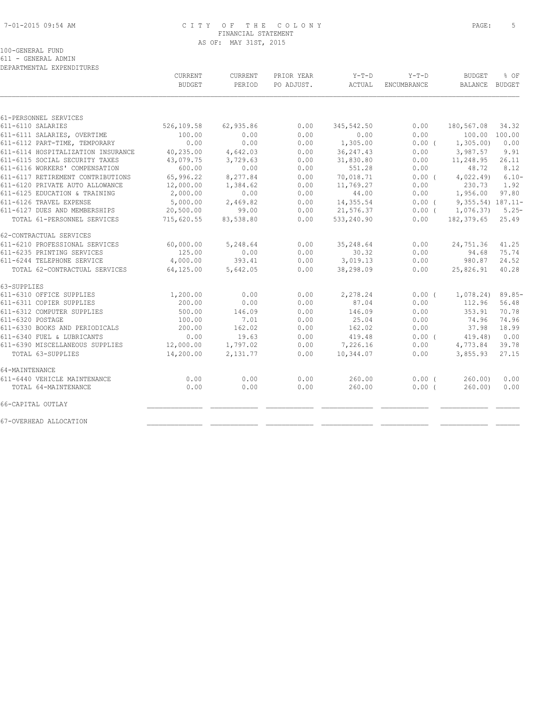# 7-01-2015 09:54 AM C I T Y O F T H E C O L O N Y PAGE: 5 FINANCIAL STATEMENT AS OF: MAY 31ST, 2015

100-GENERAL FUND

611 - GENERAL ADMIN DEPARTMENTAL EXPENDITURES

| CURRENT<br><b>BUDGET</b> | CURRENT<br>PERIOD                                                                                                                  | PRIOR YEAR<br>PO ADJUST. | $Y-T-D$<br>ACTUAL    | $Y-T-D$<br>ENCUMBRANCE | <b>BUDGET</b><br><b>BALANCE</b> | % OF<br>BUDGET                |
|--------------------------|------------------------------------------------------------------------------------------------------------------------------------|--------------------------|----------------------|------------------------|---------------------------------|-------------------------------|
|                          |                                                                                                                                    |                          |                      |                        |                                 |                               |
|                          |                                                                                                                                    |                          |                      |                        |                                 |                               |
| 526,109.58               | 62,935.86                                                                                                                          | 0.00                     | 345,542.50           | 0.00                   | 180,567.08                      | 34.32                         |
| 100.00                   | 0.00                                                                                                                               | 0.00                     | 0.00                 | 0.00                   | 100.00 100.00                   |                               |
| 0.00                     | 0.00                                                                                                                               | 0.00                     | 1,305.00             | $0.00$ (               | 1,305.00                        | 0.00                          |
| 40,235.00                | 4,642.03                                                                                                                           | 0.00                     | 36, 247.43           | 0.00                   | 3,987.57                        | 9.91                          |
| 43,079.75<br>600.00      | 3,729.63<br>0.00                                                                                                                   | 0.00<br>0.00             | 31,830.80<br>551.28  | 0.00<br>0.00           | 11,248.95<br>48.72              | 26.11<br>8.12                 |
| 65,996.22                | 8,277.84                                                                                                                           | 0.00                     | 70,018.71            | 0.00(                  | 4,022.49                        | $6.10 -$                      |
| 12,000.00                | 1,384.62                                                                                                                           | 0.00                     | 11,769.27            | 0.00                   | 230.73                          | 1.92                          |
| 2,000.00                 | 0.00                                                                                                                               | 0.00                     | 44.00                | 0.00                   | 1,956.00                        | 97.80                         |
| 5,000.00                 | 2,469.82                                                                                                                           | 0.00                     | 14,355.54            | 0.00(                  | 9,355.54) 187.11-               |                               |
| 20,500.00                | 99.00                                                                                                                              | 0.00                     | 21,576.37            | $0.00$ (               | 1,076.37                        | $5.25-$                       |
| 715,620.55               | 83,538.80                                                                                                                          | 0.00                     | 533,240.90           | 0.00                   | 182,379.65                      | 25.49                         |
|                          |                                                                                                                                    |                          |                      |                        |                                 |                               |
|                          |                                                                                                                                    |                          |                      |                        |                                 |                               |
|                          | 5,248.64                                                                                                                           | 0.00                     | 35,248.64            | 0.00                   | 24,751.36                       | 41.25                         |
|                          |                                                                                                                                    |                          | 30.32                |                        | 94.68                           | 75.74                         |
|                          |                                                                                                                                    |                          |                      |                        |                                 | 24.52                         |
|                          | 5,642.05                                                                                                                           | 0.00                     | 38,298.09            | 0.00                   | 25,826.91                       | 40.28                         |
|                          |                                                                                                                                    |                          |                      |                        |                                 |                               |
|                          | 0.00                                                                                                                               | 0.00                     | 2,278.24             | $0.00$ (               |                                 | $89.85-$                      |
|                          | 0.00                                                                                                                               | 0.00                     | 87.04                | 0.00                   | 112.96                          | 56.48                         |
|                          | 146.09                                                                                                                             | 0.00                     | 146.09               | 0.00                   | 353.91                          | 70.78                         |
|                          | 7.01                                                                                                                               | 0.00                     | 25.04                | 0.00                   | 74.96                           | 74.96                         |
|                          | 162.02                                                                                                                             | 0.00                     | 162.02               | 0.00                   | 37.98                           | 18.99                         |
| 0.00                     | 19.63                                                                                                                              | 0.00                     | 419.48               | $0.00$ (               | 419.48)                         | 0.00                          |
|                          | 1,797.02                                                                                                                           | 0.00                     | 7,226.16             | 0.00                   | 4,773.84                        | 39.78                         |
|                          | 2,131.77                                                                                                                           | 0.00                     | 10,344.07            | 0.00                   | 3,855.93                        | 27.15                         |
|                          |                                                                                                                                    |                          |                      |                        |                                 |                               |
|                          |                                                                                                                                    |                          |                      |                        |                                 | 0.00                          |
| 0.00                     | 0.00                                                                                                                               | 0.00                     | 260.00               | 0.00(                  | 260.00                          | 0.00                          |
|                          |                                                                                                                                    |                          |                      |                        |                                 |                               |
|                          |                                                                                                                                    |                          |                      |                        |                                 |                               |
|                          | 60,000.00<br>125.00<br>4,000.00<br>64,125.00<br>1,200.00<br>200.00<br>500.00<br>100.00<br>200.00<br>12,000.00<br>14,200.00<br>0.00 | 0.00<br>393.41<br>0.00   | 0.00<br>0.00<br>0.00 | 3,019.13<br>260.00     | 0.00<br>0.00<br>0.00(           | 980.87<br>1,078.24)<br>260.00 |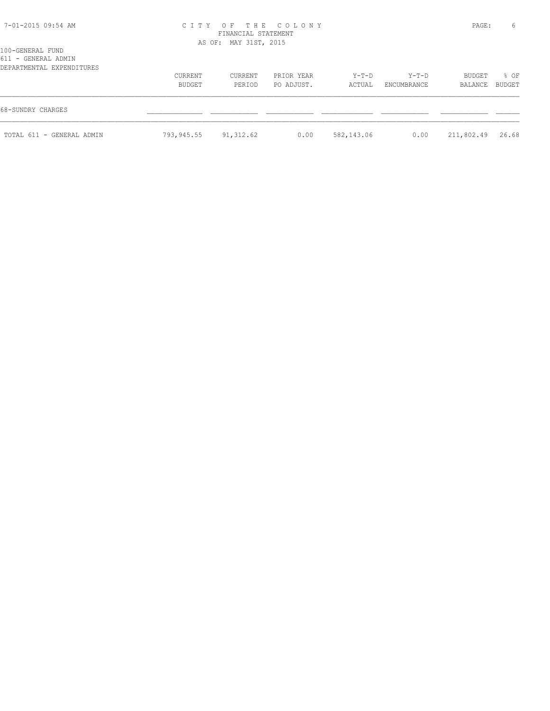| 7-01-2015 09:54 AM        |            | FINANCIAL STATEMENT   | CITY OF THE COLONY |            |             | PAGE:      | 6      |
|---------------------------|------------|-----------------------|--------------------|------------|-------------|------------|--------|
| 100-GENERAL FUND          |            | AS OF: MAY 31ST, 2015 |                    |            |             |            |        |
| 611 - GENERAL ADMIN       |            |                       |                    |            |             |            |        |
| DEPARTMENTAL EXPENDITURES |            |                       |                    |            |             |            |        |
|                           | CURRENT    | CURRENT               | PRIOR YEAR         | Y-T-D      | $Y-T-D$     | BUDGET     | % OF   |
|                           | BUDGET     | PERIOD                | PO ADJUST.         | ACTUAL     | ENCUMBRANCE | BALANCE    | BUDGET |
| 68-SUNDRY CHARGES         |            |                       |                    |            |             |            |        |
| TOTAL 611 - GENERAL ADMIN | 793,945.55 | 91,312.62             | 0.00               | 582,143.06 | 0.00        | 211,802.49 | 26.68  |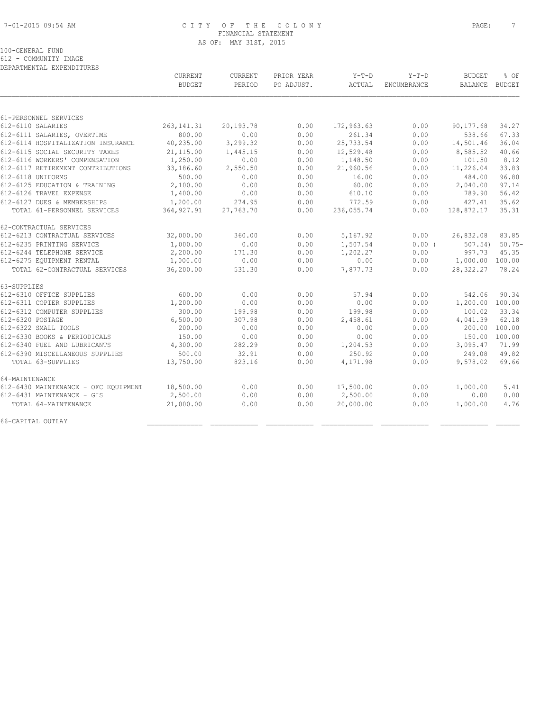# 7-01-2015 09:54 AM C I T Y O F T H E C O L O N Y PAGE: 7 FINANCIAL STATEMENT AS OF: MAY 31ST, 2015

100-GENERAL FUND

612 - COMMUNITY IMAGE

|                                      | CURRENT       | CURRENT   | PRIOR YEAR | $Y-T-D$    | $Y-T-D$            | <b>BUDGET</b>   | % OF     |
|--------------------------------------|---------------|-----------|------------|------------|--------------------|-----------------|----------|
|                                      | <b>BUDGET</b> | PERIOD    | PO ADJUST. | ACTUAL     | <b>ENCUMBRANCE</b> | <b>BALANCE</b>  | BUDGET   |
|                                      |               |           |            |            |                    |                 |          |
| 61-PERSONNEL SERVICES                |               |           |            |            |                    |                 |          |
| 612-6110 SALARIES                    | 263, 141.31   | 20,193.78 | 0.00       | 172,963.63 | 0.00               | 90,177.68       | 34.27    |
| 612-6111 SALARIES, OVERTIME          | 800.00        | 0.00      | 0.00       | 261.34     | 0.00               | 538.66          | 67.33    |
| 612-6114 HOSPITALIZATION INSURANCE   | 40,235.00     | 3,299.32  | 0.00       | 25,733.54  | 0.00               | 14,501.46       | 36.04    |
| 612-6115 SOCIAL SECURITY TAXES       | 21,115.00     | 1,445.15  | 0.00       | 12,529.48  | 0.00               | 8,585.52        | 40.66    |
| 612-6116 WORKERS' COMPENSATION       | 1,250.00      | 0.00      | 0.00       | 1,148.50   | 0.00               | 101.50          | 8.12     |
| 612-6117 RETIREMENT CONTRIBUTIONS    | 33,186.60     | 2,550.50  | 0.00       | 21,960.56  | 0.00               | 11,226.04       | 33.83    |
| 612-6118 UNIFORMS                    | 500.00        | 0.00      | 0.00       | 16.00      | 0.00               | 484.00          | 96.80    |
| 612-6125 EDUCATION & TRAINING        | 2,100.00      | 0.00      | 0.00       | 60.00      | 0.00               | 2,040.00        | 97.14    |
| 612-6126 TRAVEL EXPENSE              | 1,400.00      | 0.00      | 0.00       | 610.10     | 0.00               | 789.90          | 56.42    |
| 612-6127 DUES & MEMBERSHIPS          | 1,200.00      | 274.95    | 0.00       | 772.59     | 0.00               | 427.41          | 35.62    |
| TOTAL 61-PERSONNEL SERVICES          | 364, 927.91   | 27,763.70 | 0.00       | 236,055.74 | 0.00               | 128,872.17      | 35.31    |
| 62-CONTRACTUAL SERVICES              |               |           |            |            |                    |                 |          |
| 612-6213 CONTRACTUAL SERVICES        | 32,000.00     | 360.00    | 0.00       | 5,167.92   | 0.00               | 26,832.08       | 83.85    |
| 612-6235 PRINTING SERVICE            | 1,000.00      | 0.00      | 0.00       | 1,507.54   | 0.00(              | 507.54)         | $50.75-$ |
| 612-6244 TELEPHONE SERVICE           | 2,200.00      | 171.30    | 0.00       | 1,202.27   | 0.00               | 997.73          | 45.35    |
| 612-6275 EQUIPMENT RENTAL            | 1,000.00      | 0.00      | 0.00       | 0.00       | 0.00               | 1,000.00 100.00 |          |
| TOTAL 62-CONTRACTUAL SERVICES        | 36,200.00     | 531.30    | 0.00       | 7,877.73   | 0.00               | 28,322.27       | 78.24    |
| 63-SUPPLIES                          |               |           |            |            |                    |                 |          |
| 612-6310 OFFICE SUPPLIES             | 600.00        | 0.00      | 0.00       | 57.94      | 0.00               | 542.06          | 90.34    |
| 612-6311 COPIER SUPPLIES             | 1,200.00      | 0.00      | 0.00       | 0.00       | 0.00               | 1,200.00 100.00 |          |
| 612-6312 COMPUTER SUPPLIES           | 300.00        | 199.98    | 0.00       | 199.98     | 0.00               | 100.02          | 33.34    |
| 612-6320 POSTAGE                     | 6,500.00      | 307.98    | 0.00       | 2,458.61   | 0.00               | 4,041.39        | 62.18    |
| 612-6322 SMALL TOOLS                 | 200.00        | 0.00      | 0.00       | 0.00       | 0.00               | 200.00          | 100.00   |
| 612-6330 BOOKS & PERIODICALS         | 150.00        | 0.00      | 0.00       | 0.00       | 0.00               | 150.00 100.00   |          |
| 612-6340 FUEL AND LUBRICANTS         | 4,300.00      | 282.29    | 0.00       | 1,204.53   | 0.00               | 3,095.47        | 71.99    |
| 612-6390 MISCELLANEOUS SUPPLIES      | 500.00        | 32.91     | 0.00       | 250.92     | 0.00               | 249.08          | 49.82    |
| TOTAL 63-SUPPLIES                    | 13,750.00     | 823.16    | 0.00       | 4,171.98   | 0.00               | 9,578.02        | 69.66    |
| 64-MAINTENANCE                       |               |           |            |            |                    |                 |          |
| 612-6430 MAINTENANCE - OFC EOUIPMENT | 18,500.00     | 0.00      | 0.00       | 17,500.00  | 0.00               | 1,000.00        | 5.41     |
| 612-6431 MAINTENANCE - GIS           | 2,500.00      | 0.00      | 0.00       | 2,500.00   | 0.00               | 0.00            | 0.00     |
| TOTAL 64-MAINTENANCE                 | 21,000.00     | 0.00      | 0.00       | 20,000.00  | 0.00               | 1,000.00        | 4.76     |
| 66-CAPITAL OUTLAY                    |               |           |            |            |                    |                 |          |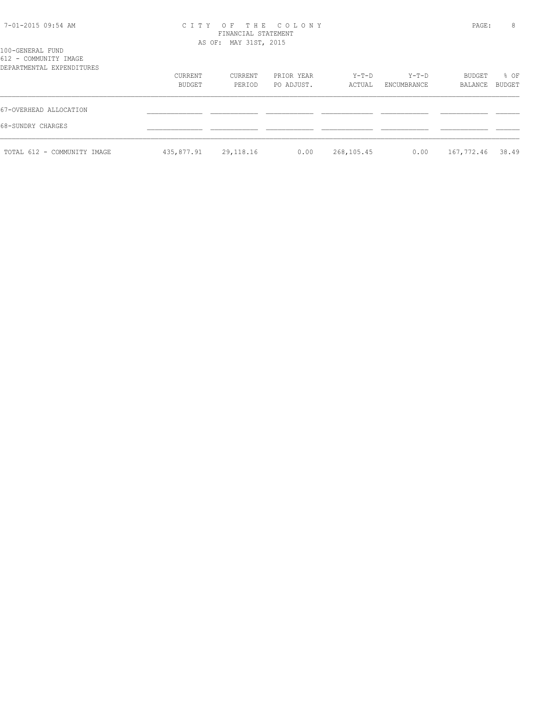| 7-01-2015 09:54 AM |  |  |
|--------------------|--|--|
|--------------------|--|--|

# 7-01-2015 09:54 AM C I T Y O F T H E C O L O N Y PAGE: 8 FINANCIAL STATEMENT

# 612 - COMMUNITY IMAGE

| OIZ - COMMONIII IMAGE<br>DEPARTMENTAL EXPENDITURES | CURRENT<br>BUDGET | CURRENT<br>PERIOD | PRIOR YEAR<br>PO ADJUST. | Y-T-D<br>ACTUAL | Y-T-D<br>ENCUMBRANCE | BUDGET<br>BALANCE | % OF<br>BUDGET |
|----------------------------------------------------|-------------------|-------------------|--------------------------|-----------------|----------------------|-------------------|----------------|
| 67-OVERHEAD ALLOCATION<br>68-SUNDRY CHARGES        |                   |                   |                          |                 |                      |                   |                |
| TOTAL 612 - COMMUNITY IMAGE                        | 435,877.91        | 29,118.16         | 0.00                     | 268,105.45      | 0.00                 | 167,772.46        | 38.49          |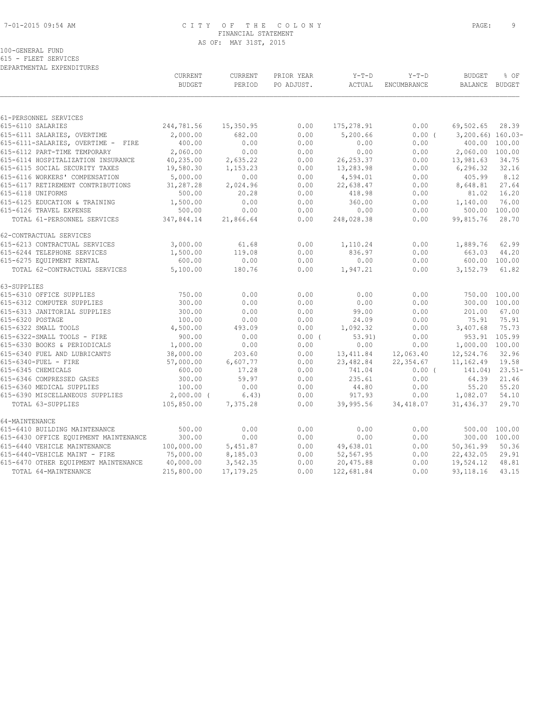# 7-01-2015 09:54 AM C I T Y O F T H E C O L O N Y PAGE: 9 FINANCIAL STATEMENT AS OF: MAY 31ST, 2015

100-GENERAL FUND 615 - FLEET SERVICES

|                                       | CURRENT<br><b>BUDGET</b> | CURRENT<br>PERIOD | PRIOR YEAR<br>PO ADJUST. | $Y-T-D$<br>ACTUAL | $Y-T-D$<br>ENCUMBRANCE | <b>BUDGET</b><br><b>BALANCE</b> | % OF<br>BUDGET |
|---------------------------------------|--------------------------|-------------------|--------------------------|-------------------|------------------------|---------------------------------|----------------|
|                                       |                          |                   |                          |                   |                        |                                 |                |
| 61-PERSONNEL SERVICES                 |                          |                   |                          |                   |                        |                                 |                |
| 615-6110 SALARIES                     | 244,781.56               | 15,350.95         | 0.00                     | 175,278.91        | 0.00                   | 69,502.65                       | 28.39          |
| 615-6111 SALARIES, OVERTIME           | 2,000.00                 | 682.00            | 0.00                     | 5,200.66          | 0.00(                  | $3,200.66)$ 160.03-             |                |
| 615-6111-SALARIES, OVERTIME - FIRE    | 400.00                   | 0.00              | 0.00                     | 0.00              | 0.00                   |                                 | 400.00 100.00  |
| 615-6112 PART-TIME TEMPORARY          | 2,060.00                 | 0.00              | 0.00                     | 0.00              | 0.00                   | 2,060.00 100.00                 |                |
| 615-6114 HOSPITALIZATION INSURANCE    | 40,235.00                | 2,635.22          | 0.00                     | 26, 253.37        | 0.00                   | 13,981.63                       | 34.75          |
| 615-6115 SOCIAL SECURITY TAXES        | 19,580.30                | 1,153.23          | 0.00                     | 13,283.98         | 0.00                   | 6, 296.32                       | 32.16          |
| 615-6116 WORKERS' COMPENSATION        | 5,000.00                 | 0.00              | 0.00                     | 4,594.01          | 0.00                   | 405.99                          | 8.12           |
| 615-6117 RETIREMENT CONTRIBUTIONS     | 31,287.28                | 2,024.96          | 0.00                     | 22,638.47         | 0.00                   | 8,648.81                        | 27.64          |
| 615-6118 UNIFORMS                     | 500.00                   | 20.28             | 0.00                     | 418.98            | 0.00                   | 81.02                           | 16.20          |
| 615-6125 EDUCATION & TRAINING         | 1,500.00                 | 0.00              | 0.00                     | 360.00            | 0.00                   | 1,140.00                        | 76.00          |
| 615-6126 TRAVEL EXPENSE               | 500.00                   | 0.00              | 0.00                     | 0.00              | 0.00                   | 500.00                          | 100.00         |
| TOTAL 61-PERSONNEL SERVICES           | 347,844.14               | 21,866.64         | 0.00                     | 248,028.38        | 0.00                   | 99,815.76                       | 28.70          |
| 62-CONTRACTUAL SERVICES               |                          |                   |                          |                   |                        |                                 |                |
| 615-6213 CONTRACTUAL SERVICES         | 3,000.00                 | 61.68             | 0.00                     | 1,110.24          | 0.00                   | 1,889.76                        | 62.99          |
| 615-6244 TELEPHONE SERVICES           | 1,500.00                 | 119.08            | 0.00                     | 836.97            | 0.00                   | 663.03                          | 44.20          |
| 615-6275 EQUIPMENT RENTAL             | 600.00                   | 0.00              | 0.00                     | 0.00              | 0.00                   |                                 | 600.00 100.00  |
| TOTAL 62-CONTRACTUAL SERVICES         | 5,100.00                 | 180.76            | 0.00                     | 1,947.21          | 0.00                   | 3,152.79                        | 61.82          |
| 63-SUPPLIES                           |                          |                   |                          |                   |                        |                                 |                |
| 615-6310 OFFICE SUPPLIES              | 750.00                   | 0.00              | 0.00                     | 0.00              | 0.00                   | 750.00 100.00                   |                |
| 615-6312 COMPUTER SUPPLIES            | 300.00                   | 0.00              | 0.00                     | 0.00              | 0.00                   | 300.00 100.00                   |                |
| 615-6313 JANITORIAL SUPPLIES          | 300.00                   | 0.00              | 0.00                     | 99.00             | 0.00                   | 201.00                          | 67.00          |
| 615-6320 POSTAGE                      | 100.00                   | 0.00              | 0.00                     | 24.09             | 0.00                   | 75.91                           | 75.91          |
| 615-6322 SMALL TOOLS                  | 4,500.00                 | 493.09            | 0.00                     | 1,092.32          | 0.00                   | 3,407.68                        | 75.73          |
| 615-6322-SMALL TOOLS - FIRE           | 900.00                   | 0.00              | 0.00(                    | 53.91)            | 0.00                   | 953.91                          | 105.99         |
| 615-6330 BOOKS & PERIODICALS          | 1,000.00                 | 0.00              | 0.00                     | 0.00              | 0.00                   | 1,000.00 100.00                 |                |
| 615-6340 FUEL AND LUBRICANTS          | 38,000.00                | 203.60            | 0.00                     | 13, 411.84        | 12,063.40              | 12,524.76                       | 32.96          |
| 615-6340-FUEL - FIRE                  | 57,000.00                | 6,607.77          | 0.00                     | 23,482.84         | 22, 354.67             | 11,162.49                       | 19.58          |
| 615-6345 CHEMICALS                    | 600.00                   | 17.28             | 0.00                     | 741.04            | $0.00$ (               | 141.04)                         | $23.51-$       |
| 615-6346 COMPRESSED GASES             | 300.00                   | 59.97             | 0.00                     | 235.61            | 0.00                   | 64.39                           | 21.46          |
| 615-6360 MEDICAL SUPPLIES             | 100.00                   | 0.00              | 0.00                     | 44.80             | 0.00                   | 55.20                           | 55.20          |
| 615-6390 MISCELLANEOUS SUPPLIES       | $2,000.00$ (             | 6.43)             | 0.00                     | 917.93            | 0.00                   | 1,082.07                        | 54.10          |
| TOTAL 63-SUPPLIES                     | 105,850.00               | 7,375.28          | 0.00                     | 39,995.56         | 34,418.07              | 31,436.37                       | 29.70          |
| 64-MAINTENANCE                        |                          |                   |                          |                   |                        |                                 |                |
| 615-6410 BUILDING MAINTENANCE         | 500.00                   | 0.00              | 0.00                     | 0.00              | 0.00                   | 500.00 100.00                   |                |
| 615-6430 OFFICE EQUIPMENT MAINTENANCE | 300.00                   | 0.00              | 0.00                     | 0.00              | 0.00                   | 300.00 100.00                   |                |
| 615-6440 VEHICLE MAINTENANCE          | 100,000.00               | 5,451.87          | 0.00                     | 49,638.01         | 0.00                   | 50,361.99                       | 50.36          |
| 615-6440-VEHICLE MAINT - FIRE         | 75,000.00                | 8,185.03          | 0.00                     | 52,567.95         | 0.00                   | 22,432.05                       | 29.91          |
| 615-6470 OTHER EQUIPMENT MAINTENANCE  | 40,000.00                | 3,542.35          | 0.00                     | 20,475.88         | 0.00                   | 19,524.12                       | 48.81          |
| TOTAL 64-MAINTENANCE                  | 215,800.00               | 17, 179.25        | 0.00                     | 122,681.84        | 0.00                   | 93, 118.16                      | 43.15          |
|                                       |                          |                   |                          |                   |                        |                                 |                |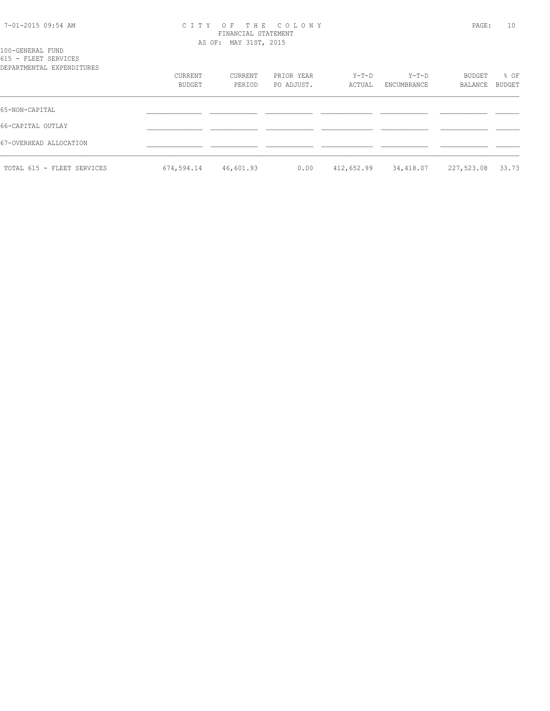| 7-01-2015 09:54 AM |  |  |
|--------------------|--|--|
|--------------------|--|--|

#### 7-01-2015 09:54 AM C I T Y O F T H E C O L O N Y PAGE: 10 FINANCIAL STATEMENT AS OF: MAY 31ST, 2015

| 100-GENERAL FUND |                      |  |
|------------------|----------------------|--|
|                  | 615 - FLEET SERVICES |  |

| DEPARTMENTAL EXPENDITURES  | CURRENT<br>BUDGET | CURRENT<br>PERIOD | PRIOR YEAR<br>PO ADJUST. | Y-T-D<br>ACTUAL | $Y-T-D$<br>ENCUMBRANCE | BUDGET<br>BALANCE | % OF<br>BUDGET |
|----------------------------|-------------------|-------------------|--------------------------|-----------------|------------------------|-------------------|----------------|
| 65-NON-CAPITAL             |                   |                   |                          |                 |                        |                   |                |
| 66-CAPITAL OUTLAY          |                   |                   |                          |                 |                        |                   |                |
| 67-OVERHEAD ALLOCATION     |                   |                   |                          |                 |                        |                   |                |
| TOTAL 615 - FLEET SERVICES | 674,594.14        | 46,601.93         | 0.00                     | 412,652.99      | 34,418.07              | 227,523.08        | 33.73          |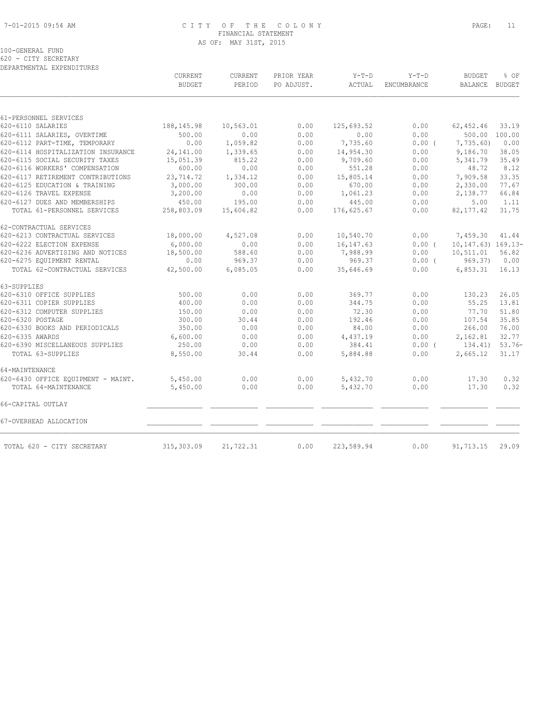#### 7-01-2015 09:54 AM C I T Y O F T H E C O L O N Y PAGE: 11 FINANCIAL STATEMENT AS OF: MAY 31ST, 2015

|  | 100-GENERAL FUND     |
|--|----------------------|
|  | 620 - CITY SECRETARY |

|                                    | CURRENT<br><b>BUDGET</b> | CURRENT<br>PERIOD | PRIOR YEAR<br>PO ADJUST. | $Y-T-D$<br>ACTUAL | $Y-T-D$<br><b>ENCUMBRANCE</b> | <b>BUDGET</b><br><b>BALANCE</b> | % OF<br><b>BUDGET</b> |
|------------------------------------|--------------------------|-------------------|--------------------------|-------------------|-------------------------------|---------------------------------|-----------------------|
|                                    |                          |                   |                          |                   |                               |                                 |                       |
| 61-PERSONNEL SERVICES              |                          |                   |                          |                   |                               |                                 |                       |
| 620-6110 SALARIES                  | 188, 145. 98             | 10,563.01         | 0.00                     | 125,693.52        | 0.00                          | 62,452.46                       | 33.19                 |
| 620-6111 SALARIES, OVERTIME        | 500.00                   | 0.00              | 0.00                     | 0.00              | 0.00                          |                                 | 500.00 100.00         |
| 620-6112 PART-TIME, TEMPORARY      | 0.00                     | 1,059.82          | 0.00                     | 7,735.60          | $0.00$ (                      | 7,735.60)                       | 0.00                  |
| 620-6114 HOSPITALIZATION INSURANCE | 24,141.00                | 1,339.65          | 0.00                     | 14,954.30         | 0.00                          | 9,186.70                        | 38.05                 |
| 620-6115 SOCIAL SECURITY TAXES     | 15,051.39                | 815.22            | 0.00                     | 9,709.60          | 0.00                          | 5,341.79                        | 35.49                 |
| 620-6116 WORKERS' COMPENSATION     | 600.00                   | 0.00              | 0.00                     | 551.28            | 0.00                          | 48.72                           | 8.12                  |
| 620-6117 RETIREMENT CONTRIBUTIONS  | 23,714.72                | 1,334.12          | 0.00                     | 15,805.14         | 0.00                          | 7,909.58                        | 33.35                 |
| 620-6125 EDUCATION & TRAINING      | 3,000.00                 | 300.00            | 0.00                     | 670.00            | 0.00                          | 2,330.00                        | 77.67                 |
| 620-6126 TRAVEL EXPENSE            | 3,200.00                 | 0.00              | 0.00                     | 1,061.23          | 0.00                          | 2,138.77                        | 66.84                 |
| 620-6127 DUES AND MEMBERSHIPS      | 450.00                   | 195.00            | 0.00                     | 445.00            | 0.00                          | 5.00                            | 1.11                  |
| TOTAL 61-PERSONNEL SERVICES        | 258,803.09               | 15,606.82         | 0.00                     | 176,625.67        | 0.00                          | 82, 177.42                      | 31.75                 |
| 62-CONTRACTUAL SERVICES            |                          |                   |                          |                   |                               |                                 |                       |
| 620-6213 CONTRACTUAL SERVICES      | 18,000.00                | 4,527.08          | 0.00                     | 10,540.70         | 0.00                          | 7,459.30                        | 41.44                 |
| 620-6222 ELECTION EXPENSE          | 6,000.00                 | 0.00              | 0.00                     | 16, 147.63        | 0.00(                         | 10, 147. 63) 169. 13-           |                       |
| 620-6236 ADVERTISING AND NOTICES   | 18,500.00                | 588.60            | 0.00                     | 7,988.99          | 0.00                          | 10,511.01                       | 56.82                 |
| 620-6275 EQUIPMENT RENTAL          | 0.00                     | 969.37            | 0.00                     | 969.37            | $0.00$ (                      | 969.37)                         | 0.00                  |
| TOTAL 62-CONTRACTUAL SERVICES      | 42,500.00                | 6,085.05          | 0.00                     | 35,646.69         | 0.00                          | 6,853.31                        | 16.13                 |
| 63-SUPPLIES                        |                          |                   |                          |                   |                               |                                 |                       |
| 620-6310 OFFICE SUPPLIES           | 500.00                   | 0.00              | 0.00                     | 369.77            | 0.00                          | 130.23                          | 26.05                 |
| 620-6311 COPIER SUPPLIES           | 400.00                   | 0.00              | 0.00                     | 344.75            | 0.00                          | 55.25                           | 13.81                 |
| 620-6312 COMPUTER SUPPLIES         | 150.00                   | 0.00              | 0.00                     | 72.30             | 0.00                          | 77.70                           | 51.80                 |
| 620-6320 POSTAGE                   | 300.00                   | 30.44             | 0.00                     | 192.46            | 0.00                          | 107.54                          | 35.85                 |
| 620-6330 BOOKS AND PERIODICALS     | 350.00                   | 0.00              | 0.00                     | 84.00             | 0.00                          | 266.00                          | 76.00                 |
| 620-6335 AWARDS                    | 6,600.00                 | 0.00              | 0.00                     | 4,437.19          | 0.00                          | 2,162.81                        | 32.77                 |
| 620-6390 MISCELLANEOUS SUPPLIES    | 250.00                   | 0.00              | 0.00                     | 384.41            | $0.00$ (                      | 134.41)                         | $53.76-$              |
| TOTAL 63-SUPPLIES                  | 8,550.00                 | 30.44             | 0.00                     | 5,884.88          | 0.00                          | 2,665.12                        | 31.17                 |
| 64-MAINTENANCE                     |                          |                   |                          |                   |                               |                                 |                       |
| 620-6430 OFFICE EQUIPMENT - MAINT. | 5,450.00                 | 0.00              | 0.00                     | 5,432.70          | 0.00                          | 17.30                           | 0.32                  |
| TOTAL 64-MAINTENANCE               | 5,450.00                 | 0.00              | 0.00                     | 5,432.70          | 0.00                          | 17.30                           | 0.32                  |
| 66-CAPITAL OUTLAY                  |                          |                   |                          |                   |                               |                                 |                       |
| 67-OVERHEAD ALLOCATION             |                          |                   |                          |                   |                               |                                 |                       |
| TOTAL 620 - CITY SECRETARY         | 315, 303.09              | 21,722.31         | 0.00                     | 223,589.94        | 0.00                          | 91,713.15                       | 29.09                 |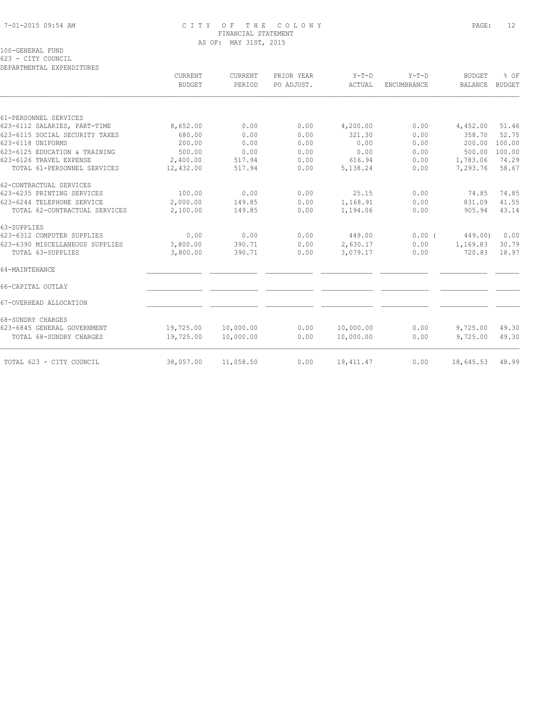# 7-01-2015 09:54 AM C I T Y O F T H E C O L O N Y PAGE: 12 FINANCIAL STATEMENT AS OF: MAY 31ST, 2015

100-GENERAL FUND

623 - CITY COUNCIL

|                                 | CURRENT       | <b>CURRENT</b> | PRIOR YEAR | $Y-T-D$    | $Y-T-D$     | <b>BUDGET</b>  | % OF          |
|---------------------------------|---------------|----------------|------------|------------|-------------|----------------|---------------|
|                                 | <b>BUDGET</b> | PERIOD         | PO ADJUST. | ACTUAL     | ENCUMBRANCE | <b>BALANCE</b> | <b>BUDGET</b> |
|                                 |               |                |            |            |             |                |               |
| 61-PERSONNEL SERVICES           |               |                |            |            |             |                |               |
| 623-6112 SALARIES, PART-TIME    | 8,652.00      | 0.00           | 0.00       | 4,200.00   | 0.00        | 4,452.00       | 51.46         |
| 623-6115 SOCIAL SECURITY TAXES  | 680.00        | 0.00           | 0.00       | 321.30     | 0.00        | 358.70         | 52.75         |
| 623-6118 UNIFORMS               | 200.00        | 0.00           | 0.00       | 0.00       | 0.00        | 200.00         | 100.00        |
| 623-6125 EDUCATION & TRAINING   | 500.00        | 0.00           | 0.00       | 0.00       | 0.00        | 500.00         | 100.00        |
| 623-6126 TRAVEL EXPENSE         | 2,400.00      | 517.94         | 0.00       | 616.94     | 0.00        | 1,783.06       | 74.29         |
| TOTAL 61-PERSONNEL SERVICES     | 12,432.00     | 517.94         | 0.00       | 5,138.24   | 0.00        | 7,293.76       | 58.67         |
| 62-CONTRACTUAL SERVICES         |               |                |            |            |             |                |               |
| 623-6235 PRINTING SERVICES      | 100.00        | 0.00           | 0.00       | 25.15      | 0.00        | 74.85          | 74.85         |
| 623-6244 TELEPHONE SERVICE      | 2,000.00      | 149.85         | 0.00       | 1,168.91   | 0.00        | 831.09         | 41.55         |
| TOTAL 62-CONTRACTUAL SERVICES   | 2,100.00      | 149.85         | 0.00       | 1,194.06   | 0.00        | 905.94         | 43.14         |
| 63-SUPPLIES                     |               |                |            |            |             |                |               |
| 623-6312 COMPUTER SUPPLIES      | 0.00          | 0.00           | 0.00       | 449.00     | 0.00(       | 449.00)        | 0.00          |
| 623-6390 MISCELLANEOUS SUPPLIES | 3,800.00      | 390.71         | 0.00       | 2,630.17   | 0.00        | 1,169.83       | 30.79         |
| TOTAL 63-SUPPLIES               | 3,800.00      | 390.71         | 0.00       | 3,079.17   | 0.00        | 720.83         | 18.97         |
| 64-MAINTENANCE                  |               |                |            |            |             |                |               |
| 66-CAPITAL OUTLAY               |               |                |            |            |             |                |               |
| 67-OVERHEAD ALLOCATION          |               |                |            |            |             |                |               |
| 68-SUNDRY CHARGES               |               |                |            |            |             |                |               |
| 623-6845 GENERAL GOVERNMENT     | 19,725.00     | 10,000.00      | 0.00       | 10,000.00  | 0.00        | 9,725.00       | 49.30         |
| TOTAL 68-SUNDRY CHARGES         | 19,725.00     | 10,000.00      | 0.00       | 10,000.00  | 0.00        | 9,725.00       | 49.30         |
| TOTAL 623 - CITY COUNCIL        | 38,057.00     | 11,058.50      | 0.00       | 19, 411.47 | 0.00        | 18,645.53      | 48.99         |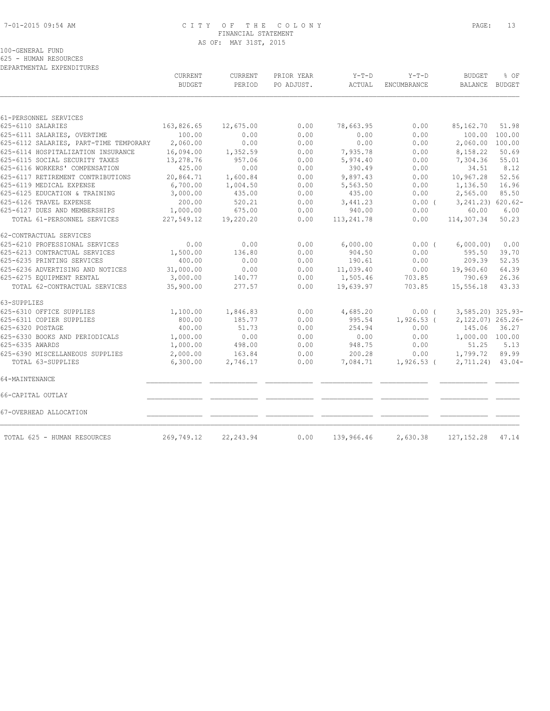# 7-01-2015 09:54 AM C I T Y O F T H E C O L O N Y PAGE: 13 FINANCIAL STATEMENT AS OF: MAY 31ST, 2015

# 100-GENERAL FUND 625 - HUMAN RESOURCES

|                                        | <b>CURRENT</b><br><b>BUDGET</b> | CURRENT<br>PERIOD | PRIOR YEAR<br>PO ADJUST. | $Y-T-D$<br>ACTUAL | $Y-T-D$<br>ENCUMBRANCE | <b>BUDGET</b><br>BALANCE | % OF<br><b>BUDGET</b> |
|----------------------------------------|---------------------------------|-------------------|--------------------------|-------------------|------------------------|--------------------------|-----------------------|
|                                        |                                 |                   |                          |                   |                        |                          |                       |
| 61-PERSONNEL SERVICES                  |                                 |                   |                          |                   |                        |                          |                       |
| 625-6110 SALARIES                      | 163,826.65                      | 12,675.00         | 0.00                     | 78,663.95         | 0.00                   | 85,162.70                | 51.98                 |
| 625-6111 SALARIES, OVERTIME            | 100.00                          | 0.00              | 0.00                     | 0.00              | 0.00                   | 100.00                   | 100.00                |
| 625-6112 SALARIES, PART-TIME TEMPORARY | 2,060.00                        | 0.00              | 0.00                     | 0.00              | 0.00                   | 2,060.00                 | 100.00                |
| 625-6114 HOSPITALIZATION INSURANCE     | 16,094.00                       | 1,352.59          | 0.00                     | 7,935.78          | 0.00                   | 8,158.22                 | 50.69                 |
| 625-6115 SOCIAL SECURITY TAXES         | 13,278.76                       | 957.06            | 0.00                     | 5,974.40          | 0.00                   | 7,304.36                 | 55.01                 |
| 625-6116 WORKERS' COMPENSATION         | 425.00                          | 0.00              | 0.00                     | 390.49            | 0.00                   | 34.51                    | 8.12                  |
| 625-6117 RETIREMENT CONTRIBUTIONS      | 20,864.71                       | 1,600.84          | 0.00                     | 9,897.43          | 0.00                   | 10,967.28                | 52.56                 |
| 625-6119 MEDICAL EXPENSE               | 6,700.00                        | 1,004.50          | 0.00                     | 5,563.50          | 0.00                   | 1,136.50                 | 16.96                 |
| 625-6125 EDUCATION & TRAINING          | 3,000.00                        | 435.00            | 0.00                     | 435.00            | 0.00                   | 2,565.00                 | 85.50                 |
| 625-6126 TRAVEL EXPENSE                | 200.00                          | 520.21            | 0.00                     | 3,441.23          | $0.00$ (               | 3, 241.23) 620.62-       |                       |
| 625-6127 DUES AND MEMBERSHIPS          | 1,000.00                        | 675.00            | 0.00                     | 940.00            | 0.00                   | 60.00                    | 6.00                  |
| TOTAL 61-PERSONNEL SERVICES            | 227,549.12                      | 19,220.20         | 0.00                     | 113,241.78        | 0.00                   | 114,307.34               | 50.23                 |
| 62-CONTRACTUAL SERVICES                |                                 |                   |                          |                   |                        |                          |                       |
| 625-6210 PROFESSIONAL SERVICES         | 0.00                            | 0.00              | 0.00                     | 6,000.00          | $0.00$ (               | 6,000.00)                | 0.00                  |
| 625-6213 CONTRACTUAL SERVICES          | 1,500.00                        | 136.80            | 0.00                     | 904.50            | 0.00                   | 595.50                   | 39.70                 |
| 625-6235 PRINTING SERVICES             | 400.00                          | 0.00              | 0.00                     | 190.61            | 0.00                   | 209.39                   | 52.35                 |
| 625-6236 ADVERTISING AND NOTICES       | 31,000.00                       | 0.00              | 0.00                     | 11,039.40         | 0.00                   | 19,960.60                | 64.39                 |
| 625-6275 EQUIPMENT RENTAL              | 3,000.00                        | 140.77            | 0.00                     | 1,505.46          | 703.85                 | 790.69                   | 26.36                 |
| TOTAL 62-CONTRACTUAL SERVICES          | 35,900.00                       | 277.57            | 0.00                     | 19,639.97         | 703.85                 | 15,556.18                | 43.33                 |
| 63-SUPPLIES                            |                                 |                   |                          |                   |                        |                          |                       |
| 625-6310 OFFICE SUPPLIES               | 1,100.00                        | 1,846.83          | 0.00                     | 4,685.20          | 0.00(                  | 3,585.20) 325.93-        |                       |
| 625-6311 COPIER SUPPLIES               | 800.00                          | 185.77            | 0.00                     | 995.54            | $1,926.53$ (           | 2,122.07) 265.26-        |                       |
| 625-6320 POSTAGE                       | 400.00                          | 51.73             | 0.00                     | 254.94            | 0.00                   | 145.06                   | 36.27                 |
| 625-6330 BOOKS AND PERIODICALS         | 1,000.00                        | 0.00              | 0.00                     | 0.00              | 0.00                   | 1,000.00 100.00          |                       |
| 625-6335 AWARDS                        | 1,000.00                        | 498.00            | 0.00                     | 948.75            | 0.00                   | 51.25                    | 5.13                  |
| 625-6390 MISCELLANEOUS SUPPLIES        | 2,000.00                        | 163.84            | 0.00                     | 200.28            | 0.00                   | 1,799.72                 | 89.99                 |
| TOTAL 63-SUPPLIES                      | 6,300.00                        | 2,746.17          | 0.00                     | 7,084.71          | $1,926.53$ (           | 2,711.24)                | $43.04-$              |
| 64-MAINTENANCE                         |                                 |                   |                          |                   |                        |                          |                       |
| 66-CAPITAL OUTLAY                      |                                 |                   |                          |                   |                        |                          |                       |
| 67-OVERHEAD ALLOCATION                 |                                 |                   |                          |                   |                        |                          |                       |
| TOTAL 625 - HUMAN RESOURCES            | 269,749.12                      | 22, 243.94        | 0.00                     | 139,966.46        | 2,630.38               | 127, 152.28              | 47.14                 |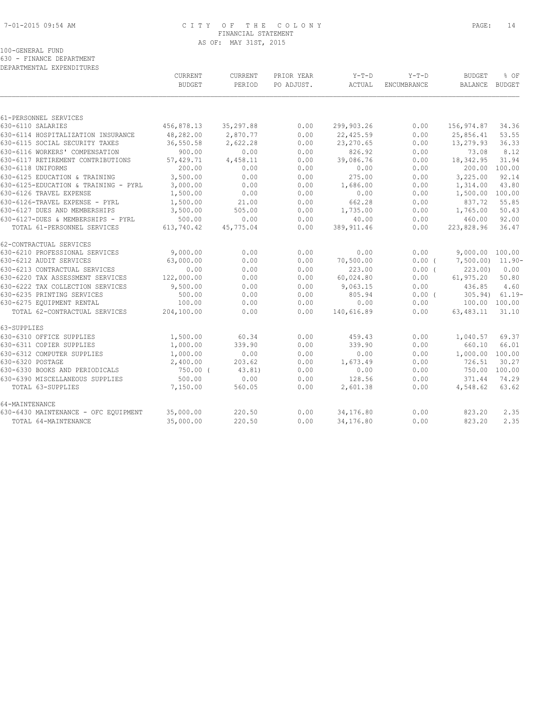64-MAINTENANCE

# 7-01-2015 09:54 AM C I T Y O F T H E C O L O N Y PAGE: 14 FINANCIAL STATEMENT

| TUOT. | ç |
|-------|---|
|       |   |
|       |   |
|       |   |

|                                      |               | AS OF: MAY 31ST, 2015 |            |             |             |                  |          |
|--------------------------------------|---------------|-----------------------|------------|-------------|-------------|------------------|----------|
| 100-GENERAL FUND                     |               |                       |            |             |             |                  |          |
| 630 - FINANCE DEPARTMENT             |               |                       |            |             |             |                  |          |
| DEPARTMENTAL EXPENDITURES            |               |                       |            |             |             |                  |          |
|                                      | CURRENT       | <b>CURRENT</b>        | PRIOR YEAR | $Y-T-D$     | $Y-T-D$     | BUDGET           | % OF     |
|                                      | <b>BUDGET</b> | PERIOD                | PO ADJUST. | ACTUAL      | ENCUMBRANCE | BALANCE          | BUDGET   |
|                                      |               |                       |            |             |             |                  |          |
| 61-PERSONNEL SERVICES                |               |                       |            |             |             |                  |          |
| 630-6110 SALARIES                    | 456,878.13    | 35,297.88             | 0.00       | 299,903.26  | 0.00        | 156,974.87       | 34.36    |
| 630-6114 HOSPITALIZATION INSURANCE   | 48,282.00     | 2,870.77              | 0.00       | 22,425.59   | 0.00        | 25,856.41        | 53.55    |
| 630-6115 SOCIAL SECURITY TAXES       | 36,550.58     | 2,622.28              | 0.00       | 23,270.65   | 0.00        | 13,279.93        | 36.33    |
| 630-6116 WORKERS' COMPENSATION       | 900.00        | 0.00                  | 0.00       | 826.92      | 0.00        | 73.08            | 8.12     |
| 630-6117 RETIREMENT CONTRIBUTIONS    | 57,429.71     | 4,458.11              | 0.00       | 39,086.76   | 0.00        | 18,342.95        | 31.94    |
| 630-6118 UNIFORMS                    | 200.00        | 0.00                  | 0.00       | 0.00        | 0.00        | 200.00           | 100.00   |
| 630-6125 EDUCATION & TRAINING        | 3,500.00      | 0.00                  | 0.00       | 275.00      | 0.00        | 3,225.00         | 92.14    |
| 630-6125-EDUCATION & TRAINING - PYRL | 3,000.00      | 0.00                  | 0.00       | 1,686.00    | 0.00        | 1,314.00         | 43.80    |
| 630-6126 TRAVEL EXPENSE              | 1,500.00      | 0.00                  | 0.00       | 0.00        | 0.00        | 1,500.00         | 100.00   |
| 630-6126-TRAVEL EXPENSE - PYRL       | 1,500.00      | 21.00                 | 0.00       | 662.28      | 0.00        | 837.72           | 55.85    |
| 630-6127 DUES AND MEMBERSHIPS        | 3,500.00      | 505.00                | 0.00       | 1,735.00    | 0.00        | 1,765.00         | 50.43    |
| 630-6127-DUES & MEMBERSHIPS - PYRL   | 500.00        | 0.00                  | 0.00       | 40.00       | 0.00        | 460.00           | 92.00    |
| TOTAL 61-PERSONNEL SERVICES          | 613,740.42    | 45,775.04             | 0.00       | 389, 911.46 | 0.00        | 223,828.96       | 36.47    |
| 62-CONTRACTUAL SERVICES              |               |                       |            |             |             |                  |          |
| 630-6210 PROFESSIONAL SERVICES       | 9,000.00      | 0.00                  | 0.00       | 0.00        | 0.00        | 9,000.00 100.00  |          |
| 630-6212 AUDIT SERVICES              | 63,000.00     | 0.00                  | 0.00       | 70,500.00   | $0.00$ (    | 7,500.00) 11.90- |          |
| 630-6213 CONTRACTUAL SERVICES        | 0.00          | 0.00                  | 0.00       | 223.00      | $0.00$ (    | 223.00           | 0.00     |
| 630-6220 TAX ASSESSMENT SERVICES     | 122,000.00    | 0.00                  | 0.00       | 60,024.80   | 0.00        | 61,975.20        | 50.80    |
| 630-6222 TAX COLLECTION SERVICES     | 9,500.00      | 0.00                  | 0.00       | 9,063.15    | 0.00        | 436.85           | 4.60     |
| 630-6235 PRINTING SERVICES           | 500.00        | 0.00                  | 0.00       | 805.94      | $0.00$ (    | 305.94)          | $61.19-$ |
| 630-6275 EQUIPMENT RENTAL            | 100.00        | 0.00                  | 0.00       | 0.00        | 0.00        | 100.00           | 100.00   |
| TOTAL 62-CONTRACTUAL SERVICES        | 204,100.00    | 0.00                  | 0.00       | 140,616.89  | 0.00        | 63,483.11        | 31.10    |
| 63-SUPPLIES                          |               |                       |            |             |             |                  |          |

630-6310 OFFICE SUPPLIES 1,500.00 60.34 0.00 459.43 0.00 1,040.57 69.37 630-6311 COPIER SUPPLIES 1,000.00 339.90 0.00 339.90 0.00 660.10 66.01 630-6312 COMPUTER SUPPLIES 1,000.00 0.00 0.00 0.00 0.00 1,000.00 100.00 630-6320 POSTAGE 2,400.00 203.62 0.00 1,673.49 0.00 726.51 30.27 630-6330 BOOKS AND PERIODICALS 750.00 ( 43.81) 0.00 0.00 0.00 750.00 100.00 630-6390 MISCELLANEOUS SUPPLIES 500.00 0.00 0.00 128.56 0.00 371.44 74.29 TOTAL 63-SUPPLIES 7,150.00 560.05 0.00 2,601.38 0.00 4,548.62 63.62

630-6430 MAINTENANCE - OFC EQUIPMENT 35,000.00 220.50 0.00 34,176.80 0.00 823.20 2.35 TOTAL 64-MAINTENANCE 35,000.00 220.50 0.00 34,176.80 0.00 823.20 2.35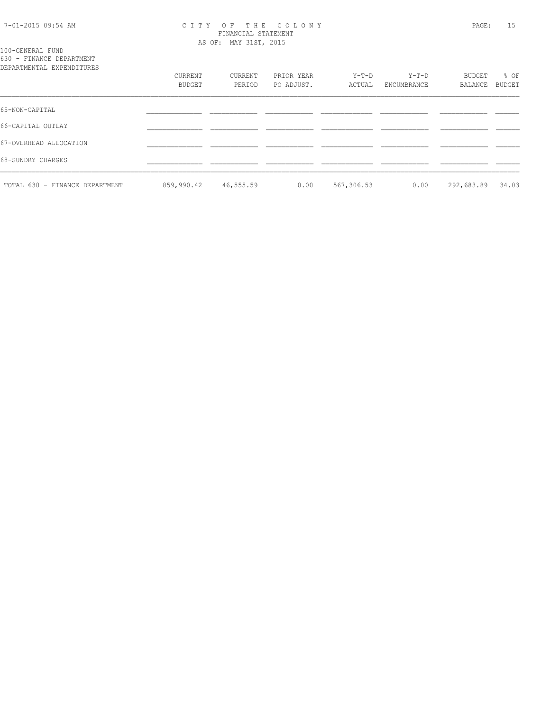#### 7-01-2015 09:54 AM C I T Y O F T H E C O L O N Y PAGE: 15 FINANCIAL STATEMENT AS OF: MAY 31ST, 2015

100-GENERAL FUND 630 - FINANCE DEPARTMENT

| DEPARTMENTAL EXPENDITURES      |                   |                   |                          |                   |                      |                   |                |
|--------------------------------|-------------------|-------------------|--------------------------|-------------------|----------------------|-------------------|----------------|
|                                | CURRENT<br>BUDGET | CURRENT<br>PERIOD | PRIOR YEAR<br>PO ADJUST. | $Y-T-D$<br>ACTUAL | Y-T-D<br>ENCUMBRANCE | BUDGET<br>BALANCE | % OF<br>BUDGET |
| 65-NON-CAPITAL                 |                   |                   |                          |                   |                      |                   |                |
| 66-CAPITAL OUTLAY              |                   |                   |                          |                   |                      |                   |                |
| 67-OVERHEAD ALLOCATION         |                   |                   |                          |                   |                      |                   |                |
| 68-SUNDRY CHARGES              |                   |                   |                          |                   |                      |                   |                |
| TOTAL 630 - FINANCE DEPARTMENT | 859,990.42        | 46,555.59         | 0.00                     | 567,306.53        | 0.00                 | 292,683.89        | 34.03          |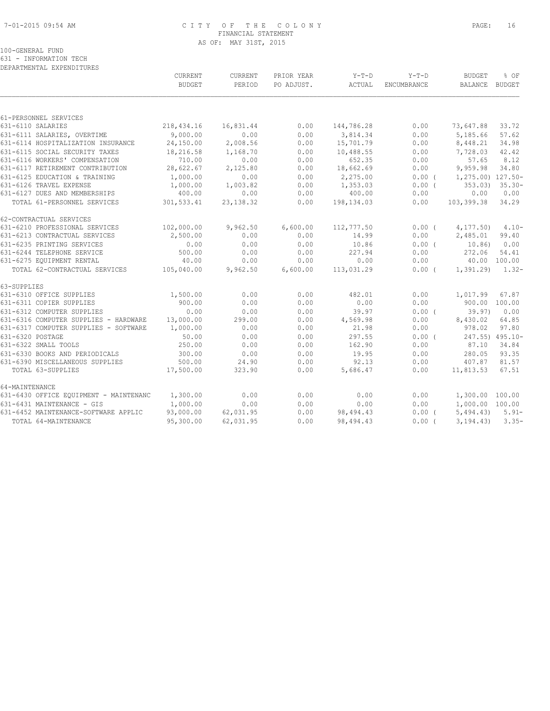# 7-01-2015 09:54 AM C I T Y O F T H E C O L O N Y PAGE: 16 FINANCIAL STATEMENT AS OF: MAY 31ST, 2015

100-GENERAL FUND 631 - INFORMATION TECH

|                                        | CURRENT       | CURRENT    | PRIOR YEAR | Y-T-D      | $Y-T-D$     | <b>BUDGET</b>           | % OF               |
|----------------------------------------|---------------|------------|------------|------------|-------------|-------------------------|--------------------|
|                                        | <b>BUDGET</b> | PERIOD     | PO ADJUST. | ACTUAL     | ENCUMBRANCE | BALANCE BUDGET          |                    |
|                                        |               |            |            |            |             |                         |                    |
| 61-PERSONNEL SERVICES                  |               |            |            |            |             |                         |                    |
| 631-6110 SALARIES                      | 218,434.16    | 16,831.44  | 0.00       | 144,786.28 | 0.00        | 73,647.88               | 33.72              |
| 631-6111 SALARIES, OVERTIME            | 9,000.00      | 0.00       | 0.00       | 3,814.34   | 0.00        | 5,185.66                | 57.62              |
| 631-6114 HOSPITALIZATION INSURANCE     | 24,150.00     | 2,008.56   | 0.00       | 15,701.79  | 0.00        | 8,448.21                | 34.98              |
| 631-6115 SOCIAL SECURITY TAXES         | 18,216.58     | 1,168.70   | 0.00       | 10,488.55  | 0.00        | 7,728.03                | 42.42              |
| 631-6116 WORKERS' COMPENSATION         | 710.00        | 0.00       | 0.00       | 652.35     | 0.00        | 57.65                   | 8.12               |
| 631-6117 RETIREMENT CONTRIBUTION       | 28,622.67     | 2,125.80   | 0.00       | 18,662.69  | 0.00        | 9,959.98                | 34.80              |
| 631-6125 EDUCATION & TRAINING          | 1,000.00      | 0.00       | 0.00       | 2,275.00   | $0.00$ (    | $1, 275.00$ ) $127.50-$ |                    |
| 631-6126 TRAVEL EXPENSE                | 1,000.00      | 1,003.82   | 0.00       | 1,353.03   | 0.00(       |                         | $353.03$ $35.30 -$ |
| 631-6127 DUES AND MEMBERSHIPS          | 400.00        | 0.00       | 0.00       | 400.00     | 0.00        | 0.00                    | 0.00               |
| TOTAL 61-PERSONNEL SERVICES            | 301,533.41    | 23, 138.32 | 0.00       | 198,134.03 | 0.00        | 103,399.38              | 34.29              |
| 62-CONTRACTUAL SERVICES                |               |            |            |            |             |                         |                    |
| 631-6210 PROFESSIONAL SERVICES         | 102,000.00    | 9,962.50   | 6,600.00   | 112,777.50 | $0.00$ (    | 4, 177, 50)             | $4.10 -$           |
| 631-6213 CONTRACTUAL SERVICES          | 2,500.00      | 0.00       | 0.00       | 14.99      | 0.00        | 2,485.01                | 99.40              |
| 631-6235 PRINTING SERVICES             | 0.00          | 0.00       | 0.00       | 10.86      | 0.00(       | 10.86)                  | 0.00               |
| 631-6244 TELEPHONE SERVICE             | 500.00        | 0.00       | 0.00       | 227.94     | 0.00        | 272.06                  | 54.41              |
| 631-6275 EQUIPMENT RENTAL              | 40.00         | 0.00       | 0.00       | 0.00       | 0.00        | 40.00 100.00            |                    |
| TOTAL 62-CONTRACTUAL SERVICES          | 105,040.00    | 9,962.50   | 6,600.00   | 113,031.29 | $0.00$ (    | $1,391,29$ $1,32-$      |                    |
| 63-SUPPLIES                            |               |            |            |            |             |                         |                    |
| 631-6310 OFFICE SUPPLIES               | 1,500.00      | 0.00       | 0.00       | 482.01     | 0.00        | 1,017.99                | 67.87              |
| 631-6311 COPIER SUPPLIES               | 900.00        | 0.00       | 0.00       | 0.00       | 0.00        | 900.00 100.00           |                    |
| 631-6312 COMPUTER SUPPLIES             | 0.00          | 0.00       | 0.00       | 39.97      | 0.00(       | 39.97                   | 0.00               |
| 631-6316 COMPUTER SUPPLIES - HARDWARE  | 13,000.00     | 299.00     | 0.00       | 4,569.98   | 0.00        | 8,430.02                | 64.85              |
| 631-6317 COMPUTER SUPPLIES - SOFTWARE  | 1,000.00      | 0.00       | 0.00       | 21.98      | 0.00        | 978.02                  | 97.80              |
| 631-6320 POSTAGE                       | 50.00         | 0.00       | 0.00       | 297.55     | 0.00(       | 247.55) 495.10-         |                    |
| 631-6322 SMALL TOOLS                   | 250.00        | 0.00       | 0.00       | 162.90     | 0.00        | 87.10                   | 34.84              |
| 631-6330 BOOKS AND PERIODICALS         | 300.00        | 0.00       | 0.00       | 19.95      | 0.00        | 280.05                  | 93.35              |
| 631-6390 MISCELLANEOUS SUPPLIES        | 500.00        | 24.90      | 0.00       | 92.13      | 0.00        | 407.87                  | 81.57              |
| TOTAL 63-SUPPLIES                      | 17,500.00     | 323.90     | 0.00       | 5,686.47   | 0.00        | 11,813.53               | 67.51              |
| 64-MAINTENANCE                         |               |            |            |            |             |                         |                    |
| 631-6430 OFFICE EQUIPMENT - MAINTENANC | 1,300.00      | 0.00       | 0.00       | 0.00       | 0.00        | 1,300.00 100.00         |                    |
| 631-6431 MAINTENANCE - GIS             | 1,000.00      | 0.00       | 0.00       | 0.00       | 0.00        | 1,000.00 100.00         |                    |
| 631-6452 MAINTENANCE-SOFTWARE APPLIC   | 93,000.00     | 62,031.95  | 0.00       | 98,494.43  | $0.00$ (    | $5,494.43$ $5.91-$      |                    |
| TOTAL 64-MAINTENANCE                   | 95,300.00     | 62,031.95  | 0.00       | 98,494.43  | 0.00(       | 3, 194, 43)             | $3.35-$            |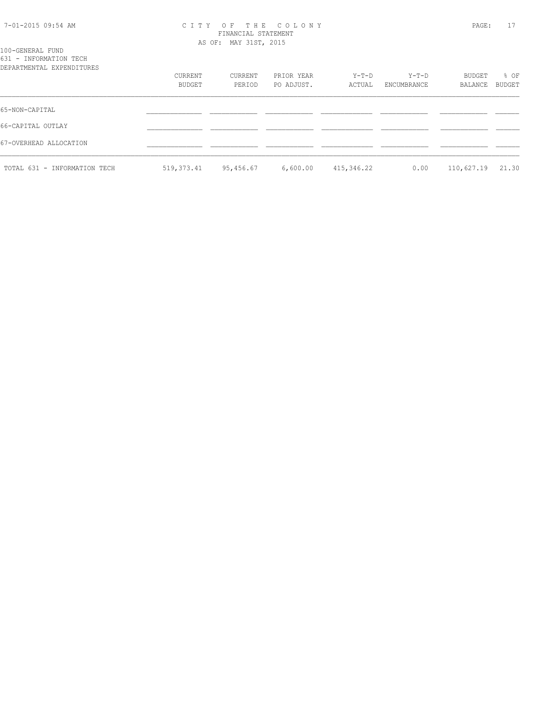| 7-01-2015 09:54 AM |  |  |
|--------------------|--|--|
|--------------------|--|--|

#### 7-01-2015 09:54 AM C I T Y O F T H E C O L O N Y PAGE: 17 FINANCIAL STATEMENT AS OF: MAY 31ST, 2015

| 100-GENERAL FUND       |                           |
|------------------------|---------------------------|
| 631 - INFORMATION TECH |                           |
|                        | DEPARTMENTAL EXPENDITURES |

| DEPARTMENTAL EXPENDITURES    |            |           |            |            |             |                  |        |
|------------------------------|------------|-----------|------------|------------|-------------|------------------|--------|
|                              | CURRENT    | CURRENT   | PRIOR YEAR | Y-T-D      | $Y-T-D$     | BUDGET           | % OF   |
|                              | BUDGET     | PERIOD    | PO ADJUST. | ACTUAL     | ENCUMBRANCE | BALANCE          | BUDGET |
|                              |            |           |            |            |             |                  |        |
| 65-NON-CAPITAL               |            |           |            |            |             |                  |        |
| 66-CAPITAL OUTLAY            |            |           |            |            |             |                  |        |
| 67-OVERHEAD ALLOCATION       |            |           |            |            |             |                  |        |
|                              |            |           |            |            |             |                  |        |
| TOTAL 631 - INFORMATION TECH | 519,373.41 | 95,456.67 | 6,600.00   | 415,346.22 | 0.00        | 110,627.19 21.30 |        |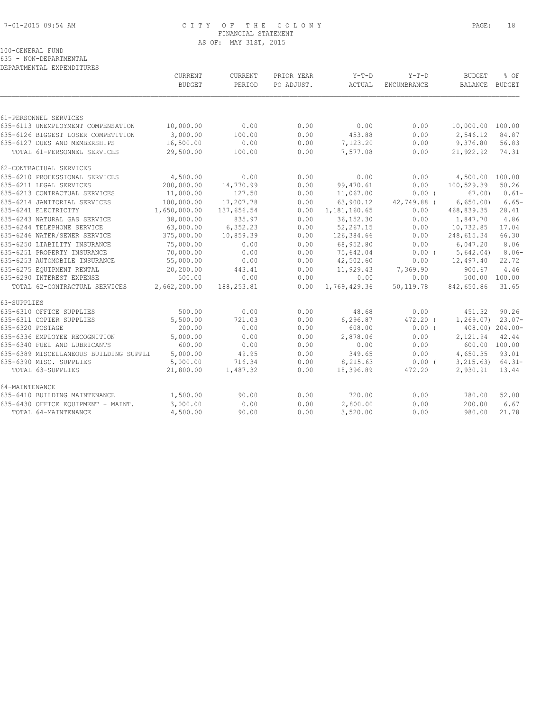#### 7-01-2015 09:54 AM C I T Y O F T H E C O L O N Y PAGE: 18 FINANCIAL STATEMENT AS OF: MAY 31ST, 2015

# 100-GENERAL FUND

635 - NON-DEPARTMENTAL

| DEPARTMENTAL EXPENDITURES |  |
|---------------------------|--|
|                           |  |

|                                        | CURRENT       | <b>CURRENT</b> | PRIOR YEAR | Y-T-D        | $Y-T-D$     | <b>BUDGET</b>        | % OF            |
|----------------------------------------|---------------|----------------|------------|--------------|-------------|----------------------|-----------------|
|                                        | <b>BUDGET</b> | PERIOD         | PO ADJUST. | ACTUAL       | ENCUMBRANCE | BALANCE              | BUDGET          |
|                                        |               |                |            |              |             |                      |                 |
| 61-PERSONNEL SERVICES                  |               |                |            |              |             |                      |                 |
| 635-6113 UNEMPLOYMENT COMPENSATION     | 10,000.00     | 0.00           | 0.00       | 0.00         | 0.00        | 10,000.00 100.00     |                 |
| 635-6126 BIGGEST LOSER COMPETITION     | 3,000.00      | 100.00         | 0.00       | 453.88       | 0.00        | 2,546.12             | 84.87           |
| 635-6127 DUES AND MEMBERSHIPS          | 16,500.00     | 0.00           | 0.00       | 7,123.20     | 0.00        | 9,376.80             | 56.83           |
| TOTAL 61-PERSONNEL SERVICES            | 29,500.00     | 100.00         | 0.00       | 7,577.08     | 0.00        | 21,922.92            | 74.31           |
| 62-CONTRACTUAL SERVICES                |               |                |            |              |             |                      |                 |
| 635-6210 PROFESSIONAL SERVICES         | 4,500.00      | 0.00           | 0.00       | 0.00         | 0.00        | 4,500.00 100.00      |                 |
| 635-6211 LEGAL SERVICES                | 200,000.00    | 14,770.99      | 0.00       | 99,470.61    | 0.00        | 100,529.39           | 50.26           |
| 635-6213 CONTRACTUAL SERVICES          | 11,000.00     | 127.50         | 0.00       | 11,067.00    | $0.00$ (    | 67.00                | $0.61-$         |
| 635-6214 JANITORIAL SERVICES           | 100,000.00    | 17,207.78      | 0.00       | 63,900.12    | 42,749.88 ( | 6,650.00             | $6.65-$         |
| 635-6241 ELECTRICITY                   | 1,650,000.00  | 137,656.54     | 0.00       | 1,181,160.65 | 0.00        | 468,839.35           | 28.41           |
| 635-6243 NATURAL GAS SERVICE           | 38,000.00     | 835.97         | 0.00       | 36, 152.30   | 0.00        | 1,847.70             | 4.86            |
| 635-6244 TELEPHONE SERVICE             | 63,000.00     | 6,352.23       | 0.00       | 52,267.15    | 0.00        | 10,732.85            | 17.04           |
| 635-6246 WATER/SEWER SERVICE           | 375,000.00    | 10,859.39      | 0.00       | 126,384.66   | 0.00        | 248,615.34           | 66.30           |
| 635-6250 LIABILITY INSURANCE           | 75,000.00     | 0.00           | 0.00       | 68,952.80    | 0.00        | 6,047.20             | 8.06            |
| 635-6251 PROPERTY INSURANCE            | 70,000.00     | 0.00           | 0.00       | 75,642.04    | 0.00(       | 5,642.04)            | $8.06-$         |
| 635-6253 AUTOMOBILE INSURANCE          | 55,000.00     | 0.00           | 0.00       | 42,502.60    | 0.00        | 12,497.40            | 22.72           |
| 635-6275 EOUIPMENT RENTAL              | 20,200.00     | 443.41         | 0.00       | 11,929.43    | 7,369.90    | 900.67               | 4.46            |
| 635-6290 INTEREST EXPENSE              | 500.00        | 0.00           | 0.00       | 0.00         | 0.00        | 500.00               | 100.00          |
| TOTAL 62-CONTRACTUAL SERVICES          | 2,662,200.00  | 188,253.81     | 0.00       | 1,769,429.36 | 50,119.78   | 842,650.86           | 31.65           |
| 63-SUPPLIES                            |               |                |            |              |             |                      |                 |
| 635-6310 OFFICE SUPPLIES               | 500.00        | 0.00           | 0.00       | 48.68        | 0.00        | 451.32               | 90.26           |
| 635-6311 COPIER SUPPLIES               | 5,500.00      | 721.03         | 0.00       | 6, 296.87    | 472.20 (    | 1,269.07             | $23.07-$        |
| 635-6320 POSTAGE                       | 200.00        | 0.00           | 0.00       | 608.00       | $0.00$ (    |                      | 408.00) 204.00- |
| 635-6336 EMPLOYEE RECOGNITION          | 5,000.00      | 0.00           | 0.00       | 2,878.06     | 0.00        | 2,121.94             | 42.44           |
| 635-6340 FUEL AND LUBRICANTS           | 600.00        | 0.00           | 0.00       | 0.00         | 0.00        |                      | 600.00 100.00   |
| 635-6389 MISCELLANEOUS BUILDING SUPPLI | 5,000.00      | 49.95          | 0.00       | 349.65       | 0.00        | 4,650.35             | 93.01           |
| 635-6390 MISC. SUPPLIES                | 5,000.00      | 716.34         | 0.00       | 8,215.63     | $0.00$ (    | $3, 215.63$ $64.31-$ |                 |
| TOTAL 63-SUPPLIES                      | 21,800.00     | 1,487.32       | 0.00       | 18,396.89    | 472.20      | 2,930.91             | 13.44           |
| 64-MAINTENANCE                         |               |                |            |              |             |                      |                 |
| 635-6410 BUILDING MAINTENANCE          | 1,500.00      | 90.00          | 0.00       | 720.00       | 0.00        | 780.00               | 52.00           |
| 635-6430 OFFICE EQUIPMENT - MAINT.     | 3,000.00      | 0.00           | 0.00       | 2,800.00     | 0.00        | 200.00               | 6.67            |
| TOTAL 64-MAINTENANCE                   | 4,500.00      | 90.00          | 0.00       | 3,520.00     | 0.00        | 980.00               | 21.78           |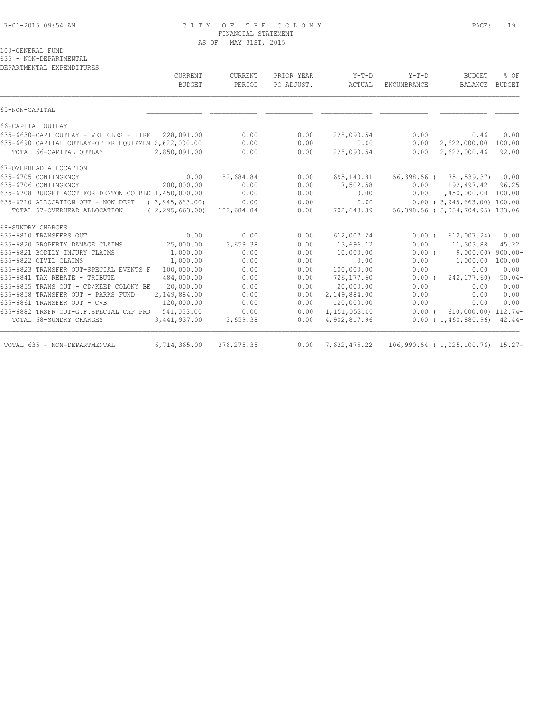#### 7-01-2015 09:54 AM C I T Y O F T H E C O L O N Y PAGE: 19 FINANCIAL STATEMENT AS OF: MAY 31ST, 2015

# 100-GENERAL FUND

635 - NON-DEPARTMENTAL

| DEPARTMENTAL EXPENDITURES |  |
|---------------------------|--|
|                           |  |

|                                                     | CURRENT           | CURRENT     | PRIOR YEAR | $Y-T-D$      | $Y-T-D$            | <b>BUDGET</b>                    | % OF          |
|-----------------------------------------------------|-------------------|-------------|------------|--------------|--------------------|----------------------------------|---------------|
|                                                     | <b>BUDGET</b>     | PERIOD      | PO ADJUST. | ACTUAL       | <b>ENCUMBRANCE</b> | BALANCE                          | <b>BUDGET</b> |
| 65-NON-CAPITAL                                      |                   |             |            |              |                    |                                  |               |
| 66-CAPITAL OUTLAY                                   |                   |             |            |              |                    |                                  |               |
| 635-6630-CAPT OUTLAY - VEHICLES - FIRE 228,091.00   |                   | 0.00        | 0.00       | 228,090.54   | 0.00               | 0.46                             | 0.00          |
| 635-6690 CAPITAL OUTLAY-OTHER EQUIPMEN 2,622,000.00 |                   | 0.00        | 0.00       | 0.00         | 0.00               | 2,622,000.00                     | 100.00        |
| TOTAL 66-CAPITAL OUTLAY                             | 2,850,091.00      | 0.00        | 0.00       | 228,090.54   | 0.00               | 2,622,000.46                     | 92.00         |
| 67-OVERHEAD ALLOCATION                              |                   |             |            |              |                    |                                  |               |
| 635-6705 CONTINGENCY                                | 0.00              | 182,684.84  | 0.00       | 695,140.81   |                    | 56,398.56 ( 751,539.37) 0.00     |               |
| 635-6706 CONTINGENCY                                | 200,000.00        | 0.00        | 0.00       | 7,502.58     |                    | $0.00$ 192,497.42                | 96.25         |
| 635-6708 BUDGET ACCT FOR DENTON CO BLD 1,450,000.00 |                   | 0.00        | 0.00       | 0.00         | 0.00               | 1,450,000.00 100.00              |               |
| 635-6710 ALLOCATION OUT - NON DEPT (3,945,663.00)   |                   | 0.00        | 0.00       | 0.00         |                    | $0.00$ ( 3,945,663.00) 100.00    |               |
| TOTAL 67-OVERHEAD ALLOCATION                        | (2, 295, 663, 00) | 182,684.84  | 0.00       | 702,643.39   |                    | 56,398.56 (3,054,704.95) 133.06  |               |
| 68-SUNDRY CHARGES                                   |                   |             |            |              |                    |                                  |               |
| 635-6810 TRANSFERS OUT                              | 0.00              | 0.00        | 0.00       | 612,007.24   | $0.00$ (           | 612,007.24)                      | 0.00          |
| 635-6820 PROPERTY DAMAGE CLAIMS                     | 25,000.00         | 3,659.38    | 0.00       | 13,696.12    | 0.00               | 11,303.88                        | 45.22         |
| 635-6821 BODILY INJURY CLAIMS                       | 1,000.00          | 0.00        | 0.00       | 10,000.00    | $0.00$ (           | 9,000.00) 900.00-                |               |
| 635-6822 CIVIL CLAIMS                               | 1,000.00          | 0.00        | 0.00       | 0.00         | 0.00               | 1,000.00                         | 100.00        |
| 635-6823 TRANSFER OUT-SPECIAL EVENTS F              | 100,000.00        | 0.00        | 0.00       | 100,000.00   | 0.00               | 0.00                             | 0.00          |
| 635-6841 TAX REBATE - TRIBUTE                       | 484,000.00        | 0.00        | 0.00       | 726,177.60   | $0.00$ (           | 242, 177, 60)                    | $50.04-$      |
| 635-6855 TRANS OUT - CD/KEEP COLONY BE              | 20,000.00         | 0.00        | 0.00       | 20,000.00    | 0.00               | 0.00                             | 0.00          |
| 635-6858 TRANSFER OUT - PARKS FUND                  | 2,149,884.00      | 0.00        | 0.00       | 2,149,884.00 | 0.00               | 0.00                             | 0.00          |
| 635-6861 TRANSFER OUT - CVB                         | 120,000.00        | 0.00        | 0.00       | 120,000.00   | 0.00               | 0.00                             | 0.00          |
| 635-6882 TRSFR OUT-G.F.SPECIAL CAP PRO 541,053.00   |                   | 0.00        | 0.00       | 1,151,053.00 | $0.00$ (           | 610,000.00) 112.74-              |               |
| TOTAL 68-SUNDRY CHARGES                             | 3,441,937.00      | 3,659.38    | 0.00       | 4,902,817.96 |                    | $0.00(1,460,880.96)$ 42.44-      |               |
| TOTAL 635 - NON-DEPARTMENTAL                        | 6,714,365.00      | 376, 275.35 | 0.00       | 7,632,475.22 |                    | 106,990.54 (1,025,100.76) 15.27- |               |
|                                                     |                   |             |            |              |                    |                                  |               |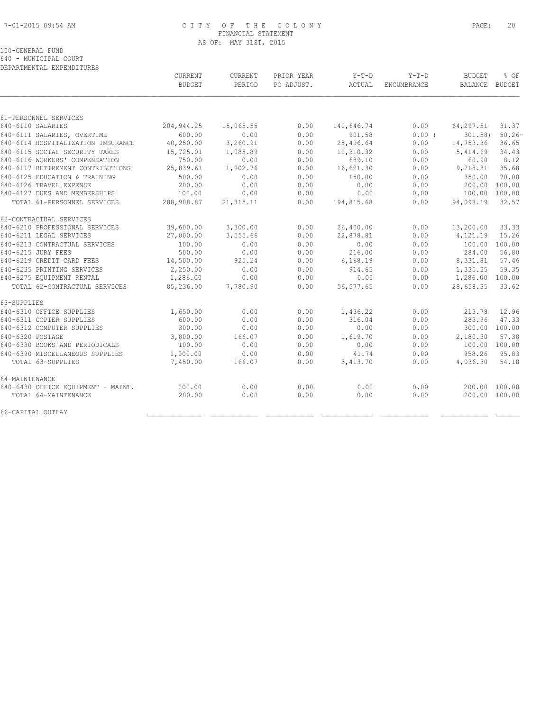# 7-01-2015 09:54 AM C I T Y O F T H E C O L O N Y PAGE: 20 FINANCIAL STATEMENT AS OF: MAY 31ST, 2015

100-GENERAL FUND 640 - MUNICIPAL COURT

|                                    | CURRENT       | CURRENT    | PRIOR YEAR | $Y-T-D$    | $Y-T-D$     | <b>BUDGET</b>   | % OF          |
|------------------------------------|---------------|------------|------------|------------|-------------|-----------------|---------------|
|                                    | <b>BUDGET</b> | PERIOD     | PO ADJUST. | ACTUAL     | ENCUMBRANCE | BALANCE BUDGET  |               |
|                                    |               |            |            |            |             |                 |               |
| 61-PERSONNEL SERVICES              |               |            |            |            |             |                 |               |
| 640-6110 SALARIES                  | 204, 944.25   | 15,065.55  | 0.00       | 140,646.74 | 0.00        | 64,297.51       | 31.37         |
| 640-6111 SALARIES, OVERTIME        | 600.00        | 0.00       | 0.00       | 901.58     | 0.00(       | 301.58          | $50.26 -$     |
| 640-6114 HOSPITALIZATION INSURANCE | 40,250.00     | 3,260.91   | 0.00       | 25,496.64  | 0.00        | 14,753.36       | 36.65         |
| 640-6115 SOCIAL SECURITY TAXES     | 15,725.01     | 1,085.89   | 0.00       | 10,310.32  | 0.00        | 5,414.69        | 34.43         |
| 640-6116 WORKERS' COMPENSATION     | 750.00        | 0.00       | 0.00       | 689.10     | 0.00        | 60.90           | 8.12          |
| 640-6117 RETIREMENT CONTRIBUTIONS  | 25,839.61     | 1,902.76   | 0.00       | 16,621.30  | 0.00        | 9,218.31        | 35.68         |
| 640-6125 EDUCATION & TRAINING      | 500.00        | 0.00       | 0.00       | 150.00     | 0.00        | 350.00          | 70.00         |
| 640-6126 TRAVEL EXPENSE            | 200.00        | 0.00       | 0.00       | 0.00       | 0.00        | 200.00          | 100.00        |
| 640-6127 DUES AND MEMBERSHIPS      | 100.00        | 0.00       | 0.00       | 0.00       | 0.00        | 100.00          | 100.00        |
| TOTAL 61-PERSONNEL SERVICES        | 288,908.87    | 21, 315.11 | 0.00       | 194,815.68 | 0.00        | 94,093.19       | 32.57         |
| 62-CONTRACTUAL SERVICES            |               |            |            |            |             |                 |               |
| 640-6210 PROFESSIONAL SERVICES     | 39,600.00     | 3,300.00   | 0.00       | 26,400.00  | 0.00        | 13,200.00       | 33.33         |
| 640-6211 LEGAL SERVICES            | 27,000.00     | 3,555.66   | 0.00       | 22,878.81  | 0.00        | 4,121.19        | 15.26         |
| 640-6213 CONTRACTUAL SERVICES      | 100.00        | 0.00       | 0.00       | 0.00       | 0.00        | 100.00          | 100.00        |
| 640-6215 JURY FEES                 | 500.00        | 0.00       | 0.00       | 216.00     | 0.00        | 284.00          | 56.80         |
| 640-6219 CREDIT CARD FEES          | 14,500.00     | 925.24     | 0.00       | 6, 168.19  | 0.00        | 8,331.81        | 57.46         |
| 640-6235 PRINTING SERVICES         | 2,250.00      | 0.00       | 0.00       | 914.65     | 0.00        | 1,335.35        | 59.35         |
| 640-6275 EQUIPMENT RENTAL          | 1,286.00      | 0.00       | 0.00       | 0.00       | 0.00        | 1,286.00 100.00 |               |
| TOTAL 62-CONTRACTUAL SERVICES      | 85,236.00     | 7,780.90   | 0.00       | 56, 577.65 | 0.00        | 28,658.35       | 33.62         |
| 63-SUPPLIES                        |               |            |            |            |             |                 |               |
| 640-6310 OFFICE SUPPLIES           | 1,650.00      | 0.00       | 0.00       | 1,436.22   | 0.00        | 213.78          | 12.96         |
| 640-6311 COPIER SUPPLIES           | 600.00        | 0.00       | 0.00       | 316.04     | 0.00        | 283.96          | 47.33         |
| 640-6312 COMPUTER SUPPLIES         | 300.00        | 0.00       | 0.00       | 0.00       | 0.00        |                 | 300.00 100.00 |
| 640-6320 POSTAGE                   | 3,800.00      | 166.07     | 0.00       | 1,619.70   | 0.00        | 2,180.30        | 57.38         |
| 640-6330 BOOKS AND PERIODICALS     | 100.00        | 0.00       | 0.00       | 0.00       | 0.00        |                 | 100.00 100.00 |
| 640-6390 MISCELLANEOUS SUPPLIES    | 1,000.00      | 0.00       | 0.00       | 41.74      | 0.00        | 958.26          | 95.83         |
| TOTAL 63-SUPPLIES                  | 7,450.00      | 166.07     | 0.00       | 3,413.70   | 0.00        | 4,036.30        | 54.18         |
| 64-MAINTENANCE                     |               |            |            |            |             |                 |               |
| 640-6430 OFFICE EQUIPMENT - MAINT. | 200.00        | 0.00       | 0.00       | 0.00       | 0.00        |                 | 200.00 100.00 |
| TOTAL 64-MAINTENANCE               | 200.00        | 0.00       | 0.00       | 0.00       | 0.00        |                 | 200.00 100.00 |
| 66-CAPITAL OUTLAY                  |               |            |            |            |             |                 |               |
|                                    |               |            |            |            |             |                 |               |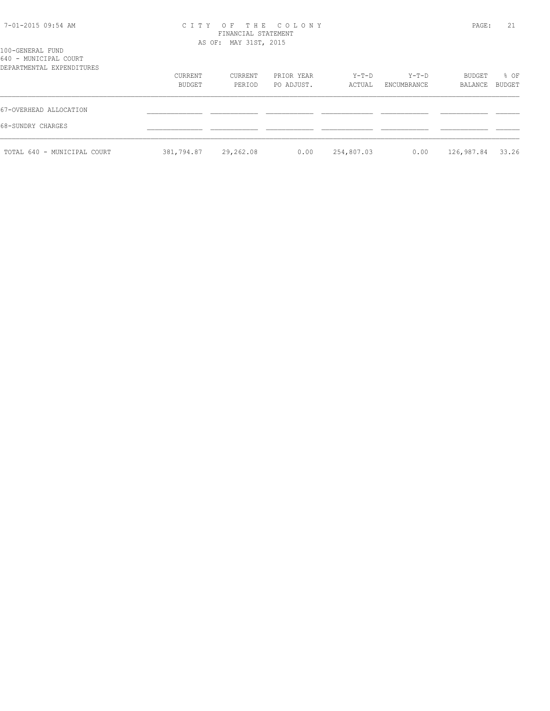| 7-01-2015 09:54 AM |  |  |
|--------------------|--|--|
|--------------------|--|--|

# 7-01-2015 09:54 AM C I T Y O F T H E C O L O N Y PAGE: 21 FINANCIAL STATEMENT AS OF: MAY 31ST, 2015

| DEPARTMENTAL EXPENDITURES   |            |           |            |            |             |            |        |
|-----------------------------|------------|-----------|------------|------------|-------------|------------|--------|
|                             | CURRENT    | CURRENT   | PRIOR YEAR | Y-T-D      | Y-T-D       | BUDGET     | % OF   |
|                             | BUDGET     | PERIOD    | PO ADJUST. | ACTUAL     | ENCUMBRANCE | BALANCE    | BUDGET |
| 67-OVERHEAD ALLOCATION      |            |           |            |            |             |            |        |
| 68-SUNDRY CHARGES           |            |           |            |            |             |            |        |
| TOTAL 640 - MUNICIPAL COURT | 381,794.87 | 29,262.08 | 0.00       | 254,807.03 | 0.00        | 126,987.84 | 33.26  |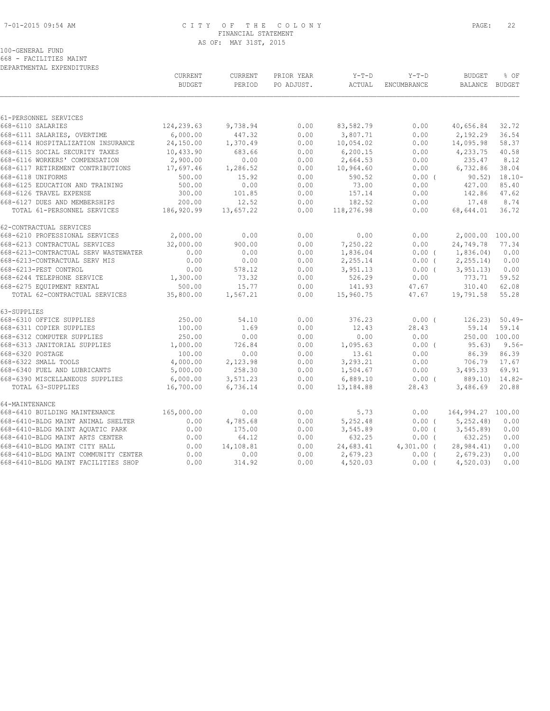# 7-01-2015 09:54 AM C I T Y O F T H E C O L O N Y PAGE: 22 FINANCIAL STATEMENT AS OF: MAY 31ST, 2015

100-GENERAL FUND 668 - FACILITIES MAINT

|                                      | CURRENT       | CURRENT   | PRIOR YEAR | $Y-T-D$    | $Y-T-D$      | <b>BUDGET</b>     | % OF                |
|--------------------------------------|---------------|-----------|------------|------------|--------------|-------------------|---------------------|
|                                      | <b>BUDGET</b> | PERIOD    | PO ADJUST. | ACTUAL     | ENCUMBRANCE  | BALANCE BUDGET    |                     |
|                                      |               |           |            |            |              |                   |                     |
| 61-PERSONNEL SERVICES                |               |           |            |            |              |                   |                     |
| 668-6110 SALARIES                    | 124,239.63    | 9,738.94  | 0.00       | 83,582.79  | 0.00         | 40,656.84         | 32.72               |
| 668-6111 SALARIES, OVERTIME          | 6,000.00      | 447.32    | 0.00       | 3,807.71   | 0.00         | 2,192.29          | 36.54               |
| 668-6114 HOSPITALIZATION INSURANCE   | 24,150.00     | 1,370.49  | 0.00       | 10,054.02  | 0.00         | 14,095.98         | 58.37               |
| 668-6115 SOCIAL SECURITY TAXES       | 10,433.90     | 683.66    | 0.00       | 6, 200.15  | 0.00         | 4,233.75          | 40.58               |
| 668-6116 WORKERS' COMPENSATION       | 2,900.00      | 0.00      | 0.00       | 2,664.53   | 0.00         | 235.47            | 8.12                |
| 668-6117 RETIREMENT CONTRIBUTIONS    | 17,697.46     | 1,286.52  | 0.00       | 10,964.60  | 0.00         | 6,732.86          | 38.04               |
| 668-6118 UNIFORMS                    | 500.00        | 15.92     | 0.00       | 590.52     | 0.00(        |                   | $90.52$ ) $18.10 -$ |
| 668-6125 EDUCATION AND TRAINING      | 500.00        | 0.00      | 0.00       | 73.00      | 0.00         | 427.00            | 85.40               |
| 668-6126 TRAVEL EXPENSE              | 300.00        | 101.85    | 0.00       | 157.14     | 0.00         | 142.86            | 47.62               |
| 668-6127 DUES AND MEMBERSHIPS        | 200.00        | 12.52     | 0.00       | 182.52     | 0.00         | 17.48             | 8.74                |
| TOTAL 61-PERSONNEL SERVICES          | 186,920.99    | 13,657.22 | 0.00       | 118,276.98 | 0.00         | 68,644.01         | 36.72               |
| 62-CONTRACTUAL SERVICES              |               |           |            |            |              |                   |                     |
| 668-6210 PROFESSIONAL SERVICES       | 2,000.00      | 0.00      | 0.00       | 0.00       | 0.00         | 2,000.00 100.00   |                     |
| 668-6213 CONTRACTUAL SERVICES        | 32,000.00     | 900.00    | 0.00       | 7,250.22   | 0.00         | 24,749.78         | 77.34               |
| 668-6213-CONTRACTUAL SERV WASTEWATER | 0.00          | 0.00      | 0.00       | 1,836.04   | $0.00$ (     | 1,836.04)         | 0.00                |
| 668-6213-CONTRACTUAL SERV MIS        | 0.00          | 0.00      | 0.00       | 2,255.14   | $0.00$ (     | 2, 255.14         | 0.00                |
| 668-6213-PEST CONTROL                | 0.00          | 578.12    | 0.00       | 3,951.13   | $0.00$ (     | 3, 951, 13)       | 0.00                |
| 668-6244 TELEPHONE SERVICE           | 1,300.00      | 73.32     | 0.00       | 526.29     | 0.00         | 773.71            | 59.52               |
| 668-6275 EQUIPMENT RENTAL            | 500.00        | 15.77     | 0.00       | 141.93     | 47.67        | 310.40            | 62.08               |
| TOTAL 62-CONTRACTUAL SERVICES        | 35,800.00     | 1,567.21  | 0.00       | 15,960.75  | 47.67        | 19,791.58         | 55.28               |
| 63-SUPPLIES                          |               |           |            |            |              |                   |                     |
| 668-6310 OFFICE SUPPLIES             | 250.00        | 54.10     | 0.00       | 376.23     | 0.00(        | 126.23)           | $50.49-$            |
| 668-6311 COPIER SUPPLIES             | 100.00        | 1.69      | 0.00       | 12.43      | 28.43        | 59.14             | 59.14               |
| 668-6312 COMPUTER SUPPLIES           | 250.00        | 0.00      | 0.00       | 0.00       | 0.00         | 250.00 100.00     |                     |
| 668-6313 JANITORIAL SUPPLIES         | 1,000.00      | 726.84    | 0.00       | 1,095.63   | $0.00$ (     | 95.63)            | $9.56 -$            |
| 668-6320 POSTAGE                     | 100.00        | 0.00      | 0.00       | 13.61      | 0.00         | 86.39             | 86.39               |
| 668-6322 SMALL TOOLS                 | 4,000.00      | 2,123.98  | 0.00       | 3,293.21   | 0.00         | 706.79            | 17.67               |
| 668-6340 FUEL AND LUBRICANTS         | 5,000.00      | 258.30    | 0.00       | 1,504.67   | 0.00         | 3,495.33          | 69.91               |
| 668-6390 MISCELLANEOUS SUPPLIES      | 6,000.00      | 3,571.23  | 0.00       | 6,889.10   | 0.00(        | 889.10) 14.82-    |                     |
| TOTAL 63-SUPPLIES                    | 16,700.00     | 6,736.14  | 0.00       | 13,184.88  | 28.43        | 3,486.69          | 20.88               |
| 64-MAINTENANCE                       |               |           |            |            |              |                   |                     |
| 668-6410 BUILDING MAINTENANCE        | 165,000.00    | 0.00      | 0.00       | 5.73       | 0.00         | 164,994.27 100.00 |                     |
| 668-6410-BLDG MAINT ANIMAL SHELTER   | 0.00          | 4,785.68  | 0.00       | 5,252.48   | $0.00$ (     | 5, 252.48         | 0.00                |
| 668-6410-BLDG MAINT AQUATIC PARK     | 0.00          | 175.00    | 0.00       | 3,545.89   | 0.00(        | 3, 545.89         | 0.00                |
| 668-6410-BLDG MAINT ARTS CENTER      | 0.00          | 64.12     | 0.00       | 632.25     | $0.00$ (     | 632.25            | 0.00                |
| 668-6410-BLDG MAINT CITY HALL        | 0.00          | 14,108.81 | 0.00       | 24,683.41  | $4,301.00$ ( | 28,984.41)        | 0.00                |
| 668-6410-BLDG MAINT COMMUNITY CENTER | 0.00          | 0.00      | 0.00       | 2,679.23   | 0.00(        | 2,679.23          | 0.00                |
| 668-6410-BLDG MAINT FACILITIES SHOP  | 0.00          | 314.92    | 0.00       | 4,520.03   | $0.00$ (     | 4,520.03          | 0.00                |
|                                      |               |           |            |            |              |                   |                     |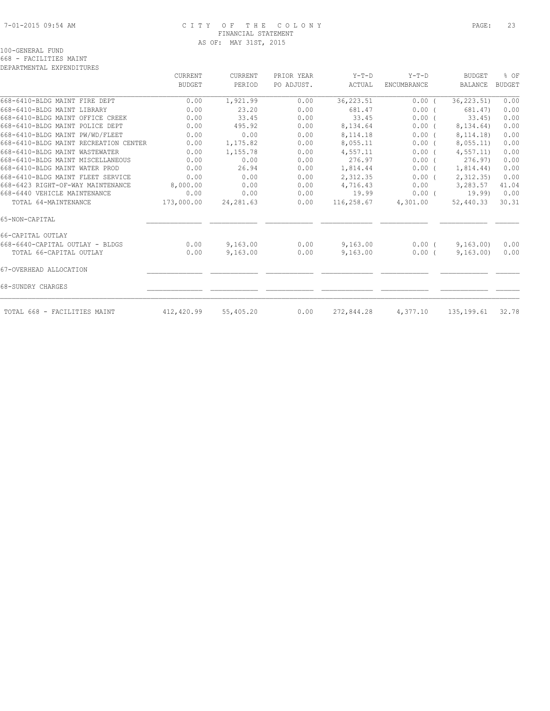### 7-01-2015 09:54 AM C I T Y O F T H E C O L O N Y PAGE: 23 FINANCIAL STATEMENT AS OF: MAY 31ST, 2015

|                                       | CURRENT       | <b>CURRENT</b> | PRIOR YEAR | $Y-T-D$    | $Y-T-D$     | <b>BUDGET</b>  | % OF          |
|---------------------------------------|---------------|----------------|------------|------------|-------------|----------------|---------------|
|                                       | <b>BUDGET</b> | PERIOD         | PO ADJUST. | ACTUAL     | ENCUMBRANCE | <b>BALANCE</b> | <b>BUDGET</b> |
| 668-6410-BLDG MAINT FIRE DEPT         | 0.00          | 1,921.99       | 0.00       | 36, 223.51 | $0.00$ (    | 36, 223.51)    | 0.00          |
| 668-6410-BLDG MAINT LIBRARY           | 0.00          | 23.20          | 0.00       | 681.47     | 0.00(       | 681.47)        | 0.00          |
| 668-6410-BLDG MAINT OFFICE CREEK      | 0.00          | 33.45          | 0.00       | 33.45      | 0.00(       | 33.45          | 0.00          |
| 668-6410-BLDG MAINT POLICE DEPT       | 0.00          | 495.92         | 0.00       | 8,134.64   | $0.00$ (    | 8,134.64)      | 0.00          |
| 668-6410-BLDG MAINT PW/WD/FLEET       | 0.00          | 0.00           | 0.00       | 8,114.18   | 0.00(       | 8, 114. 18)    | 0.00          |
| 668-6410-BLDG MAINT RECREATION CENTER | 0.00          | 1,175.82       | 0.00       | 8,055.11   | 0.00(       | 8,055.11)      | 0.00          |
| 668-6410-BLDG MAINT WASTEWATER        | 0.00          | 1,155.78       | 0.00       | 4,557.11   | 0.00(       | 4, 557.11      | 0.00          |
| 668-6410-BLDG MAINT MISCELLANEOUS     | 0.00          | 0.00           | 0.00       | 276.97     | $0.00$ (    | 276.97         | 0.00          |
| 668-6410-BLDG MAINT WATER PROD        | 0.00          | 26.94          | 0.00       | 1,814.44   | 0.00(       | 1,814.44)      | 0.00          |
| 668-6410-BLDG MAINT FLEET SERVICE     | 0.00          | 0.00           | 0.00       | 2,312.35   | 0.00(       | 2,312.35       | 0.00          |
| 668-6423 RIGHT-OF-WAY MAINTENANCE     | 8,000.00      | 0.00           | 0.00       | 4,716.43   | 0.00        | 3,283.57       | 41.04         |
| 668-6440 VEHICLE MAINTENANCE          | 0.00          | 0.00           | 0.00       | 19.99      | $0.00$ (    | 19.99)         | 0.00          |
| TOTAL 64-MAINTENANCE                  | 173,000.00    | 24, 281.63     | 0.00       | 116,258.67 | 4,301.00    | 52,440.33      | 30.31         |
| 65-NON-CAPITAL                        |               |                |            |            |             |                |               |
| 66-CAPITAL OUTLAY                     |               |                |            |            |             |                |               |
| 668-6640-CAPITAL OUTLAY - BLDGS       | 0.00          | 9,163.00       | 0.00       | 9,163.00   | $0.00$ (    | 9,163.00       | 0.00          |
| TOTAL 66-CAPITAL OUTLAY               | 0.00          | 9,163.00       | 0.00       | 9,163.00   | $0.00$ (    | 9,163.00       | 0.00          |
| 67-OVERHEAD ALLOCATION                |               |                |            |            |             |                |               |
| 68-SUNDRY CHARGES                     |               |                |            |            |             |                |               |
| TOTAL 668 - FACILITIES MAINT          | 412,420.99    | 55,405.20      | 0.00       | 272,844.28 | 4,377.10    | 135, 199.61    | 32.78         |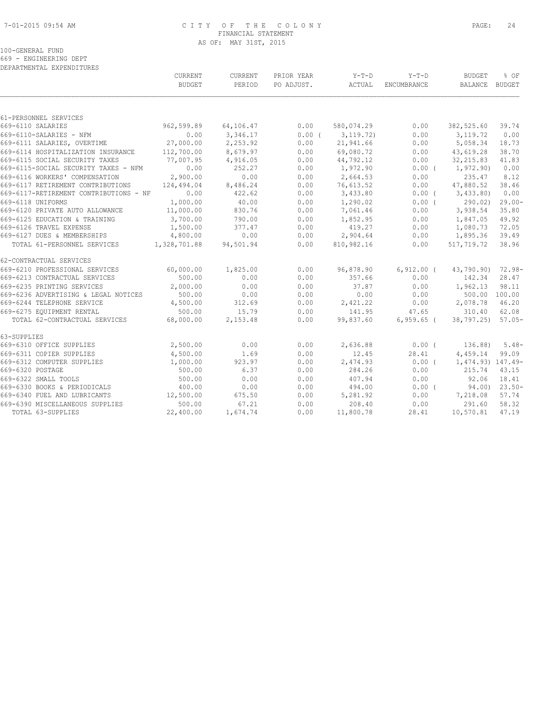#### 7-01-2015 09:54 AM C I T Y O F T H E C O L O N Y PAGE: 24 FINANCIAL STATEMENT AS OF: MAY 31ST, 2015

|  | 100-GENERAL FUND |                        |  |
|--|------------------|------------------------|--|
|  |                  | 669 - ENGINEERING DEPT |  |

|                                        | <b>CURRENT</b><br><b>BUDGET</b>          | <b>CURRENT</b><br>PERIOD | PRIOR YEAR<br>PO ADJUST. | $Y-T-D$<br>ACTUAL | $Y-T-D$<br>ENCUMBRANCE | <b>BUDGET</b><br>BALANCE BUDGET | % OF      |
|----------------------------------------|------------------------------------------|--------------------------|--------------------------|-------------------|------------------------|---------------------------------|-----------|
|                                        |                                          |                          |                          |                   |                        |                                 |           |
| 61-PERSONNEL SERVICES                  |                                          |                          |                          |                   |                        |                                 |           |
| 669-6110 SALARIES                      | 962,599.89                               | 64,106.47                | 0.00                     | 580,074.29        | 0.00                   | 382,525.60                      | 39.74     |
| 669-6110-SALARIES - NFM                | 0.00                                     | 3,346.17                 | $0.00$ (                 | 3, 119, 72)       | 0.00                   | 3, 119.72                       | 0.00      |
|                                        | 669-6111 SALARIES, OVERTIME 27,000.00    | 2,253.92                 | 0.00                     | 21,941.66         | 0.00                   | 5,058.34                        | 18.73     |
| 669-6114 HOSPITALIZATION INSURANCE     | 112,700.00                               | 8,679.97                 | 0.00                     | 69,080.72         | 0.00                   | 43,619.28                       | 38.70     |
| 669-6115 SOCIAL SECURITY TAXES         | 77,007.95                                | 4,916.05                 | 0.00                     | 44,792.12         | 0.00                   | 32, 215.83                      | 41.83     |
| 669-6115-SOCIAL SECURITY TAXES - NFM   | 0.00                                     | 252.27                   | 0.00                     | 1,972.90          | $0.00$ (               | 1,972.90)                       | 0.00      |
| 669-6116 WORKERS' COMPENSATION         | 2,900.00                                 | 0.00                     | 0.00                     | 2,664.53          | 0.00                   | 235.47                          | 8.12      |
| 669-6117 RETIREMENT CONTRIBUTIONS      | 124,494.04                               | 8,486.24                 | 0.00                     | 76,613.52         | 0.00                   | 47,880.52                       | 38.46     |
| 669-6117-RETIREMENT CONTRIBUTIONS - NF | 0.00                                     | 422.62                   | 0.00                     | 3,433.80          | $0.00$ (               | 3,433.80)                       | 0.00      |
| 669-6118 UNIFORMS                      | 1,000.00                                 | 40.00                    | 0.00                     | 1,290.02          | 0.00(                  | 290.02                          | $29.00 -$ |
| 669-6120 PRIVATE AUTO ALLOWANCE        | 11,000.00                                | 830.76                   | 0.00                     | 7,061.46          | 0.00                   | 3,938.54                        | 35.80     |
| 669-6125 EDUCATION & TRAINING          | 3,700.00                                 | 790.00                   | 0.00                     | 1,852.95          | 0.00                   | 1,847.05                        | 49.92     |
| 669-6126 TRAVEL EXPENSE                | 1,500.00                                 | 377.47                   | 0.00                     | 419.27            | 0.00                   | 1,080.73                        | 72.05     |
| 669-6127 DUES & MEMBERSHIPS            | 4,800.00                                 | 0.00                     | 0.00                     | 2,904.64          | 0.00                   | 1,895.36                        | 39.49     |
|                                        | TOTAL 61-PERSONNEL SERVICES 1,328,701.88 | 94,501.94                | 0.00                     | 810,982.16        | 0.00                   | 517,719.72                      | 38.96     |
| 62-CONTRACTUAL SERVICES                |                                          |                          |                          |                   |                        |                                 |           |
| 669-6210 PROFESSIONAL SERVICES         | 60,000.00                                | 1,825.00                 | 0.00                     | 96,878.90         | $6,912.00$ (           | 43,790.90)                      | $72.98-$  |
| 669-6213 CONTRACTUAL SERVICES          | 500.00                                   | 0.00                     | 0.00                     | 357.66            | 0.00                   | 142.34                          | 28.47     |
| 669-6235 PRINTING SERVICES             | 2,000.00                                 | 0.00                     | 0.00                     | 37.87             | 0.00                   | 1,962.13                        | 98.11     |
| 669-6236 ADVERTISING & LEGAL NOTICES   | 500.00                                   | 0.00                     | 0.00                     | 0.00              | 0.00                   | 500.00 100.00                   |           |
| 669-6244 TELEPHONE SERVICE             | 4,500.00                                 | 312.69                   | 0.00                     | 2,421.22          | 0.00                   | 2,078.78                        | 46.20     |
| 669-6275 EQUIPMENT RENTAL              | 500.00                                   | 15.79                    | 0.00                     | 141.95            | 47.65                  | 310.40                          | 62.08     |
| TOTAL 62-CONTRACTUAL SERVICES          | 68,000.00                                | 2,153.48                 | 0.00                     | 99,837.60         | $6,959.65$ (           | 38,797.25)                      | $57.05-$  |
| 63-SUPPLIES                            |                                          |                          |                          |                   |                        |                                 |           |
| 669-6310 OFFICE SUPPLIES               | 2,500.00                                 | 0.00                     | 0.00                     | 2,636.88          | $0.00$ (               | 136.88)                         | $5.48-$   |
| 669-6311 COPIER SUPPLIES               | 4,500.00                                 | 1.69                     | 0.00                     | 12.45             | 28.41                  | 4,459.14                        | 99.09     |
| 669-6312 COMPUTER SUPPLIES             | 1,000.00                                 | 923.97                   | 0.00                     | 2,474.93          | $0.00$ (               | 1,474.93) 147.49-               |           |
| 669-6320 POSTAGE                       | 500.00                                   | 6.37                     | 0.00                     | 284.26            | 0.00                   | 215.74                          | 43.15     |
| 669-6322 SMALL TOOLS                   | 500.00                                   | 0.00                     | 0.00                     | 407.94            | 0.00                   | 92.06                           | 18.41     |
| 669-6330 BOOKS & PERIODICALS           | 400.00                                   | 0.00                     | 0.00                     | 494.00            | $0.00$ (               | 94.00)                          | $23.50-$  |
| 669-6340 FUEL AND LUBRICANTS           | 12,500.00                                | 675.50                   | 0.00                     | 5,281.92          | 0.00                   | 7,218.08                        | 57.74     |
| 669-6390 MISCELLANEOUS SUPPLIES        | 500.00                                   | 67.21                    | 0.00                     | 208.40            | 0.00                   | 291.60                          | 58.32     |
| TOTAL 63-SUPPLIES                      | 22,400.00                                | 1,674.74                 | 0.00                     | 11,800.78         | 28.41                  | 10,570.81                       | 47.19     |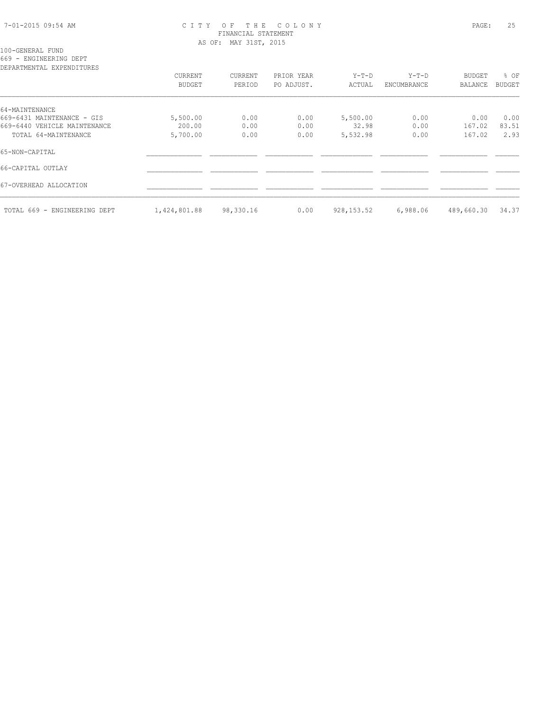#### 7-01-2015 09:54 AM C I T Y O F T H E C O L O N Y PAGE: 25 FINANCIAL STATEMENT AS OF: MAY 31ST, 2015

100-GENERAL FUND

669 - ENGINEERING DEPT

| DEPARTMENTAL EXPENDITURES    |              |           |            |             |             |                |        |
|------------------------------|--------------|-----------|------------|-------------|-------------|----------------|--------|
|                              | CURRENT      | CURRENT   | PRIOR YEAR | $Y-T-D$     | Y-T-D       | <b>BUDGET</b>  | % OF   |
|                              | BUDGET       | PERIOD    | PO ADJUST. | ACTUAL      | ENCUMBRANCE | <b>BALANCE</b> | BUDGET |
| 64-MAINTENANCE               |              |           |            |             |             |                |        |
| 669-6431 MAINTENANCE - GIS   | 5,500.00     | 0.00      | 0.00       | 5,500.00    | 0.00        | 0.00           | 0.00   |
| 669-6440 VEHICLE MAINTENANCE | 200.00       | 0.00      | 0.00       | 32.98       | 0.00        | 167.02         | 83.51  |
| TOTAL 64-MAINTENANCE         | 5,700.00     | 0.00      | 0.00       | 5,532.98    | 0.00        | 167.02         | 2.93   |
| 65-NON-CAPITAL               |              |           |            |             |             |                |        |
| 66-CAPITAL OUTLAY            |              |           |            |             |             |                |        |
| 67-OVERHEAD ALLOCATION       |              |           |            |             |             |                |        |
| TOTAL 669 - ENGINEERING DEPT | 1,424,801.88 | 98,330.16 | 0.00       | 928, 153.52 | 6,988.06    | 489,660.30     | 34.37  |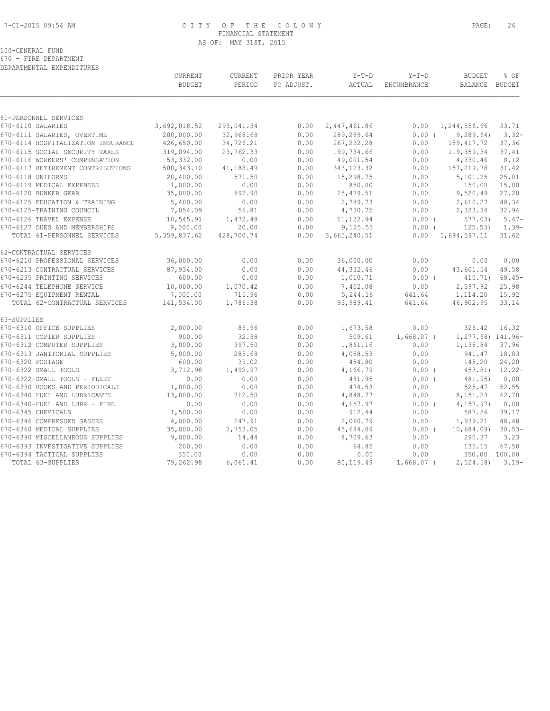#### 7-01-2015 09:54 AM C I T Y O F T H E C O L O N Y PAGE: 26 FINANCIAL STATEMENT AS OF: MAY 31ST, 2015

# 100-GENERAL FUND

670 - FIRE DEPARTMENT

| DEPARTMENTAL EXPENDITURES |
|---------------------------|
|                           |

| DEPARTMENTAL EXPENDITURES                                     |                  |                   |              |               |              |                   |               |
|---------------------------------------------------------------|------------------|-------------------|--------------|---------------|--------------|-------------------|---------------|
|                                                               | CURRENT          | CURRENT           | PRIOR YEAR   | $Y-T-D$       | $Y-T-D$      | <b>BUDGET</b>     | % OF          |
|                                                               | <b>BUDGET</b>    | PERIOD            | PO ADJUST.   | ACTUAL        | ENCUMBRANCE  | BALANCE BUDGET    |               |
| 61-PERSONNEL SERVICES                                         |                  |                   |              |               |              |                   |               |
| 670-6110 SALARIES                                             | 3,692,018.52     | 293,041.34        | 0.00         | 2,447,461.86  | 0.00         | 1,244,556.66      | 33.71         |
| 670-6111 SALARIES, OVERTIME                                   | 280,000.00       | 32,968.68         | 0.00         | 289,289.64    | 0.00(        | 9, 289.64)        | $3.32 -$      |
| 670-6114 HOSPITALIZATION INSURANCE                            | 426,650.00       | 34,726.21         | 0.00         | 267, 232.28   | 0.00         | 159, 417.72       | 37.36         |
| 670-6115 SOCIAL SECURITY TAXES                                | 319,094.00       | 23,762.33         | 0.00         | 199,734.66    | 0.00         | 119,359.34        | 37.41         |
| 670-6116 WORKERS' COMPENSATION                                | 53,332.00        | 0.00              | 0.00         | 49,001.54     | 0.00         | 4,330.46          | 8.12          |
| 670-6117 RETIREMENT CONTRIBUTIONS                             | 500,343.10       | 41,188.49         | 0.00         | 343, 123.32   | 0.00         | 157,219.78        | 31.42         |
| 670-6118 UNIFORMS                                             | 20,400.00        | 571.50            | 0.00         | 15,298.75     | 0.00         | 5,101.25          | 25.01         |
| 670-6119 MEDICAL EXPENSES                                     | 1,000.00         | 0.00              | 0.00         | 850.00        | 0.00         | 150.00            | 15.00         |
| 670-6120 BUNKER GEAR                                          | 35,000.00        | 892.90            | 0.00         | 25, 479.51    | 0.00         | 9,520.49          | 27.20         |
| 670-6125 EDUCATION & TRAINING                                 | 5,400.00         | 0.00              | 0.00         | 2,789.73      | 0.00         | 2,610.27          | 48.34         |
| 670-6125-TRAINING COUNCIL                                     | 7,054.09         | 56.81             | 0.00         | 4,730.75      | 0.00         | 2,323.34          | 32.94         |
| 670-6126 TRAVEL EXPENSE                                       | 10,545.91        | 1,472.48          | 0.00         | 11, 122.94    | 0.00(        | 577.03            | $5.47-$       |
| 670-6127 DUES AND MEMBERSHIPS                                 | 9,000.00         | 20.00             | 0.00         | 9,125.53      | 0.00(        | 125.53)           | $1.39-$       |
| TOTAL 61-PERSONNEL SERVICES                                   | 5, 359, 837.62   | 428,700.74        | 0.00         | 3,665,240.51  | 0.00         | 1,694,597.11      | 31.62         |
| 62-CONTRACTUAL SERVICES                                       |                  |                   |              |               |              |                   |               |
| 670-6210 PROFESSIONAL SERVICES                                | 36,000.00        | 0.00              | 0.00         | 36,000.00     | 0.00         | 0.00              | 0.00          |
| 670-6213 CONTRACTUAL SERVICES                                 | 87,934.00        | 0.00              | 0.00         | 44, 332.46    | 0.00         | 43,601.54         | 49.58         |
| 670-6235 PRINTING SERVICES                                    | 600.00           | 0.00              | 0.00         | 1,010.71      | $0.00$ (     | 410.71)           | $68.45-$      |
| 670-6244 TELEPHONE SERVICE                                    | 10,000.00        | 1,070.42          | 0.00         | 7,402.08      | 0.00         | 2,597.92          | 25.98         |
| 670-6275 EQUIPMENT RENTAL                                     | 7,000.00         | 715.96            | 0.00         | 5,244.16      | 641.64       | 1,114.20          | 15.92         |
| TOTAL 62-CONTRACTUAL SERVICES                                 | 141,534.00       | 1,786.38          | 0.00         | 93,989.41     | 641.64       | 46,902.95         | 33.14         |
| 63-SUPPLIES                                                   |                  |                   |              |               |              |                   |               |
| 670-6310 OFFICE SUPPLIES                                      | 2,000.00         | 85.96             | 0.00         | 1,673.58      | 0.00         | 326.42            | 16.32         |
| 670-6311 COPIER SUPPLIES                                      | 900.00           | 32.38             | 0.00         | 509.61        | $1,668.07$ ( | 1,277.68) 141.96- |               |
| 670-6312 COMPUTER SUPPLIES                                    | 3,000.00         | 397.50            | 0.00         | 1,861.16      | 0.00         | 1,138.84          | 37.96         |
| 670-6313 JANITORIAL SUPPLIES                                  | 5,000.00         | 285.68            | 0.00         | 4,058.53      | 0.00         | 941.47            | 18.83         |
| 670-6320 POSTAGE                                              | 600.00           | 39.02             | 0.00         | 454.80        | 0.00         | 145.20            | 24.20         |
| 670-6322 SMALL TOOLS                                          | 3,712.98         | 1,492.97          | 0.00         | 4,166.79      | $0.00$ (     | 453.81)           | $12.22 -$     |
| 670-6322-SMALL TOOLS - FLEET                                  | 0.00             | 0.00              | 0.00         | 481.95        | $0.00$ (     | 481.95)           | 0.00          |
| 670-6330 BOOKS AND PERIODICALS                                | 1,000.00         | 0.00              | 0.00         | 474.53        | 0.00         | 525.47            | 52.55         |
| 670-6340 FUEL AND LUBRICANTS                                  | 13,000.00        | 712.50            | 0.00         | 4,848.77      | 0.00         | 8,151.23          | 62.70         |
| 670-6340-FUEL AND LUBR - FIRE                                 | 0.00             | 0.00              | 0.00         | 4,157.97      | 0.00(        | 4, 157.97)        | 0.00          |
| 670-6345 CHEMICALS                                            | 1,500.00         | 0.00              | 0.00         | 912.44        | 0.00         | 587.56            | 39.17         |
| 670-6346 COMPRESSED GASSES                                    | 4,000.00         | 247.91            | 0.00         | 2,060.79      | 0.00         | 1,939.21          | 48.48         |
| 670-6360 MEDICAL SUPPLIES                                     | 35,000.00        | 2,753.05<br>14.44 | 0.00         | 45,684.09     | $0.00$ (     | 10,684.09         | $30.53-$      |
| 670-6390 MISCELLANEOUS SUPPLIES                               | 9,000.00         |                   | 0.00         | 8,709.63      | 0.00         | 290.37<br>135.15  | 3.23<br>67.58 |
| 670-6393 INVESTIGATIVE SUPPLIES<br>670-6394 TACTICAL SUPPLIES | 200.00<br>350.00 | 0.00<br>0.00      | 0.00<br>0.00 | 64.85<br>0.00 | 0.00<br>0.00 | 350.00            | 100.00        |
| TOTAL 63-SUPPLIES                                             | 79,262.98        | 6,061.41          | 0.00         | 80,119.49     | $1,668.07$ ( | 2,524.58          | $3.19-$       |
|                                                               |                  |                   |              |               |              |                   |               |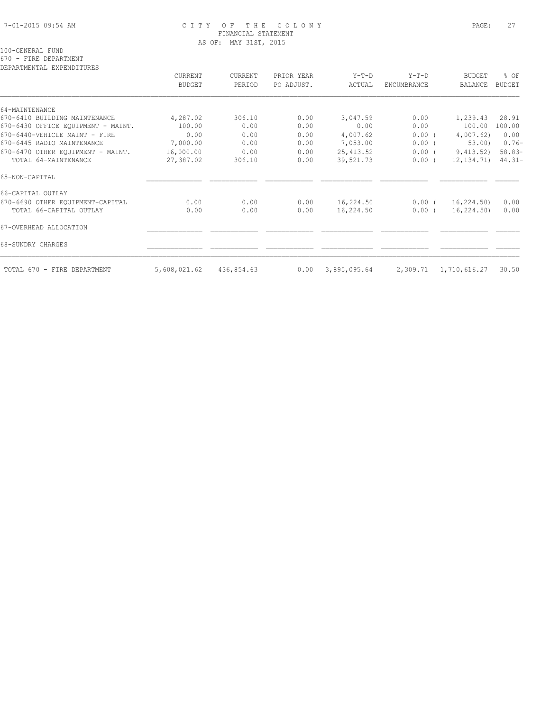#### 7-01-2015 09:54 AM C I T Y O F T H E C O L O N Y PAGE: 27 FINANCIAL STATEMENT AS OF: MAY 31ST, 2015

# 100-GENERAL FUND

670 - FIRE DEPARTMENT

| DEPARTMENTAL EXPENDITURES          |               |                          |                          |                 |                    |                       |                       |
|------------------------------------|---------------|--------------------------|--------------------------|-----------------|--------------------|-----------------------|-----------------------|
|                                    | CURRENT       | <b>CURRENT</b><br>PERIOD | PRIOR YEAR<br>PO ADJUST. | Y-T-D<br>ACTUAL | $Y-T-D$            | <b>BUDGET</b>         | % OF<br><b>BUDGET</b> |
|                                    | <b>BUDGET</b> |                          |                          |                 | <b>ENCUMBRANCE</b> | <b>BALANCE</b>        |                       |
| 64-MAINTENANCE                     |               |                          |                          |                 |                    |                       |                       |
| 670-6410 BUILDING MAINTENANCE      | 4,287.02      | 306.10                   | 0.00                     | 3,047.59        | 0.00               | 1,239.43              | 28.91                 |
| 670-6430 OFFICE EQUIPMENT - MAINT. | 100.00        | 0.00                     | 0.00                     | 0.00            | 0.00               | 100.00                | 100.00                |
| 670-6440-VEHICLE MAINT - FIRE      | 0.00          | 0.00                     | 0.00                     | 4,007.62        | 0.00(              | 4,007.62              | 0.00                  |
| 670-6445 RADIO MAINTENANCE         | 7,000.00      | 0.00                     | 0.00                     | 7,053.00        | $0.00$ (           | 53.00                 | $0.76-$               |
| 670-6470 OTHER EOUIPMENT - MAINT.  | 16,000.00     | 0.00                     | 0.00                     | 25, 413.52      | $0.00$ (           | 9,413.52)             | $58.83-$              |
| TOTAL 64-MAINTENANCE               | 27,387.02     | 306.10                   | 0.00                     | 39,521.73       | 0.00(              | 12, 134. 71)          | $44.31 -$             |
| 65-NON-CAPITAL                     |               |                          |                          |                 |                    |                       |                       |
| 66-CAPITAL OUTLAY                  |               |                          |                          |                 |                    |                       |                       |
| 670-6690 OTHER EQUIPMENT-CAPITAL   | 0.00          | 0.00                     | 0.00                     | 16,224.50       | $0.00$ (           | 16,224.50)            | 0.00                  |
| TOTAL 66-CAPITAL OUTLAY            | 0.00          | 0.00                     | 0.00                     | 16,224.50       | $0.00$ (           | 16,224.50)            | 0.00                  |
| 67-OVERHEAD ALLOCATION             |               |                          |                          |                 |                    |                       |                       |
| 68-SUNDRY CHARGES                  |               |                          |                          |                 |                    |                       |                       |
| TOTAL 670 - FIRE DEPARTMENT        | 5,608,021.62  | 436,854.63               | 0.00                     | 3,895,095.64    |                    | 2,309.71 1,710,616.27 | 30.50                 |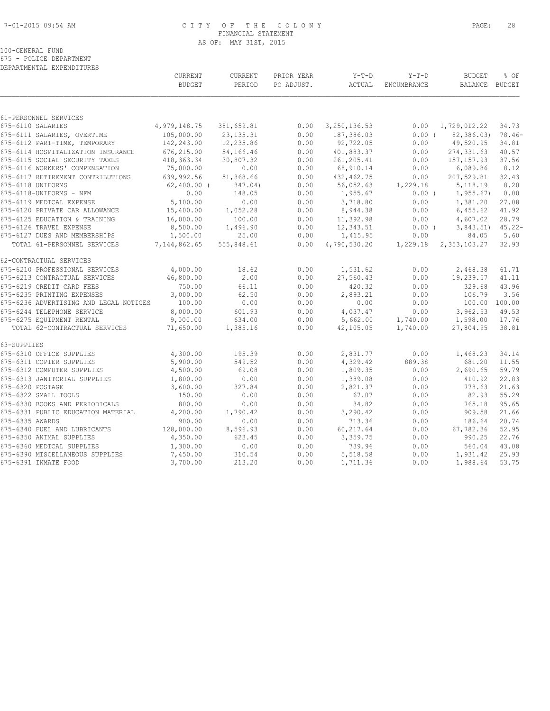# 7-01-2015 09:54 AM C I T Y O F T H E C O L O N Y PAGE: 28 FINANCIAL STATEMENT AS OF: MAY 31ST, 2015

#### 100-GENERAL FUND 675 - POLICE DEPARTMENT

|                                        | CURRENT<br><b>BUDGET</b> | CURRENT<br>PERIOD | PRIOR YEAR<br>PO ADJUST. | $Y-T-D$<br>ACTUAL | $Y-T-D$<br>ENCUMBRANCE | <b>BUDGET</b><br>BALANCE BUDGET | % OF      |
|----------------------------------------|--------------------------|-------------------|--------------------------|-------------------|------------------------|---------------------------------|-----------|
|                                        |                          |                   |                          |                   |                        |                                 |           |
| 61-PERSONNEL SERVICES                  |                          |                   |                          |                   |                        |                                 |           |
| 675-6110 SALARIES                      | 4,979,148.75             | 381,659.81        | 0.00                     | 3,250,136.53      | 0.00                   | 1,729,012.22                    | 34.73     |
| 675-6111 SALARIES, OVERTIME            | 105,000.00               | 23, 135. 31       | 0.00                     | 187,386.03        | 0.00(                  | 82,386.03)                      | $78.46-$  |
| 675-6112 PART-TIME, TEMPORARY          | 142,243.00               | 12,235.86         | 0.00                     | 92,722.05         | 0.00                   | 49,520.95                       | 34.81     |
| 675-6114 HOSPITALIZATION INSURANCE     | 676,215.00               | 54,166.46         | 0.00                     | 401,883.37        | 0.00                   | 274, 331.63                     | 40.57     |
| 675-6115 SOCIAL SECURITY TAXES         | 418, 363.34              | 30,807.32         | 0.00                     | 261, 205.41       | 0.00                   | 157, 157.93                     | 37.56     |
| 675-6116 WORKERS' COMPENSATION         | 75,000.00                | 0.00              | 0.00                     | 68,910.14         | 0.00                   | 6,089.86                        | 8.12      |
| 675-6117 RETIREMENT CONTRIBUTIONS      | 639,992.56               | 51,368.66         | 0.00                     | 432, 462.75       | 0.00                   | 207,529.81                      | 32.43     |
| 675-6118 UNIFORMS                      | $62,400.00$ (            | 347.04)           | 0.00                     | 56,052.63         | 1,229.18               | 5, 118.19                       | 8.20      |
| 675-6118-UNIFORMS - NFM                | 0.00                     | 148.05            | 0.00                     | 1,955.67          | $0.00$ (               | 1, 955.67                       | 0.00      |
| 675-6119 MEDICAL EXPENSE               | 5,100.00                 | 0.00              | 0.00                     | 3,718.80          | 0.00                   | 1,381.20                        | 27.08     |
| 675-6120 PRIVATE CAR ALLOWANCE         | 15,400.00                | 1,052.28          | 0.00                     | 8,944.38          | 0.00                   | 6,455.62                        | 41.92     |
| 675-6125 EDUCATION & TRAINING          | 16,000.00                | 100.00            | 0.00                     | 11,392.98         | 0.00                   | 4,607.02                        | 28.79     |
| 675-6126 TRAVEL EXPENSE                | 8,500.00                 | 1,496.90          | 0.00                     | 12,343.51         | 0.00(                  | 3,843.51                        | $45.22 -$ |
| 675-6127 DUES AND MEMBERSHIPS          | 1,500.00                 | 25.00             | 0.00                     | 1,415.95          | 0.00                   | 84.05                           | 5.60      |
| TOTAL 61-PERSONNEL SERVICES            | 7,144,862.65             | 555,848.61        | 0.00                     | 4,790,530.20      | 1,229.18               | 2,353,103.27                    | 32.93     |
| 62-CONTRACTUAL SERVICES                |                          |                   |                          |                   |                        |                                 |           |
| 675-6210 PROFESSIONAL SERVICES         | 4,000.00                 | 18.62             | 0.00                     | 1,531.62          | 0.00                   | 2,468.38                        | 61.71     |
| 675-6213 CONTRACTUAL SERVICES          | 46,800.00                | 2.00              | 0.00                     | 27,560.43         | 0.00                   | 19,239.57                       | 41.11     |
| 675-6219 CREDIT CARD FEES              | 750.00                   | 66.11             | 0.00                     | 420.32            | 0.00                   | 329.68                          | 43.96     |
| 675-6235 PRINTING EXPENSES             | 3,000.00                 | 62.50             | 0.00                     | 2,893.21          | 0.00                   | 106.79                          | 3.56      |
| 675-6236 ADVERTISING AND LEGAL NOTICES | 100.00                   | 0.00              | 0.00                     | 0.00              | 0.00                   | 100.00 100.00                   |           |
| 675-6244 TELEPHONE SERVICE             | 8,000.00                 | 601.93            | 0.00                     | 4,037.47          | 0.00                   | 3,962.53                        | 49.53     |
| 675-6275 EQUIPMENT RENTAL              | 9,000.00                 | 634.00            | 0.00                     | 5,662.00          | 1,740.00               | 1,598.00                        | 17.76     |
| TOTAL 62-CONTRACTUAL SERVICES          | 71,650.00                | 1,385.16          | 0.00                     | 42,105.05         | 1,740.00               | 27,804.95                       | 38.81     |
| 63-SUPPLIES                            |                          |                   |                          |                   |                        |                                 |           |
| 675-6310 OFFICE SUPPLIES               | 4,300.00                 | 195.39            | 0.00                     | 2,831.77          | 0.00                   | 1,468.23                        | 34.14     |
| 675-6311 COPIER SUPPLIES               | 5,900.00                 | 549.52            | 0.00                     | 4,329.42          | 889.38                 | 681.20                          | 11.55     |
| 675-6312 COMPUTER SUPPLIES             | 4,500.00                 | 69.08             | 0.00                     | 1,809.35          | 0.00                   | 2,690.65                        | 59.79     |
| 675-6313 JANITORIAL SUPPLIES           | 1,800.00                 | 0.00              | 0.00                     | 1,389.08          | 0.00                   | 410.92                          | 22.83     |
| 675-6320 POSTAGE                       | 3,600.00                 | 327.84            | 0.00                     | 2,821.37          | 0.00                   | 778.63                          | 21.63     |
| 675-6322 SMALL TOOLS                   | 150.00                   | 0.00              | 0.00                     | 67.07             | 0.00                   | 82.93                           | 55.29     |
| 675-6330 BOOKS AND PERIODICALS         | 800.00                   | 0.00              | 0.00                     | 34.82             | 0.00                   | 765.18                          | 95.65     |
| 675-6331 PUBLIC EDUCATION MATERIAL     | 4,200.00                 | 1,790.42          | 0.00                     | 3,290.42          | 0.00                   | 909.58                          | 21.66     |
| 675-6335 AWARDS                        | 900.00                   | 0.00              | 0.00                     | 713.36            | 0.00                   | 186.64                          | 20.74     |
| 675-6340 FUEL AND LUBRICANTS           | 128,000.00               | 8,596.93          | 0.00                     | 60,217.64         | 0.00                   | 67,782.36                       | 52.95     |
| 675-6350 ANIMAL SUPPLIES               | 4,350.00                 | 623.45            | 0.00                     | 3,359.75          | 0.00                   | 990.25                          | 22.76     |
| 675-6360 MEDICAL SUPPLIES              | 1,300.00                 | 0.00              | 0.00                     | 739.96            | 0.00                   | 560.04                          | 43.08     |
| 675-6390 MISCELLANEOUS SUPPLIES        | 7,450.00                 | 310.54            | 0.00                     | 5,518.58          | 0.00                   | 1,931.42                        | 25.93     |
| 675-6391 INMATE FOOD                   | 3,700.00                 | 213.20            | 0.00                     | 1,711.36          | 0.00                   | 1,988.64                        | 53.75     |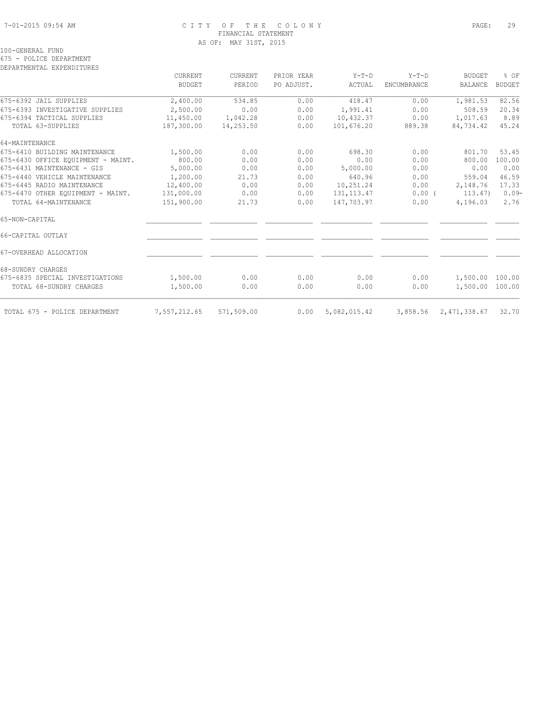# 7-01-2015 09:54 AM C I T Y O F T H E C O L O N Y PAGE: 29 FINANCIAL STATEMENT AS OF: MAY 31ST, 2015

675 - POLICE DEPARTMENT DEPARTMENTAL EXPENDITURES

|                                    | CURRENT       | CURRENT    | PRIOR YEAR | $Y-T-D$      | $Y-T-D$            | <b>BUDGET</b>         | % OF          |
|------------------------------------|---------------|------------|------------|--------------|--------------------|-----------------------|---------------|
|                                    | <b>BUDGET</b> | PERIOD     | PO ADJUST. | ACTUAL       | <b>ENCUMBRANCE</b> | <b>BALANCE</b>        | <b>BUDGET</b> |
| 675-6392 JAIL SUPPLIES             | 2,400.00      | 534.85     | 0.00       | 418.47       | 0.00               | 1,981.53              | 82.56         |
| 675-6393 INVESTIGATIVE SUPPLIES    | 2,500.00      | 0.00       | 0.00       | 1,991.41     | 0.00               | 508.59                | 20.34         |
| 675-6394 TACTICAL SUPPLIES         | 11,450.00     | 1,042.28   | 0.00       | 10,432.37    | 0.00               | 1,017.63              | 8.89          |
| TOTAL 63-SUPPLIES                  | 187,300.00    | 14,253.50  | 0.00       | 101,676.20   | 889.38             | 84,734.42             | 45.24         |
| 64-MAINTENANCE                     |               |            |            |              |                    |                       |               |
| 675-6410 BUILDING MAINTENANCE      | 1,500.00      | 0.00       | 0.00       | 698.30       | 0.00               | 801.70                | 53.45         |
| 675-6430 OFFICE EQUIPMENT - MAINT. | 800.00        | 0.00       | 0.00       | 0.00         | 0.00               | 800.00                | 100.00        |
| 675-6431 MAINTENANCE - GIS         | 5,000.00      | 0.00       | 0.00       | 5,000.00     | 0.00               | 0.00                  | 0.00          |
| 675-6440 VEHICLE MAINTENANCE       | 1,200.00      | 21.73      | 0.00       | 640.96       | 0.00               | 559.04                | 46.59         |
| 675-6445 RADIO MAINTENANCE         | 12,400.00     | 0.00       | 0.00       | 10,251.24    | 0.00               | 2,148.76              | 17.33         |
| 675-6470 OTHER EOUIPMENT - MAINT.  | 131,000.00    | 0.00       | 0.00       | 131, 113.47  | $0.00$ (           | 113.47)               | $0.09-$       |
| TOTAL 64-MAINTENANCE               | 151,900.00    | 21.73      | 0.00       | 147,703.97   | 0.00               | 4,196.03              | 2.76          |
| 65-NON-CAPITAL                     |               |            |            |              |                    |                       |               |
| 66-CAPITAL OUTLAY                  |               |            |            |              |                    |                       |               |
| 67-OVERHEAD ALLOCATION             |               |            |            |              |                    |                       |               |
| 68-SUNDRY CHARGES                  |               |            |            |              |                    |                       |               |
| 675-6835 SPECIAL INVESTIGATIONS    | 1,500.00      | 0.00       | 0.00       | 0.00         | 0.00               | 1,500.00              | 100.00        |
| TOTAL 68-SUNDRY CHARGES            | 1,500.00      | 0.00       | 0.00       | 0.00         | 0.00               | 1,500.00              | 100.00        |
| TOTAL 675 - POLICE DEPARTMENT      | 7,557,212.65  | 571,509.00 | 0.00       | 5,082,015.42 |                    | 3,858.56 2,471,338.67 | 32.70         |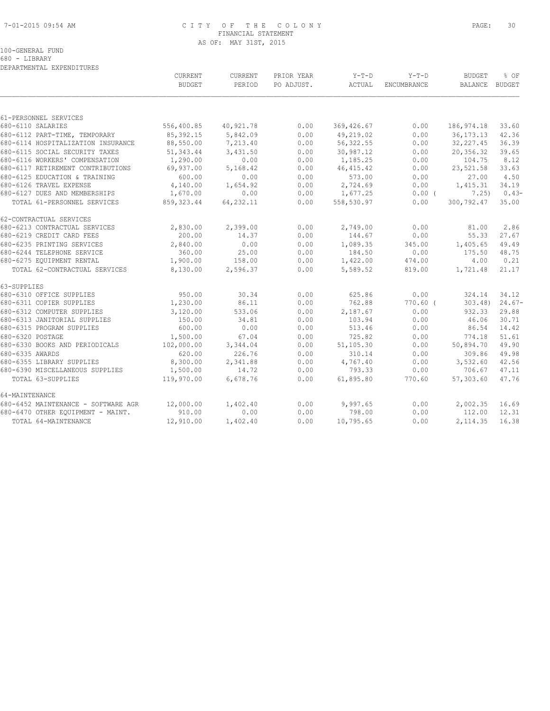#### 7-01-2015 09:54 AM C I T Y O F T H E C O L O N Y PAGE: 30 FINANCIAL STATEMENT AS OF: MAY 31ST, 2015

100-GENERAL FUND

680 - LIBRARY

|                                     | CURRENT       | CURRENT    | PRIOR YEAR | $Y-T-D$       | $Y-T-D$            | <b>BUDGET</b>  | % OF     |
|-------------------------------------|---------------|------------|------------|---------------|--------------------|----------------|----------|
|                                     | <b>BUDGET</b> | PERIOD     | PO ADJUST. | <b>ACTUAL</b> | <b>ENCUMBRANCE</b> | BALANCE BUDGET |          |
|                                     |               |            |            |               |                    |                |          |
| 61-PERSONNEL SERVICES               |               |            |            |               |                    |                |          |
| 680-6110 SALARIES                   | 556,400.85    | 40,921.78  | 0.00       | 369,426.67    | 0.00               | 186, 974.18    | 33.60    |
| 680-6112 PART-TIME, TEMPORARY       | 85, 392.15    | 5,842.09   | 0.00       | 49,219.02     | 0.00               | 36, 173. 13    | 42.36    |
| 680-6114 HOSPITALIZATION INSURANCE  | 88,550.00     | 7,213.40   | 0.00       | 56, 322.55    | 0.00               | 32, 227.45     | 36.39    |
| 680-6115 SOCIAL SECURITY TAXES      | 51, 343.44    | 3,431.50   | 0.00       | 30,987.12     | 0.00               | 20,356.32      | 39.65    |
| 680-6116 WORKERS' COMPENSATION      | 1,290.00      | 0.00       | 0.00       | 1,185.25      | 0.00               | 104.75         | 8.12     |
| 680-6117 RETIREMENT CONTRIBUTIONS   | 69,937.00     | 5,168.42   | 0.00       | 46, 415.42    | 0.00               | 23,521.58      | 33.63    |
| 680-6125 EDUCATION & TRAINING       | 600.00        | 0.00       | 0.00       | 573.00        | 0.00               | 27.00          | 4.50     |
| 680-6126 TRAVEL EXPENSE             | 4,140.00      | 1,654.92   | 0.00       | 2,724.69      | 0.00               | 1,415.31       | 34.19    |
| 680-6127 DUES AND MEMBERSHIPS       | 1,670.00      | 0.00       | 0.00       | 1,677.25      | $0.00$ (           | 7.25)          | $0.43-$  |
| TOTAL 61-PERSONNEL SERVICES         | 859, 323.44   | 64, 232.11 | 0.00       | 558,530.97    | 0.00               | 300,792.47     | 35.00    |
| 62-CONTRACTUAL SERVICES             |               |            |            |               |                    |                |          |
| 680-6213 CONTRACTUAL SERVICES       | 2,830.00      | 2,399.00   | 0.00       | 2,749.00      | 0.00               | 81.00          | 2.86     |
| 680-6219 CREDIT CARD FEES           | 200.00        | 14.37      | 0.00       | 144.67        | 0.00               | 55.33          | 27.67    |
| 680-6235 PRINTING SERVICES          | 2,840.00      | 0.00       | 0.00       | 1,089.35      | 345.00             | 1,405.65       | 49.49    |
| 680-6244 TELEPHONE SERVICE          | 360.00        | 25.00      | 0.00       | 184.50        | 0.00               | 175.50         | 48.75    |
| 680-6275 EQUIPMENT RENTAL           | 1,900.00      | 158.00     | 0.00       | 1,422.00      | 474.00             | 4.00           | 0.21     |
| TOTAL 62-CONTRACTUAL SERVICES       | 8,130.00      | 2,596.37   | 0.00       | 5,589.52      | 819.00             | 1,721.48       | 21.17    |
| 63-SUPPLIES                         |               |            |            |               |                    |                |          |
| 680-6310 OFFICE SUPPLIES            | 950.00        | 30.34      | 0.00       | 625.86        | 0.00               | 324.14         | 34.12    |
| 680-6311 COPIER SUPPLIES            | 1,230.00      | 86.11      | 0.00       | 762.88        | $770.60$ (         | $303.48$ )     | $24.67-$ |
| 680-6312 COMPUTER SUPPLIES          | 3,120.00      | 533.06     | 0.00       | 2,187.67      | 0.00               | 932.33         | 29.88    |
| 680-6313 JANITORIAL SUPPLIES        | 150.00        | 34.81      | 0.00       | 103.94        | 0.00               | 46.06          | 30.71    |
| 680-6315 PROGRAM SUPPLIES           | 600.00        | 0.00       | 0.00       | 513.46        | 0.00               | 86.54          | 14.42    |
| 680-6320 POSTAGE                    | 1,500.00      | 67.04      | 0.00       | 725.82        | 0.00               | 774.18         | 51.61    |
| 680-6330 BOOKS AND PERIODICALS      | 102,000.00    | 3,344.04   | 0.00       | 51,105.30     | 0.00               | 50,894.70      | 49.90    |
| 680-6335 AWARDS                     | 620.00        | 226.76     | 0.00       | 310.14        | 0.00               | 309.86         | 49.98    |
| 680-6355 LIBRARY SUPPLIES           | 8,300.00      | 2,341.88   | 0.00       | 4,767.40      | 0.00               | 3,532.60       | 42.56    |
| 680-6390 MISCELLANEOUS SUPPLIES     | 1,500.00      | 14.72      | 0.00       | 793.33        | 0.00               | 706.67         | 47.11    |
| TOTAL 63-SUPPLIES                   | 119,970.00    | 6,678.76   | 0.00       | 61,895.80     | 770.60             | 57,303.60      | 47.76    |
| 64-MAINTENANCE                      |               |            |            |               |                    |                |          |
| 680-6452 MAINTENANCE - SOFTWARE AGR | 12,000.00     | 1,402.40   | 0.00       | 9,997.65      | 0.00               | 2,002.35       | 16.69    |
| 680-6470 OTHER EQUIPMENT - MAINT.   | 910.00        | 0.00       | 0.00       | 798.00        | 0.00               | 112.00         | 12.31    |
| TOTAL 64-MAINTENANCE                | 12,910.00     | 1,402.40   | 0.00       | 10,795.65     | 0.00               | 2,114.35       | 16.38    |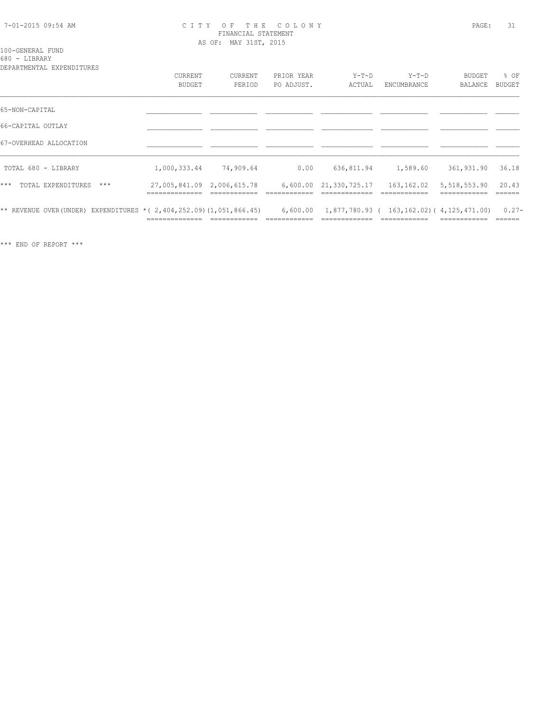#### 7-01-2015 09:54 AM C I T Y O F T H E C O L O N Y PAGE: 31 FINANCIAL STATEMENT AS OF: MAY 31ST, 2015

# 100-GENERAL FUND

680 - LIBRARY

| DEPARTMENTAL EXPENDITURES                                                 | <b>CURRENT</b><br><b>BUDGET</b> | CURRENT<br>PERIOD | PRIOR YEAR<br>PO ADJUST. | $Y-T-D$<br>ACTUAL                          | $Y-T-D$<br>ENCUMBRANCE | BUDGET<br>BALANCE | % OF<br><b>BUDGET</b> |
|---------------------------------------------------------------------------|---------------------------------|-------------------|--------------------------|--------------------------------------------|------------------------|-------------------|-----------------------|
| 65-NON-CAPITAL                                                            |                                 |                   |                          |                                            |                        |                   |                       |
| 66-CAPITAL OUTLAY                                                         |                                 |                   |                          |                                            |                        |                   |                       |
| 67-OVERHEAD ALLOCATION                                                    |                                 |                   |                          |                                            |                        |                   |                       |
| TOTAL 680 - LIBRARY                                                       | 1,000,333.44                    | 74,909.64         | 0.00                     | 636,811.94                                 | 1,589.60               | 361,931.90        | 36.18                 |
| TOTAL EXPENDITURES<br>$***$<br>$***$                                      | 27,005,841.09 2,006,615.78      |                   |                          | 6,600.00 21,330,725.17                     | 163,162.02             | 5,518,553.90      | 20.43                 |
| ** REVENUE OVER (UNDER) EXPENDITURES * ( 2, 404, 252.09) (1, 051, 866.45) | ______________                  |                   | 6,600.00                 | 1,877,780.93 ( 163,162.02) ( 4,125,471.00) |                        |                   | $0.27 -$<br>-------   |

\*\*\* END OF REPORT \*\*\*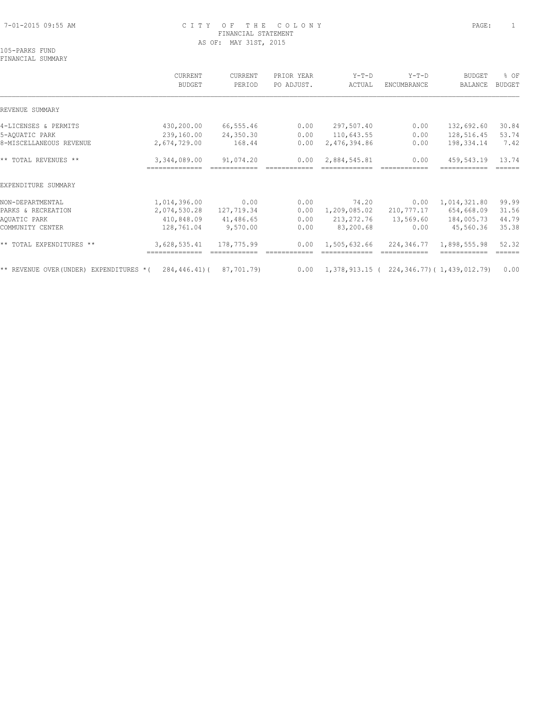#### 7-01-2015 09:55 AM C I T Y O F T H E C O L O N Y PAGE: 1 FINANCIAL STATEMENT AS OF: MAY 31ST, 2015

# 105-PARKS FUND

FINANCIAL SUMMARY

|                                        | CURRENT<br><b>BUDGET</b>       | CURRENT<br>PERIOD | PRIOR YEAR<br>PO ADJUST. | $Y-T-D$<br>ACTUAL                                  | $Y-T-D$<br>ENCUMBRANCE | <b>BUDGET</b><br>BALANCE | % OF<br><b>BUDGET</b> |
|----------------------------------------|--------------------------------|-------------------|--------------------------|----------------------------------------------------|------------------------|--------------------------|-----------------------|
| REVENUE SUMMARY                        |                                |                   |                          |                                                    |                        |                          |                       |
| 4-LICENSES & PERMITS                   | 430,200.00                     | 66,555.46         | 0.00                     | 297,507.40                                         | 0.00                   | 132,692.60               | 30.84                 |
| 5-AQUATIC PARK                         | 239,160.00                     | 24,350.30         | 0.00                     | 110,643.55                                         | 0.00                   | 128,516.45               | 53.74                 |
| 8-MISCELLANEOUS REVENUE                | 2,674,729.00                   | 168.44            | 0.00                     | 2,476,394.86                                       | 0.00                   | 198,334.14               | 7.42                  |
| ** TOTAL REVENUES **                   | 3,344,089.00<br>-------------- | 91,074.20         | 0.00                     | 2,884,545.81                                       | 0.00                   | 459,543.19               | 13.74<br>------       |
| EXPENDITURE SUMMARY                    |                                |                   |                          |                                                    |                        |                          |                       |
| NON-DEPARTMENTAL                       | 1,014,396.00                   | 0.00              | 0.00                     | 74.20                                              | 0.00                   | 1,014,321.80             | 99.99                 |
| PARKS & RECREATION                     | 2,074,530.28                   | 127,719.34        | 0.00                     | 1,209,085.02                                       | 210,777.17             | 654,668.09               | 31.56                 |
| AQUATIC PARK                           | 410,848.09                     | 41,486.65         | 0.00                     | 213, 272.76                                        | 13,569.60              | 184,005.73               | 44.79                 |
| COMMUNITY CENTER                       | 128,761.04                     | 9,570.00          | 0.00                     | 83,200.68                                          | 0.00                   | 45,560.36                | 35.38                 |
| ** TOTAL EXPENDITURES **               | 3,628,535.41                   | 178,775.99        | 0.00                     | 1,505,632.66                                       | 224,346.77             | 1,898,555.98             | 52.32<br>======       |
| ** REVENUE OVER(UNDER) EXPENDITURES *( | 284,446.41)(                   | 87,701.79)        | 0.00                     | $1,378,913.15$ ( $224,346.77$ ) ( $1,439,012.79$ ) |                        |                          | 0.00                  |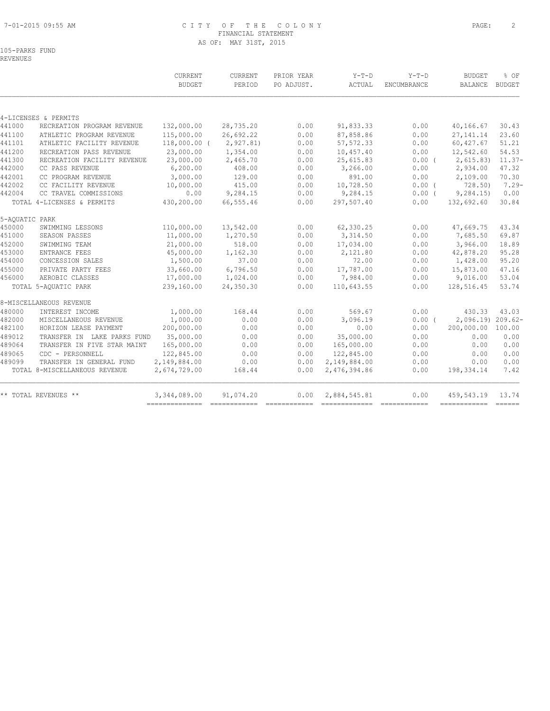#### 7-01-2015 09:55 AM C I T Y O F T H E C O L O N Y PAGE: 2 FINANCIAL STATEMENT AS OF: MAY 31ST, 2015

105-PARKS FUND

|                |                               | CURRENT        | <b>CURRENT</b> | PRIOR YEAR                                                                                                                                                                                                                                                                                                                                                                                                                                                                             | $Y-T-D$      | $Y-T-D$            | <b>BUDGET</b>     | % OF                                                                                                                                                                                                                                                                                                                                                                                                                                                                                           |
|----------------|-------------------------------|----------------|----------------|----------------------------------------------------------------------------------------------------------------------------------------------------------------------------------------------------------------------------------------------------------------------------------------------------------------------------------------------------------------------------------------------------------------------------------------------------------------------------------------|--------------|--------------------|-------------------|------------------------------------------------------------------------------------------------------------------------------------------------------------------------------------------------------------------------------------------------------------------------------------------------------------------------------------------------------------------------------------------------------------------------------------------------------------------------------------------------|
|                |                               | <b>BUDGET</b>  | PERIOD         | PO ADJUST.                                                                                                                                                                                                                                                                                                                                                                                                                                                                             | ACTUAL       | <b>ENCUMBRANCE</b> | <b>BALANCE</b>    | <b>BUDGET</b>                                                                                                                                                                                                                                                                                                                                                                                                                                                                                  |
|                |                               |                |                |                                                                                                                                                                                                                                                                                                                                                                                                                                                                                        |              |                    |                   |                                                                                                                                                                                                                                                                                                                                                                                                                                                                                                |
|                | 4-LICENSES & PERMITS          |                |                |                                                                                                                                                                                                                                                                                                                                                                                                                                                                                        |              |                    |                   |                                                                                                                                                                                                                                                                                                                                                                                                                                                                                                |
| 441000         | RECREATION PROGRAM REVENUE    | 132,000.00     | 28,735.20      | 0.00                                                                                                                                                                                                                                                                                                                                                                                                                                                                                   | 91,833.33    | 0.00               | 40,166.67         | 30.43                                                                                                                                                                                                                                                                                                                                                                                                                                                                                          |
| 441100         | ATHLETIC PROGRAM REVENUE      | 115,000.00     | 26,692.22      | 0.00                                                                                                                                                                                                                                                                                                                                                                                                                                                                                   | 87,858.86    | 0.00               | 27, 141. 14       | 23.60                                                                                                                                                                                                                                                                                                                                                                                                                                                                                          |
| 441101         | ATHLETIC FACILITY REVENUE     | $118,000.00$ ( | 2, 927.81      | 0.00                                                                                                                                                                                                                                                                                                                                                                                                                                                                                   | 57, 572.33   | 0.00               | 60,427.67         | 51.21                                                                                                                                                                                                                                                                                                                                                                                                                                                                                          |
| 441200         | RECREATION PASS REVENUE       | 23,000.00      | 1,354.00       | 0.00                                                                                                                                                                                                                                                                                                                                                                                                                                                                                   | 10,457.40    | 0.00               | 12,542.60         | 54.53                                                                                                                                                                                                                                                                                                                                                                                                                                                                                          |
| 441300         | RECREATION FACILITY REVENUE   | 23,000.00      | 2,465.70       | 0.00                                                                                                                                                                                                                                                                                                                                                                                                                                                                                   | 25,615.83    | $0.00$ (           | 2,615.83          | $11.37-$                                                                                                                                                                                                                                                                                                                                                                                                                                                                                       |
| 442000         | CC PASS REVENUE               | 6, 200.00      | 408.00         | 0.00                                                                                                                                                                                                                                                                                                                                                                                                                                                                                   | 3,266.00     | 0.00               | 2,934.00          | 47.32                                                                                                                                                                                                                                                                                                                                                                                                                                                                                          |
| 442001         | CC PROGRAM REVENUE            | 3,000.00       | 129.00         | 0.00                                                                                                                                                                                                                                                                                                                                                                                                                                                                                   | 891.00       | 0.00               | 2,109.00          | 70.30                                                                                                                                                                                                                                                                                                                                                                                                                                                                                          |
| 442002         | CC FACILITY REVENUE           | 10,000.00      | 415.00         | 0.00                                                                                                                                                                                                                                                                                                                                                                                                                                                                                   | 10,728.50    | $0.00$ (           | 728.50            | $7.29 -$                                                                                                                                                                                                                                                                                                                                                                                                                                                                                       |
| 442004         | CC TRAVEL COMMISSIONS         | 0.00           | 9,284.15       | 0.00                                                                                                                                                                                                                                                                                                                                                                                                                                                                                   | 9,284.15     | $0.00$ (           | 9, 284.15         | 0.00                                                                                                                                                                                                                                                                                                                                                                                                                                                                                           |
|                | TOTAL 4-LICENSES & PERMITS    | 430,200.00     | 66, 555.46     | 0.00                                                                                                                                                                                                                                                                                                                                                                                                                                                                                   | 297,507.40   | 0.00               | 132,692.60        | 30.84                                                                                                                                                                                                                                                                                                                                                                                                                                                                                          |
| 5-AQUATIC PARK |                               |                |                |                                                                                                                                                                                                                                                                                                                                                                                                                                                                                        |              |                    |                   |                                                                                                                                                                                                                                                                                                                                                                                                                                                                                                |
| 450000         | SWIMMING LESSONS              | 110,000.00     | 13,542.00      | 0.00                                                                                                                                                                                                                                                                                                                                                                                                                                                                                   | 62,330.25    | 0.00               | 47,669.75         | 43.34                                                                                                                                                                                                                                                                                                                                                                                                                                                                                          |
| 451000         | SEASON PASSES                 | 11,000.00      | 1,270.50       | 0.00                                                                                                                                                                                                                                                                                                                                                                                                                                                                                   | 3,314.50     | 0.00               | 7,685.50          | 69.87                                                                                                                                                                                                                                                                                                                                                                                                                                                                                          |
| 452000         | SWIMMING TEAM                 | 21,000.00      | 518.00         | 0.00                                                                                                                                                                                                                                                                                                                                                                                                                                                                                   | 17,034.00    | 0.00               | 3,966.00          | 18.89                                                                                                                                                                                                                                                                                                                                                                                                                                                                                          |
| 453000         | <b>ENTRANCE FEES</b>          | 45,000.00      | 1,162.30       | 0.00                                                                                                                                                                                                                                                                                                                                                                                                                                                                                   | 2,121.80     | 0.00               | 42,878.20         | 95.28                                                                                                                                                                                                                                                                                                                                                                                                                                                                                          |
| 454000         | CONCESSION SALES              | 1,500.00       | 37.00          | 0.00                                                                                                                                                                                                                                                                                                                                                                                                                                                                                   | 72.00        | 0.00               | 1,428.00          | 95.20                                                                                                                                                                                                                                                                                                                                                                                                                                                                                          |
| 455000         | PRIVATE PARTY FEES            | 33,660.00      | 6,796.50       | 0.00                                                                                                                                                                                                                                                                                                                                                                                                                                                                                   | 17,787.00    | 0.00               | 15,873.00         | 47.16                                                                                                                                                                                                                                                                                                                                                                                                                                                                                          |
| 456000         | AEROBIC CLASSES               | 17,000.00      | 1,024.00       | 0.00                                                                                                                                                                                                                                                                                                                                                                                                                                                                                   | 7,984.00     | 0.00               | 9,016.00          | 53.04                                                                                                                                                                                                                                                                                                                                                                                                                                                                                          |
|                | TOTAL 5-AQUATIC PARK          | 239,160.00     | 24,350.30      | 0.00                                                                                                                                                                                                                                                                                                                                                                                                                                                                                   | 110,643.55   | 0.00               | 128,516.45        | 53.74                                                                                                                                                                                                                                                                                                                                                                                                                                                                                          |
|                | 8-MISCELLANEOUS REVENUE       |                |                |                                                                                                                                                                                                                                                                                                                                                                                                                                                                                        |              |                    |                   |                                                                                                                                                                                                                                                                                                                                                                                                                                                                                                |
| 480000         | INTEREST INCOME               | 1,000.00       | 168.44         | 0.00                                                                                                                                                                                                                                                                                                                                                                                                                                                                                   | 569.67       | 0.00               | 430.33            | 43.03                                                                                                                                                                                                                                                                                                                                                                                                                                                                                          |
| 482000         | MISCELLANEOUS REVENUE         | 1,000.00       | 0.00           | 0.00                                                                                                                                                                                                                                                                                                                                                                                                                                                                                   | 3,096.19     | 0.00(              | 2,096.19) 209.62- |                                                                                                                                                                                                                                                                                                                                                                                                                                                                                                |
| 482100         | HORIZON LEASE PAYMENT         | 200,000.00     | 0.00           | 0.00                                                                                                                                                                                                                                                                                                                                                                                                                                                                                   | 0.00         | 0.00               | 200,000.00        | 100.00                                                                                                                                                                                                                                                                                                                                                                                                                                                                                         |
| 489012         | TRANSFER IN LAKE PARKS FUND   | 35,000.00      | 0.00           | 0.00                                                                                                                                                                                                                                                                                                                                                                                                                                                                                   | 35,000.00    | 0.00               | 0.00              | 0.00                                                                                                                                                                                                                                                                                                                                                                                                                                                                                           |
| 489064         | TRANSFER IN FIVE STAR MAINT   | 165,000.00     | 0.00           | 0.00                                                                                                                                                                                                                                                                                                                                                                                                                                                                                   | 165,000.00   | 0.00               | 0.00              | 0.00                                                                                                                                                                                                                                                                                                                                                                                                                                                                                           |
| 489065         | CDC - PERSONNELL              | 122,845.00     | 0.00           | 0.00                                                                                                                                                                                                                                                                                                                                                                                                                                                                                   | 122,845.00   | 0.00               | 0.00              | 0.00                                                                                                                                                                                                                                                                                                                                                                                                                                                                                           |
| 489099         | TRANSFER IN GENERAL FUND      | 2,149,884.00   | 0.00           | 0.00                                                                                                                                                                                                                                                                                                                                                                                                                                                                                   | 2,149,884.00 | 0.00               | 0.00              | 0.00                                                                                                                                                                                                                                                                                                                                                                                                                                                                                           |
|                | TOTAL 8-MISCELLANEOUS REVENUE | 2,674,729.00   | 168.44         | 0.00                                                                                                                                                                                                                                                                                                                                                                                                                                                                                   | 2,476,394.86 | 0.00               | 198,334.14        | 7.42                                                                                                                                                                                                                                                                                                                                                                                                                                                                                           |
|                | ** TOTAL REVENUES **          | 3,344,089.00   | 91,074.20      | 0.00                                                                                                                                                                                                                                                                                                                                                                                                                                                                                   | 2,884,545.81 | 0.00               | 459,543.19        | 13.74                                                                                                                                                                                                                                                                                                                                                                                                                                                                                          |
|                |                               |                |                | $\begin{array}{cccccccccc} \multicolumn{2}{c}{} & \multicolumn{2}{c}{} & \multicolumn{2}{c}{} & \multicolumn{2}{c}{} & \multicolumn{2}{c}{} & \multicolumn{2}{c}{} & \multicolumn{2}{c}{} & \multicolumn{2}{c}{} & \multicolumn{2}{c}{} & \multicolumn{2}{c}{} & \multicolumn{2}{c}{} & \multicolumn{2}{c}{} & \multicolumn{2}{c}{} & \multicolumn{2}{c}{} & \multicolumn{2}{c}{} & \multicolumn{2}{c}{} & \multicolumn{2}{c}{} & \multicolumn{2}{c}{} & \multicolumn{2}{c}{} & \mult$ |              |                    | ------------      | $\begin{array}{c} \multicolumn{3}{c} {\textbf{1}} & \multicolumn{3}{c} {\textbf{2}} & \multicolumn{3}{c} {\textbf{3}} \\ \multicolumn{3}{c} {\textbf{4}} & \multicolumn{3}{c} {\textbf{5}} & \multicolumn{3}{c} {\textbf{6}} \\ \multicolumn{3}{c} {\textbf{5}} & \multicolumn{3}{c} {\textbf{6}} & \multicolumn{3}{c} {\textbf{7}} \\ \multicolumn{3}{c} {\textbf{6}} & \multicolumn{3}{c} {\textbf{7}} & \multicolumn{3}{c} {\textbf{8}} \\ \multicolumn{3}{c} {\textbf{7}} & \multicolumn{$ |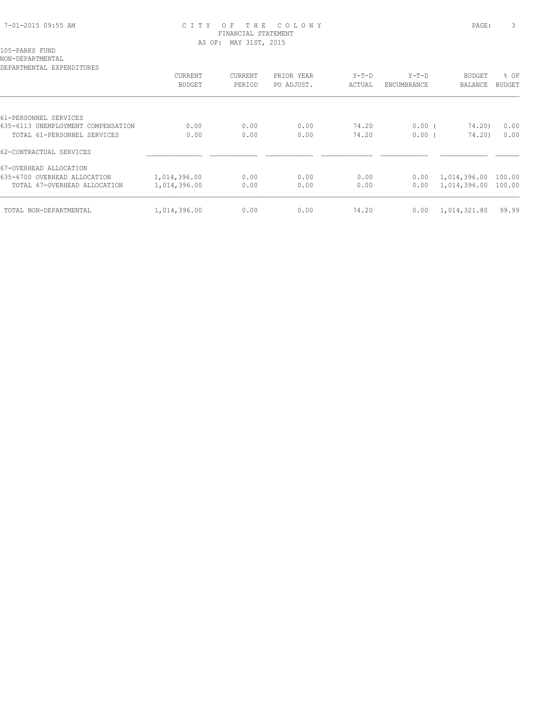#### 7-01-2015 09:55 AM C I T Y O F T H E C O L O N Y PAGE: 3 FINANCIAL STATEMENT AS OF: MAY 31ST, 2015

NON-DEPARTMENTAL

| DEPARTMENTAL EXPENDITURES          |               |         |            |         |             |              |               |
|------------------------------------|---------------|---------|------------|---------|-------------|--------------|---------------|
|                                    | CURRENT       | CURRENT | PRIOR YEAR | $Y-T-D$ | $Y-T-D$     | BUDGET       | % OF          |
|                                    | <b>BUDGET</b> | PERIOD  | PO ADJUST. | ACTUAL  | ENCUMBRANCE | BALANCE      | <b>BUDGET</b> |
|                                    |               |         |            |         |             |              |               |
| 61-PERSONNEL SERVICES              |               |         |            |         |             |              |               |
| 635-6113 UNEMPLOYMENT COMPENSATION | 0.00          | 0.00    | 0.00       | 74.20   | $0.00$ (    | 74.20)       | 0.00          |
| TOTAL 61-PERSONNEL SERVICES        | 0.00          | 0.00    | 0.00       | 74.20   | 0.00(       | 74.20)       | 0.00          |
| 62-CONTRACTUAL SERVICES            |               |         |            |         |             |              |               |
| 67-OVERHEAD ALLOCATION             |               |         |            |         |             |              |               |
| 635-6700 OVERHEAD ALLOCATION       | 1,014,396.00  | 0.00    | 0.00       | 0.00    | 0.00        | 1,014,396.00 | 100.00        |
| TOTAL 67-OVERHEAD ALLOCATION       | 1,014,396.00  | 0.00    | 0.00       | 0.00    | 0.00        | 1,014,396.00 | 100.00        |
| TOTAL NON-DEPARTMENTAL             | 1,014,396.00  | 0.00    | 0.00       | 74.20   | 0.00        | 1,014,321.80 | 99.99         |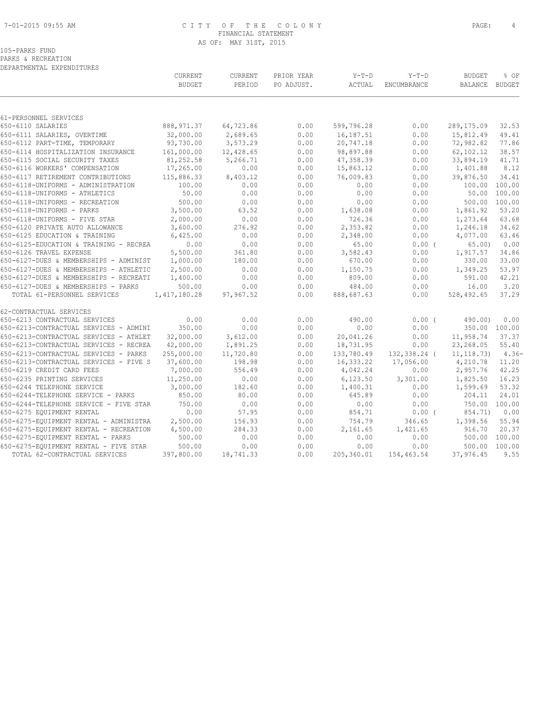#### 7-01-2015 09:55 AM C I T Y O F T H E C O L O N Y PAGE: 4 FINANCIAL STATEMENT AS OF: MAY 31ST, 2015

|  | 105-PARKS FUND     |
|--|--------------------|
|  | PARKS & RECREATION |

|                                        | CURRENT<br><b>BUDGET</b> | CURRENT<br>PERIOD | PRIOR YEAR<br>PO ADJUST. | $Y-T-D$<br>ACTUAL | $Y-T-D$<br>ENCUMBRANCE | <b>BUDGET</b><br>BALANCE | % OF<br><b>BUDGET</b> |
|----------------------------------------|--------------------------|-------------------|--------------------------|-------------------|------------------------|--------------------------|-----------------------|
|                                        |                          |                   |                          |                   |                        |                          |                       |
| 61-PERSONNEL SERVICES                  |                          |                   |                          |                   |                        |                          |                       |
| 650-6110 SALARIES                      | 888, 971.37              | 64,723.86         | 0.00                     | 599,796.28        | 0.00                   | 289,175.09               | 32.53                 |
| 650-6111 SALARIES, OVERTIME            | 32,000.00                | 2,689.65          | 0.00                     | 16,187.51         | 0.00                   | 15,812.49                | 49.41                 |
| 650-6112 PART-TIME, TEMPORARY          | 93,730.00                | 3,573.29          | 0.00                     | 20,747.18         | 0.00                   | 72,982.82                | 77.86                 |
| 650-6114 HOSPITALIZATION INSURANCE     | 161,000.00               | 12,428.65         | 0.00                     | 98,897.88         | 0.00                   | 62,102.12                | 38.57                 |
| 650-6115 SOCIAL SECURITY TAXES         | 81,252.58                | 5,266.71          | 0.00                     | 47,358.39         | 0.00                   | 33,894.19                | 41.71                 |
| 650-6116 WORKERS' COMPENSATION         | 17,265.00                | 0.00              | 0.00                     | 15,863.12         | 0.00                   | 1,401.88                 | 8.12                  |
| 650-6117 RETIREMENT CONTRIBUTIONS      | 115,886.33               | 8,403.12          | 0.00                     | 76,009.83         | 0.00                   | 39,876.50                | 34.41                 |
| 650-6118-UNIFORMS - ADMINISTRATION     | 100.00                   | 0.00              | 0.00                     | 0.00              | 0.00                   | 100.00 100.00            |                       |
| 650-6118-UNIFORMS - ATHLETICS          | 50.00                    | 0.00              | 0.00                     | 0.00              | 0.00                   | 50.00                    | 100.00                |
| 650-6118-UNIFORMS - RECREATION         | 500.00                   | 0.00              | 0.00                     | 0.00              | 0.00                   | 500.00                   | 100.00                |
| 650-6118-UNIFORMS - PARKS              | 3,500.00                 | 63.52             | 0.00                     | 1,638.08          | 0.00                   | 1,861.92                 | 53.20                 |
| 650-6118-UNIFORMS - FIVE STAR          | 2,000.00                 | 0.00              | 0.00                     | 726.36            | 0.00                   | 1,273.64                 | 63.68                 |
| 650-6120 PRIVATE AUTO ALLOWANCE        | 3,600.00                 | 276.92            | 0.00                     | 2,353.82          | 0.00                   | 1,246.18                 | 34.62                 |
| 650-6125 EDUCATION & TRAINING          | 6,425.00                 | 0.00              | 0.00                     | 2,348.00          | 0.00                   | 4,077.00                 | 63.46                 |
| 650-6125-EDUCATION & TRAINING - RECREA | 0.00                     | 0.00              | 0.00                     | 65.00             | $0.00$ (               | 65.00                    | 0.00                  |
| 650-6126 TRAVEL EXPENSE                | 5,500.00                 | 361.80            | 0.00                     | 3,582.43          | 0.00                   | 1,917.57                 | 34.86                 |
| 650-6127-DUES & MEMBERSHIPS - ADMINIST | 1,000.00                 | 180.00            | 0.00                     | 670.00            | 0.00                   | 330.00                   | 33.00                 |
| 650-6127-DUES & MEMBERSHIPS - ATHLETIC | 2,500.00                 | 0.00              | 0.00                     | 1,150.75          | 0.00                   | 1,349.25                 | 53.97                 |
| 650-6127-DUES & MEMBERSHIPS - RECREATI | 1,400.00                 | 0.00              | 0.00                     | 809.00            | 0.00                   | 591.00                   | 42.21                 |
| 650-6127-DUES & MEMBERSHIPS - PARKS    | 500.00                   | 0.00              | 0.00                     | 484.00            | 0.00                   | 16.00                    | 3.20                  |
| TOTAL 61-PERSONNEL SERVICES            | 1,417,180.28             | 97,967.52         | 0.00                     | 888,687.63        | 0.00                   | 528,492.65               | 37.29                 |
| 62-CONTRACTUAL SERVICES                |                          |                   |                          |                   |                        |                          |                       |
| 650-6213 CONTRACTUAL SERVICES          | 0.00                     | 0.00              | 0.00                     | 490.00            | $0.00$ (               | 490.00)                  | 0.00                  |
| 650-6213-CONTRACTUAL SERVICES - ADMINI | 350.00                   | 0.00              | 0.00                     | 0.00              | 0.00                   |                          | 350.00 100.00         |
| 650-6213-CONTRACTUAL SERVICES - ATHLET | 32,000.00                | 3,612.00          | 0.00                     | 20,041.26         | 0.00                   | 11,958.74                | 37.37                 |
| 650-6213-CONTRACTUAL SERVICES - RECREA | 42,000.00                | 1,891.25          | 0.00                     | 18,731.95         | 0.00                   | 23,268.05                | 55.40                 |
| 650-6213-CONTRACTUAL SERVICES - PARKS  | 255,000.00               | 11,720.80         | 0.00                     | 133,780.49        | 132,338.24 (           | 11, 118, 73)             | $4.36-$               |
| 650-6213-CONTRACTUAL SERVICES - FIVE S | 37,600.00                | 198.98            | 0.00                     | 16,333.22         | 17,056.00              | 4,210.78                 | 11.20                 |
| 650-6219 CREDIT CARD FEES              | 7,000.00                 | 556.49            | 0.00                     | 4,042.24          | 0.00                   | 2,957.76                 | 42.25                 |
| 650-6235 PRINTING SERVICES             | 11,250.00                | 0.00              | 0.00                     | 6, 123.50         | 3,301.00               | 1,825.50                 | 16.23                 |
| 650-6244 TELEPHONE SERVICE             | 3,000.00                 | 182.60            | 0.00                     | 1,400.31          | 0.00                   | 1,599.69                 | 53.32                 |
| 650-6244-TELEPHONE SERVICE - PARKS     | 850.00                   | 80.00             | 0.00                     | 645.89            | 0.00                   | 204.11                   | 24.01                 |
| 650-6244-TELEPHONE SERVICE - FIVE STAR | 750.00                   | 0.00              | 0.00                     | 0.00              | 0.00                   | 750.00 100.00            |                       |
| 650-6275 EQUIPMENT RENTAL              | 0.00                     | 57.95             | 0.00                     | 854.71            | $0.00$ (               | 854.71)                  | 0.00                  |
| 650-6275-EQUIPMENT RENTAL - ADMINISTRA | 2,500.00                 | 156.93            | 0.00                     | 754.79            | 346.65                 | 1,398.56                 | 55.94                 |
| 650-6275-EQUIPMENT RENTAL - RECREATION | 4,500.00                 | 284.33            | 0.00                     | 2,161.65          | 1,421.65               | 916.70                   | 20.37                 |
| 650-6275-EQUIPMENT RENTAL - PARKS      | 500.00                   | 0.00              | 0.00                     | 0.00              | 0.00                   | 500.00 100.00            |                       |
| 650-6275-EQUIPMENT RENTAL - FIVE STAR  | 500.00                   | 0.00              | 0.00                     | 0.00              | 0.00                   | 500.00                   | 100.00                |
| TOTAL 62-CONTRACTUAL SERVICES          | 397,800.00               | 18,741.33         | 0.00                     | 205,360.01        | 154,463.54             | 37,976.45                | 9.55                  |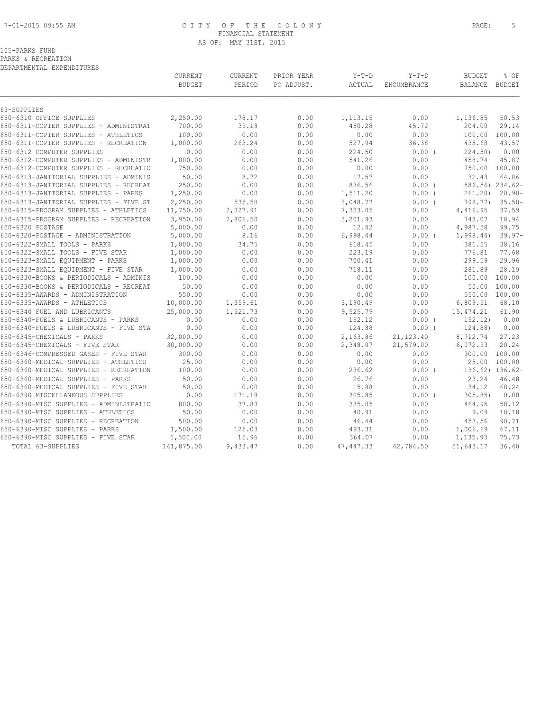#### 7-01-2015 09:55 AM C I T Y O F T H E C O L O N Y PAGE: 5 FINANCIAL STATEMENT AS OF: MAY 31ST, 2015

105-PARKS FUND

PARKS & RECREATION

| DEPARTMENTAL EXPENDITURES |  |
|---------------------------|--|
|                           |  |

| DEPARTMENTAL EXPENDITURES              |               |                |            |            |             |               |                 |
|----------------------------------------|---------------|----------------|------------|------------|-------------|---------------|-----------------|
|                                        | CURRENT       | <b>CURRENT</b> | PRIOR YEAR | $Y-T-D$    | $Y-T-D$     | <b>BUDGET</b> | % OF            |
|                                        | <b>BUDGET</b> | PERIOD         | PO ADJUST. | ACTUAL     | ENCUMBRANCE | BALANCE       | BUDGET          |
| 63-SUPPLIES                            |               |                |            |            |             |               |                 |
| 650-6310 OFFICE SUPPLIES               | 2,250.00      | 178.17         | 0.00       | 1,113.15   | 0.00        | 1,136.85      | 50.53           |
| 650-6311-COPIER SUPPLIES - ADMINISTRAT | 700.00        | 39.18          | 0.00       | 450.28     | 45.72       | 204.00        | 29.14           |
| 650-6311-COPIER SUPPLIES - ATHLETICS   | 100.00        | 0.00           | 0.00       | 0.00       | 0.00        | 100.00        | 100.00          |
| 650-6311-COPIER SUPPLIES - RECREATION  | 1,000.00      | 263.24         | 0.00       | 527.94     | 36.38       | 435.68        | 43.57           |
| 650-6312 COMPUTER SUPPLIES             | 0.00          | 0.00           | 0.00       | 224.50     | 0.00(       | 224.50        | 0.00            |
| 650-6312-COMPUTER SUPPLIES - ADMINISTR | 1,000.00      | 0.00           | 0.00       | 541.26     | 0.00        | 458.74        | 45.87           |
| 650-6312-COMPUTER SUPPLIES - RECREATIO | 750.00        | 0.00           | 0.00       | 0.00       | 0.00        |               | 750.00 100.00   |
| 650-6313-JANITORIAL SUPPLIES - ADMINIS | 50.00         | 8.72           | 0.00       | 17.57      | 0.00        | 32.43         | 64.86           |
| 650-6313-JANITORIAL SUPPLIES - RECREAT | 250.00        | 0.00           | 0.00       | 836.56     | $0.00$ (    |               | 586.56) 234.62- |
| 650-6313-JANITORIAL SUPPLIES - PARKS   | 1,250.00      | 0.00           | 0.00       | 1,511.20   | $0.00$ (    | 261.20)       | $20.90 -$       |
| 650-6313-JANITORIAL SUPPLIES - FIVE ST | 2,250.00      | 535.50         | 0.00       | 3,048.77   | $0.00$ (    | 798.77)       | $35.50 -$       |
| 650-6315-PROGRAM SUPPLIES - ATHLETICS  | 11,750.00     | 2,327.91       | 0.00       | 7,333.05   | 0.00        | 4,416.95      | 37.59           |
| 650-6315-PROGRAM SUPPLIES - RECREATION | 3,950.00      | 2,806.50       | 0.00       | 3,201.93   | 0.00        | 748.07        | 18.94           |
| 650-6320 POSTAGE                       | 5,000.00      | 0.00           | 0.00       | 12.42      | 0.00        | 4,987.58      | 99.75           |
| 650-6320-POSTAGE - ADMINISTRATION      | 5,000.00      | 8.16           | 0.00       | 6,998.44   | $0.00$ (    | 1,998.44)     | $39.97 -$       |
| 650-6322-SMALL TOOLS - PARKS           | 1,000.00      | 34.75          | 0.00       | 618.45     | 0.00        | 381.55        | 38.16           |
| 650-6322-SMALL TOOLS - FIVE STAR       | 1,000.00      | 0.00           | 0.00       | 223.19     | 0.00        | 776.81        | 77.68           |
| 650-6323-SMALL EQUIPMENT - PARKS       | 1,000.00      | 0.00           | 0.00       | 700.41     | 0.00        | 299.59        | 29.96           |
| 650-6323-SMALL EOUIPMENT - FIVE STAR   | 1,000.00      | 0.00           | 0.00       | 718.11     | 0.00        | 281.89        | 28.19           |
| 650-6330-BOOKS & PERIODICALS - ADMINIS | 100.00        | 0.00           | 0.00       | 0.00       | 0.00        | 100.00        | 100.00          |
| 650-6330-BOOKS & PERIODICALS - RECREAT | 50.00         | 0.00           | 0.00       | 0.00       | 0.00        | 50.00         | 100.00          |
| 650-6335-AWARDS - ADMINISTRATION       | 550.00        | 0.00           | 0.00       | 0.00       | 0.00        |               | 550.00 100.00   |
| 650-6335-AWARDS - ATHLETICS            | 10,000.00     | 1,359.61       | 0.00       | 3,190.49   | 0.00        | 6,809.51      | 68.10           |
| 650-6340 FUEL AND LUBRICANTS           | 25,000.00     | 1,521.73       | 0.00       | 9,525.79   | 0.00        | 15,474.21     | 61.90           |
| 650-6340-FUELS & LUBRICANTS - PARKS    | 0.00          | 0.00           | 0.00       | 152.12     | 0.00(       | 152.12)       | 0.00            |
| 650-6340-FUELS & LUBRICANTS - FIVE STA | 0.00          | 0.00           | 0.00       | 124.88     | $0.00$ (    | 124.88)       | 0.00            |
| 650-6345-CHEMICALS - PARKS             | 32,000.00     | 0.00           | 0.00       | 2,163.86   | 21, 123.40  | 8,712.74      | 27.23           |
| 650-6345-CHEMICALS - FIVE STAR         | 30,000.00     | 0.00           | 0.00       | 2,348.07   | 21,579.00   | 6,072.93      | 20.24           |
| 650-6346-COMPRESSED GASES - FIVE STAR  | 300.00        | 0.00           | 0.00       | 0.00       | 0.00        | 300.00        | 100.00          |
| 650-6360-MEDICAL SUPPLIES - ATHLETICS  | 25.00         | 0.00           | 0.00       | 0.00       | 0.00        | 25.00         | 100.00          |
| 650-6360-MEDICAL SUPPLIES - RECREATION | 100.00        | 0.00           | 0.00       | 236.62     | $0.00$ (    |               | 136.62) 136.62- |
| 650-6360-MEDICAL SUPPLIES - PARKS      | 50.00         | 0.00           | 0.00       | 26.76      | 0.00        | 23.24         | 46.48           |
| 650-6360-MEDICAL SUPPLIES - FIVE STAR  | 50.00         | 0.00           | 0.00       | 15.88      | 0.00        | 34.12         | 68.24           |
| 650-6390 MISCELLANEOUS SUPPLIES        | 0.00          | 171.18         | 0.00       | 305.85     | $0.00$ (    | 305.85        | 0.00            |
| 650-6390-MISC SUPPLIES - ADMINISTRATIO | 800.00        | 37.83          | 0.00       | 335.05     | 0.00        | 464.95        | 58.12           |
| 650-6390-MISC SUPPLIES - ATHLETICS     | 50.00         | 0.00           | 0.00       | 40.91      | 0.00        | 9.09          | 18.18           |
| 650-6390-MISC SUPPLIES - RECREATION    | 500.00        | 0.00           | 0.00       | 46.44      | 0.00        | 453.56        | 90.71           |
| 650-6390-MISC SUPPLIES - PARKS         | 1,500.00      | 125.03         | 0.00       | 493.31     | 0.00        | 1,006.69      | 67.11           |
| 650-6390-MISC SUPPLIES - FIVE STAR     | 1,500.00      | 15.96          | 0.00       | 364.07     | 0.00        | 1,135.93      | 75.73           |
| TOTAL 63-SUPPLIES                      | 141,875.00    | 9,433.47       | 0.00       | 47, 447.33 | 42,784.50   | 51,643.17     | 36.40           |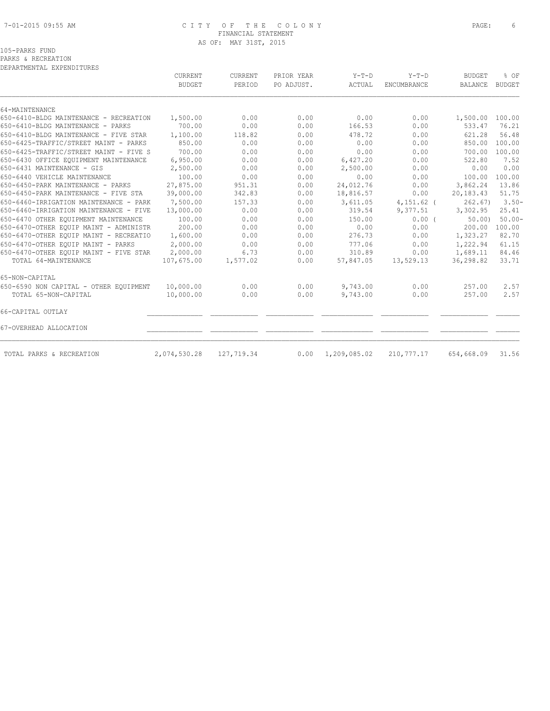# 7-01-2015 09:55 AM C I T Y O F T H E C O L O N Y PAGE: 6 FINANCIAL STATEMENT AS OF: MAY 31ST, 2015

# 105-PARKS FUND

PARKS & RECREATION

|                                        | CURRENT       | CURRENT    | PRIOR YEAR | $Y-T-D$      | $Y-T-D$            | <b>BUDGET</b>   | % OF          |
|----------------------------------------|---------------|------------|------------|--------------|--------------------|-----------------|---------------|
|                                        | <b>BUDGET</b> | PERIOD     | PO ADJUST. | ACTUAL       | <b>ENCUMBRANCE</b> | <b>BALANCE</b>  | <b>BUDGET</b> |
| 64-MAINTENANCE                         |               |            |            |              |                    |                 |               |
| 650-6410-BLDG MAINTENANCE - RECREATION | 1,500.00      | 0.00       | 0.00       | 0.00         | 0.00               | 1,500.00 100.00 |               |
| 650-6410-BLDG MAINTENANCE - PARKS      | 700.00        | 0.00       | 0.00       | 166.53       | 0.00               | 533.47          | 76.21         |
| 650-6410-BLDG MAINTENANCE - FIVE STAR  | 1,100.00      | 118.82     | 0.00       | 478.72       | 0.00               | 621.28          | 56.48         |
| 650-6425-TRAFFIC/STREET MAINT - PARKS  | 850.00        | 0.00       | 0.00       | 0.00         | 0.00               | 850.00          | 100.00        |
| 650-6425-TRAFFIC/STREET MAINT - FIVE S | 700.00        | 0.00       | 0.00       | 0.00         | 0.00               | 700.00          | 100.00        |
| 650-6430 OFFICE EQUIPMENT MAINTENANCE  | 6,950.00      | 0.00       | 0.00       | 6,427.20     | 0.00               | 522.80          | 7.52          |
| 650-6431 MAINTENANCE - GIS             | 2,500.00      | 0.00       | 0.00       | 2,500.00     | 0.00               | 0.00            | 0.00          |
| 650-6440 VEHICLE MAINTENANCE           | 100.00        | 0.00       | 0.00       | 0.00         | 0.00               | 100.00          | 100.00        |
| 650-6450-PARK MAINTENANCE - PARKS      | 27,875.00     | 951.31     | 0.00       | 24,012.76    | 0.00               | 3,862.24        | 13.86         |
| 650-6450-PARK MAINTENANCE - FIVE STA   | 39,000.00     | 342.83     | 0.00       | 18,816.57    | 0.00               | 20,183.43       | 51.75         |
| 650-6460-IRRIGATION MAINTENANCE - PARK | 7,500.00      | 157.33     | 0.00       | 3,611.05     | $4,151.62$ (       | 262.67          | $3.50 -$      |
| 650-6460-IRRIGATION MAINTENANCE - FIVE | 13,000.00     | 0.00       | 0.00       | 319.54       | 9,377.51           | 3,302.95        | 25.41         |
| 650-6470 OTHER EQUIPMENT MAINTENANCE   | 100.00        | 0.00       | 0.00       | 150.00       | 0.00(              | 50.001          | $50.00 -$     |
| 650-6470-OTHER EQUIP MAINT - ADMINISTR | 200.00        | 0.00       | 0.00       | 0.00         | 0.00               | 200.00          | 100.00        |
| 650-6470-OTHER EQUIP MAINT - RECREATIO | 1,600.00      | 0.00       | 0.00       | 276.73       | 0.00               | 1,323.27        | 82.70         |
| 650-6470-OTHER EOUIP MAINT - PARKS     | 2,000.00      | 0.00       | 0.00       | 777.06       | 0.00               | 1,222.94        | 61.15         |
| 650-6470-OTHER EQUIP MAINT - FIVE STAR | 2,000.00      | 6.73       | 0.00       | 310.89       | 0.00               | 1,689.11        | 84.46         |
| TOTAL 64-MAINTENANCE                   | 107,675.00    | 1,577.02   | 0.00       | 57,847.05    | 13,529.13          | 36,298.82       | 33.71         |
| 65-NON-CAPITAL                         |               |            |            |              |                    |                 |               |
| 650-6590 NON CAPITAL - OTHER EQUIPMENT | 10,000.00     | 0.00       | 0.00       | 9,743.00     | 0.00               | 257.00          | 2.57          |
| TOTAL 65-NON-CAPITAL                   | 10,000.00     | 0.00       | 0.00       | 9,743.00     | 0.00               | 257.00          | 2.57          |
| 66-CAPITAL OUTLAY                      |               |            |            |              |                    |                 |               |
| 67-OVERHEAD ALLOCATION                 |               |            |            |              |                    |                 |               |
| TOTAL PARKS & RECREATION               | 2,074,530.28  | 127,719.34 | 0.00       | 1,209,085.02 | 210,777.17         | 654,668.09      | 31.56         |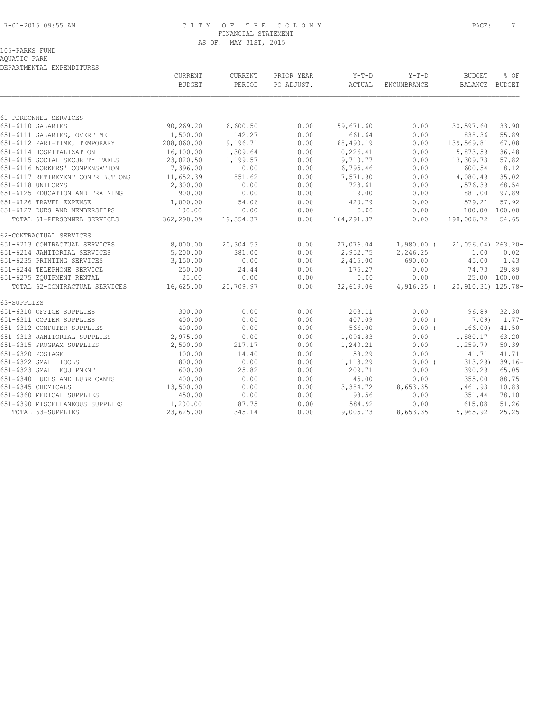#### 7-01-2015 09:55 AM C I T Y O F T H E C O L O N Y PAGE: 7 FINANCIAL STATEMENT AS OF: MAY 31ST, 2015

#### 105-PARKS FUND AQUATIC PARK

|                                         | CURRENT       | CURRENT   | PRIOR YEAR | $Y-T-D$    | $Y-T-D$              | <b>BUDGET</b>           | % OF         |
|-----------------------------------------|---------------|-----------|------------|------------|----------------------|-------------------------|--------------|
|                                         | <b>BUDGET</b> | PERIOD    | PO ADJUST. | ACTUAL     | ENCUMBRANCE          | BALANCE BUDGET          |              |
|                                         |               |           |            |            |                      |                         |              |
| 61-PERSONNEL SERVICES                   |               |           |            |            |                      |                         |              |
| 651-6110 SALARIES                       | 90, 269.20    | 6,600.50  | 0.00       | 59,671.60  | 0.00                 | 30,597.60               | 33.90        |
| 651-6111 SALARIES, OVERTIME             | 1,500.00      | 142.27    | 0.00       | 661.64     | 0.00                 | 838.36                  | 55.89        |
| 651-6112 PART-TIME, TEMPORARY           | 208,060.00    | 9,196.71  | 0.00       | 68,490.19  | 0.00                 | 139,569.81              | 67.08        |
| 651-6114 HOSPITALIZATION                | 16,100.00     | 1,309.64  | 0.00       | 10,226.41  | 0.00                 | 5,873.59                | 36.48        |
| 651-6115 SOCIAL SECURITY TAXES          | 23,020.50     | 1,199.57  | 0.00       | 9,710.77   | 0.00                 | 13,309.73               | 57.82        |
| 651-6116 WORKERS' COMPENSATION          | 7,396.00      | 0.00      | 0.00       | 6,795.46   | 0.00                 | 600.54                  | 8.12         |
| 651-6117 RETIREMENT CONTRIBUTIONS       | 11,652.39     | 851.62    | 0.00       | 7,571.90   | 0.00                 | 4,080.49                | 35.02        |
| 651-6118 UNIFORMS                       | 2,300.00      | 0.00      | 0.00       | 723.61     | 0.00                 | 1,576.39                | 68.54        |
| 651-6125 EDUCATION AND TRAINING         | 900.00        | 0.00      | 0.00       | 19.00      | 0.00                 | 881.00                  | 97.89        |
| 651-6126 TRAVEL EXPENSE                 | 1,000.00      | 54.06     | 0.00       | 420.79     | 0.00                 | 579.21                  | 57.92        |
| 651-6127 DUES AND MEMBERSHIPS           | 100.00        | 0.00      | 0.00       | 0.00       | 0.00                 | 100.00 100.00           |              |
| TOTAL 61-PERSONNEL SERVICES             | 362,298.09    | 19,354.37 | 0.00       | 164,291.37 | 0.00                 | 198,006.72              | 54.65        |
| 62-CONTRACTUAL SERVICES                 |               |           |            |            |                      |                         |              |
| 651-6213 CONTRACTUAL SERVICES           | 8,000.00      | 20,304.53 | 0.00       |            | 27,076.04 1,980.00 ( | $21,056.04$ ) $263.20-$ |              |
| 651-6214 JANITORIAL SERVICES            | 5,200.00      | 381.00    | 0.00       | 2,952.75   | 2,246.25             | 1.00                    | 0.02         |
| 651-6235 PRINTING SERVICES              | 3,150.00      | 0.00      | 0.00       | 2,415.00   | 690.00               | 45.00                   | 1.43         |
| 651-6244 TELEPHONE SERVICE              | 250.00        | 24.44     | 0.00       | 175.27     | 0.00                 | 74.73                   | 29.89        |
| 651-6275 EQUIPMENT RENTAL               | 25.00         | 0.00      | 0.00       | 0.00       | 0.00                 |                         | 25.00 100.00 |
| TOTAL 62-CONTRACTUAL SERVICES 16,625.00 |               | 20,709.97 | 0.00       | 32,619.06  | $4,916.25$ (         | 20,910.31) 125.78-      |              |
| 63-SUPPLIES                             |               |           |            |            |                      |                         |              |
| 651-6310 OFFICE SUPPLIES                | 300.00        | 0.00      | 0.00       | 203.11     | 0.00                 | 96.89                   | 32.30        |
| 651-6311 COPIER SUPPLIES                | 400.00        | 0.00      | 0.00       | 407.09     | 0.00(                | 7.09)                   | $1.77-$      |
| 651-6312 COMPUTER SUPPLIES              | 400.00        | 0.00      | 0.00       | 566.00     | $0.00$ (             | 166.00)                 | $41.50 -$    |
| 651-6313 JANITORIAL SUPPLIES 2,975.00   |               | 0.00      | 0.00       | 1,094.83   | 0.00                 | 1,880.17                | 63.20        |
| 651-6315 PROGRAM SUPPLIES               | 2,500.00      | 217.17    | 0.00       | 1,240.21   | 0.00                 | 1,259.79                | 50.39        |
| 651-6320 POSTAGE                        | 100.00        | 14.40     | 0.00       | 58.29      | 0.00                 | 41.71                   | 41.71        |
| 651-6322 SMALL TOOLS                    | 800.00        | 0.00      | 0.00       | 1,113.29   | 0.00(                | 313.29                  | $39.16 -$    |
| 651-6323 SMALL EQUIPMENT                | 600.00        | 25.82     | 0.00       | 209.71     | 0.00                 | 390.29                  | 65.05        |
| 651-6340 FUELS AND LUBRICANTS           | 400.00        | 0.00      | 0.00       | 45.00      | 0.00                 | 355.00                  | 88.75        |
| 651-6345 CHEMICALS                      | 13,500.00     | 0.00      | 0.00       | 3,384.72   | 8,653.35             | 1,461.93                | 10.83        |
| 651-6360 MEDICAL SUPPLIES               | 450.00        | 0.00      | 0.00       | 98.56      | 0.00                 | 351.44                  | 78.10        |
| 651-6390 MISCELLANEOUS SUPPLIES         | 1,200.00      | 87.75     | 0.00       | 584.92     | 0.00                 | 615.08                  | 51.26        |
| TOTAL 63-SUPPLIES                       | 23,625.00     | 345.14    | 0.00       | 9,005.73   | 8,653.35             | 5,965.92                | 25.25        |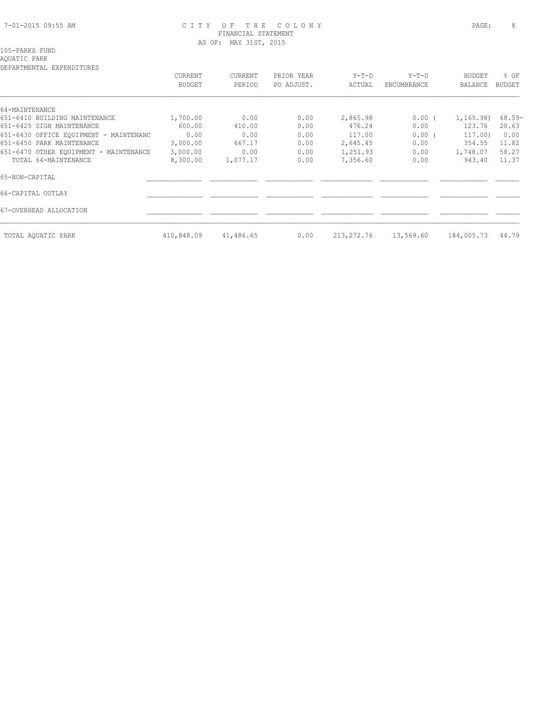#### 7-01-2015 09:55 AM C I T Y O F T H E C O L O N Y PAGE: 8 FINANCIAL STATEMENT AS OF: MAY 31ST, 2015

# 105-PARKS FUND

AQUATIC PARK

|                                        | CURRENT<br><b>BUDGET</b> | <b>CURRENT</b><br>PERIOD | PRIOR YEAR | $Y-T-D$    | $Y-T-D$<br>ENCUMBRANCE | <b>BUDGET</b><br>BALANCE | % OF<br>BUDGET |
|----------------------------------------|--------------------------|--------------------------|------------|------------|------------------------|--------------------------|----------------|
|                                        |                          |                          | PO ADJUST. | ACTUAL     |                        |                          |                |
| 64-MAINTENANCE                         |                          |                          |            |            |                        |                          |                |
| 651-6410 BUILDING MAINTENANCE          | 1,700.00                 | 0.00                     | 0.00       | 2,865.98   | $0.00$ (               | 1,165.98)                | 68.59-         |
| 651-6425 SIGN MAINTENANCE              | 600.00                   | 410.00                   | 0.00       | 476.24     | 0.00                   | 123.76                   | 20.63          |
|                                        |                          |                          |            |            |                        |                          |                |
| 651-6430 OFFICE EOUIPMENT - MAINTENANC | 0.00                     | 0.00                     | 0.00       | 117.00     | 0.00(                  | 117.00)                  | 0.00           |
| 651-6450 PARK MAINTENANCE              | 3,000.00                 | 667.17                   | 0.00       | 2,645.45   | 0.00                   | 354.55                   | 11.82          |
| 651-6470 OTHER EQUIPMENT - MAINTENANCE | 3,000.00                 | 0.00                     | 0.00       | 1,251.93   | 0.00                   | 1,748.07                 | 58.27          |
| TOTAL 64-MAINTENANCE                   | 8,300.00                 | 1,077.17                 | 0.00       | 7,356.60   | 0.00                   | 943.40                   | 11.37          |
| 65-NON-CAPITAL                         |                          |                          |            |            |                        |                          |                |
| 66-CAPITAL OUTLAY                      |                          |                          |            |            |                        |                          |                |
| 67-OVERHEAD ALLOCATION                 |                          |                          |            |            |                        |                          |                |
| TOTAL AOUATIC PARK                     | 410,848.09               | 41,486.65                | 0.00       | 213,272.76 | 13,569.60              | 184,005.73               | 44.79          |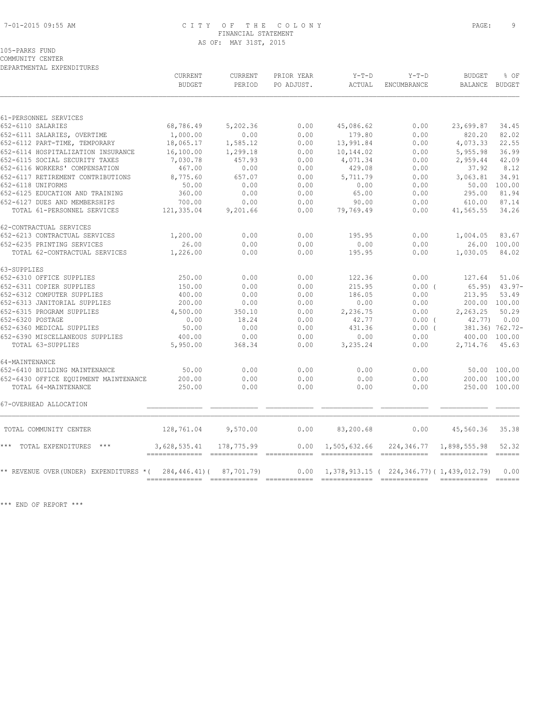# 7-01-2015 09:55 AM C I T Y O F T H E C O L O N Y PAGE: 9 FINANCIAL STATEMENT AS OF: MAY 31ST, 2015

105-PARKS FUND

COMMUNITY CENTER DEPARTMENTAL EXPENDITURES

|                                        | CURRENT                                         | <b>CURRENT</b> | PRIOR YEAR | $Y-T-D$                                       | $Y-T-D$                                         | <b>BUDGET</b>                          | % OF            |
|----------------------------------------|-------------------------------------------------|----------------|------------|-----------------------------------------------|-------------------------------------------------|----------------------------------------|-----------------|
|                                        | <b>BUDGET</b>                                   | PERIOD         | PO ADJUST. | ACTUAL                                        | ENCUMBRANCE                                     | BALANCE BUDGET                         |                 |
| 61-PERSONNEL SERVICES                  |                                                 |                |            |                                               |                                                 |                                        |                 |
| 652-6110 SALARIES                      | 68,786.49                                       | 5,202.36       | 0.00       | 45,086.62                                     | 0.00                                            | 23,699.87                              | 34.45           |
| 652-6111 SALARIES, OVERTIME            | 1,000.00                                        | 0.00           | 0.00       | 179.80                                        | 0.00                                            | 820.20                                 | 82.02           |
| 652-6112 PART-TIME, TEMPORARY          | 18,065.17                                       | 1,585.12       | 0.00       | 13,991.84                                     | 0.00                                            | 4,073.33                               | 22.55           |
| 652-6114 HOSPITALIZATION INSURANCE     | 16,100.00                                       | 1,299.18       | 0.00       | 10,144.02                                     | 0.00                                            | 5,955.98                               | 36.99           |
| 652-6115 SOCIAL SECURITY TAXES         | 7,030.78                                        | 457.93         | 0.00       | 4,071.34                                      | 0.00                                            | 2,959.44                               | 42.09           |
| 652-6116 WORKERS' COMPENSATION         | 467.00                                          | 0.00           | 0.00       | 429.08                                        | 0.00                                            | 37.92                                  | 8.12            |
| 652-6117 RETIREMENT CONTRIBUTIONS      | 8,775.60                                        | 657.07         | 0.00       | 5,711.79                                      | 0.00                                            | 3,063.81                               | 34.91           |
| 652-6118 UNIFORMS                      | 50.00                                           | 0.00           | 0.00       | 0.00                                          | 0.00                                            |                                        | 50.00 100.00    |
| 652-6125 EDUCATION AND TRAINING        | 360.00                                          | 0.00           | 0.00       | 65.00                                         | 0.00                                            | 295.00                                 | 81.94           |
| 652-6127 DUES AND MEMBERSHIPS          | 700.00                                          | 0.00           | 0.00       | 90.00                                         | 0.00                                            | 610.00                                 | 87.14           |
| TOTAL 61-PERSONNEL SERVICES            | 121,335.04                                      | 9,201.66       | 0.00       | 79,769.49                                     | 0.00                                            | 41,565.55                              | 34.26           |
| 62-CONTRACTUAL SERVICES                |                                                 |                |            |                                               |                                                 |                                        |                 |
| 652-6213 CONTRACTUAL SERVICES          | 1,200.00                                        | 0.00           | 0.00       | 195.95                                        | 0.00                                            | 1,004.05                               | 83.67           |
| 652-6235 PRINTING SERVICES             | 26.00                                           | 0.00           | 0.00       | 0.00                                          | 0.00                                            |                                        | 26.00 100.00    |
| TOTAL 62-CONTRACTUAL SERVICES          | 1,226.00                                        | 0.00           | 0.00       | 195.95                                        | 0.00                                            | 1,030.05                               | 84.02           |
| 63-SUPPLIES                            |                                                 |                |            |                                               |                                                 |                                        |                 |
| 652-6310 OFFICE SUPPLIES               | 250.00                                          | 0.00           | 0.00       | 122.36                                        | 0.00                                            | 127.64                                 | 51.06           |
| 652-6311 COPIER SUPPLIES               | 150.00                                          | 0.00           | 0.00       | 215.95                                        | $0.00$ (                                        | 65.95)                                 | $43.97-$        |
| 652-6312 COMPUTER SUPPLIES             | 400.00                                          | 0.00           | 0.00       | 186.05                                        | 0.00                                            | 213.95                                 | 53.49           |
| 652-6313 JANITORIAL SUPPLIES           | 200.00                                          | 0.00           | 0.00       | 0.00                                          | 0.00                                            | 200.00 100.00                          |                 |
| 652-6315 PROGRAM SUPPLIES              | 4,500.00                                        | 350.10         | 0.00       | 2,236.75                                      | 0.00                                            | 2,263.25                               | 50.29           |
| 652-6320 POSTAGE                       | 0.00                                            | 18.24          | 0.00       | 42.77                                         | $0.00$ (                                        | 42.77)                                 | 0.00            |
| 652-6360 MEDICAL SUPPLIES              | 50.00                                           | 0.00           | 0.00       | 431.36                                        | $0.00$ (                                        |                                        | 381.36) 762.72- |
| 652-6390 MISCELLANEOUS SUPPLIES        | 400.00                                          | 0.00           | 0.00       | 0.00                                          | 0.00                                            | 400.00 100.00                          |                 |
| TOTAL 63-SUPPLIES                      | 5,950.00                                        | 368.34         | 0.00       | 3,235.24                                      | 0.00                                            | 2,714.76                               | 45.63           |
| 64-MAINTENANCE                         |                                                 |                |            |                                               |                                                 |                                        |                 |
| 652-6410 BUILDING MAINTENANCE          | 50.00                                           | 0.00           | 0.00       | 0.00                                          | 0.00                                            |                                        | 50.00 100.00    |
| 652-6430 OFFICE EOUIPMENT MAINTENANCE  | 200.00                                          | 0.00           | 0.00       | 0.00                                          | 0.00                                            | 200.00 100.00                          |                 |
| TOTAL 64-MAINTENANCE                   | 250.00                                          | 0.00           | 0.00       | 0.00                                          | 0.00                                            | 250.00 100.00                          |                 |
| 67-OVERHEAD ALLOCATION                 |                                                 |                |            |                                               |                                                 |                                        |                 |
| TOTAL COMMUNITY CENTER                 | 128,761.04                                      | 9,570.00       | 0.00       | 83,200.68                                     | 0.00                                            | 45,560.36                              | 35.38           |
| *** TOTAL EXPENDITURES ***             | 3,628,535.41<br>=============================== | 178,775.99     | 0.00       | 1,505,632.66<br>============================= | 224,346.77                                      | 1,898,555.98<br>====================== | 52.32           |
| ** REVENUE OVER(UNDER) EXPENDITURES *( | 284,446.41)(                                    | 87,701.79)     | 0.00       |                                               | 1, 378, 913.15 ( 224, 346.77) ( 1, 439, 012.79) |                                        | 0.00            |
|                                        |                                                 |                |            |                                               |                                                 | ------------- ------                   |                 |

\*\*\* END OF REPORT \*\*\*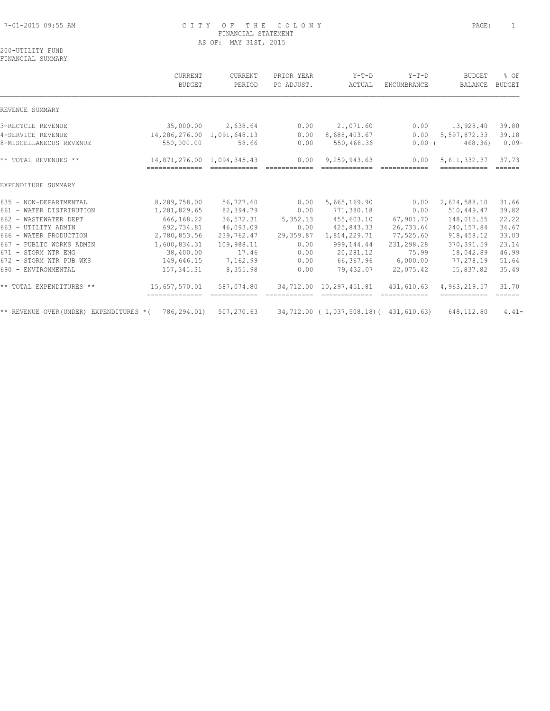#### 7-01-2015 09:55 AM C I T Y O F T H E C O L O N Y PAGE: 1 FINANCIAL STATEMENT AS OF: MAY 31ST, 2015

#### 200-UTILITY FUND FINANCIAL SUMMARY

|                                          | CURRENT                                      | CURRENT                                                                                                                                                                                                                                                                                                                                                                                                                                                                              | PRIOR YEAR           | $Y-T-D$                                 | $Y-T-D$                                                                                                                                                                                                                                                                                                                                                                                                                                                                                        | <b>BUDGET</b>                                                                                                                                                                                                                                                                                                                                                                                                                                                                                            | % OF                             |
|------------------------------------------|----------------------------------------------|--------------------------------------------------------------------------------------------------------------------------------------------------------------------------------------------------------------------------------------------------------------------------------------------------------------------------------------------------------------------------------------------------------------------------------------------------------------------------------------|----------------------|-----------------------------------------|------------------------------------------------------------------------------------------------------------------------------------------------------------------------------------------------------------------------------------------------------------------------------------------------------------------------------------------------------------------------------------------------------------------------------------------------------------------------------------------------|----------------------------------------------------------------------------------------------------------------------------------------------------------------------------------------------------------------------------------------------------------------------------------------------------------------------------------------------------------------------------------------------------------------------------------------------------------------------------------------------------------|----------------------------------|
|                                          | <b>BUDGET</b>                                | PERIOD                                                                                                                                                                                                                                                                                                                                                                                                                                                                               | PO ADJUST.           | ACTUAL                                  | <b>ENCUMBRANCE</b>                                                                                                                                                                                                                                                                                                                                                                                                                                                                             | <b>BALANCE</b>                                                                                                                                                                                                                                                                                                                                                                                                                                                                                           | <b>BUDGET</b>                    |
| REVENUE SUMMARY                          |                                              |                                                                                                                                                                                                                                                                                                                                                                                                                                                                                      |                      |                                         |                                                                                                                                                                                                                                                                                                                                                                                                                                                                                                |                                                                                                                                                                                                                                                                                                                                                                                                                                                                                                          |                                  |
| 3-RECYCLE REVENUE                        | 35,000.00                                    | 2,638.64                                                                                                                                                                                                                                                                                                                                                                                                                                                                             | 0.00                 | 21,071.60                               | 0.00                                                                                                                                                                                                                                                                                                                                                                                                                                                                                           | 13,928.40                                                                                                                                                                                                                                                                                                                                                                                                                                                                                                | 39.80                            |
| 4-SERVICE REVENUE                        | 14, 286, 276.00 1, 091, 648.13               |                                                                                                                                                                                                                                                                                                                                                                                                                                                                                      | 0.00                 | 8,688,403.67                            | 0.00                                                                                                                                                                                                                                                                                                                                                                                                                                                                                           | 5,597,872.33                                                                                                                                                                                                                                                                                                                                                                                                                                                                                             | 39.18                            |
| 8-MISCELLANEOUS REVENUE                  | 550,000.00                                   | 58.66                                                                                                                                                                                                                                                                                                                                                                                                                                                                                | 0.00                 | 550,468.36                              | $0.00$ (                                                                                                                                                                                                                                                                                                                                                                                                                                                                                       | 468.36)                                                                                                                                                                                                                                                                                                                                                                                                                                                                                                  | $0.09-$                          |
| ** TOTAL REVENUES **                     | 14,871,276.00 1,094,345.43<br>-------------- | $\begin{array}{cccccc} \multicolumn{2}{c}{} & \multicolumn{2}{c}{} & \multicolumn{2}{c}{} & \multicolumn{2}{c}{} & \multicolumn{2}{c}{} & \multicolumn{2}{c}{} & \multicolumn{2}{c}{} & \multicolumn{2}{c}{} & \multicolumn{2}{c}{} & \multicolumn{2}{c}{} & \multicolumn{2}{c}{} & \multicolumn{2}{c}{} & \multicolumn{2}{c}{} & \multicolumn{2}{c}{} & \multicolumn{2}{c}{} & \multicolumn{2}{c}{} & \multicolumn{2}{c}{} & \multicolumn{2}{c}{} & \multicolumn{2}{c}{} & \multic$ | 0.00<br>============ | 9,259,943.63<br>-------------           | 0.00<br>$\begin{array}{cccccccccc} \multicolumn{2}{c}{} & \multicolumn{2}{c}{} & \multicolumn{2}{c}{} & \multicolumn{2}{c}{} & \multicolumn{2}{c}{} & \multicolumn{2}{c}{} & \multicolumn{2}{c}{} & \multicolumn{2}{c}{} & \multicolumn{2}{c}{} & \multicolumn{2}{c}{} & \multicolumn{2}{c}{} & \multicolumn{2}{c}{} & \multicolumn{2}{c}{} & \multicolumn{2}{c}{} & \multicolumn{2}{c}{} & \multicolumn{2}{c}{} & \multicolumn{2}{c}{} & \multicolumn{2}{c}{} & \multicolumn{2}{c}{} & \mult$ | 5, 611, 332.37<br>$\begin{array}{cccccccccc} \multicolumn{2}{c}{} & \multicolumn{2}{c}{} & \multicolumn{2}{c}{} & \multicolumn{2}{c}{} & \multicolumn{2}{c}{} & \multicolumn{2}{c}{} & \multicolumn{2}{c}{} & \multicolumn{2}{c}{} & \multicolumn{2}{c}{} & \multicolumn{2}{c}{} & \multicolumn{2}{c}{} & \multicolumn{2}{c}{} & \multicolumn{2}{c}{} & \multicolumn{2}{c}{} & \multicolumn{2}{c}{} & \multicolumn{2}{c}{} & \multicolumn{2}{c}{} & \multicolumn{2}{c}{} & \multicolumn{2}{c}{} & \mult$ | 37.73<br>$=$ $=$ $=$ $=$ $=$ $=$ |
| EXPENDITURE SUMMARY                      |                                              |                                                                                                                                                                                                                                                                                                                                                                                                                                                                                      |                      |                                         |                                                                                                                                                                                                                                                                                                                                                                                                                                                                                                |                                                                                                                                                                                                                                                                                                                                                                                                                                                                                                          |                                  |
| 635 - NON-DEPARTMENTAL                   | 8,289,758.00                                 | 56,727.60                                                                                                                                                                                                                                                                                                                                                                                                                                                                            | 0.00                 | 5,665,169.90                            | 0.00                                                                                                                                                                                                                                                                                                                                                                                                                                                                                           | 2,624,588.10                                                                                                                                                                                                                                                                                                                                                                                                                                                                                             | 31.66                            |
| 661 - WATER DISTRIBUTION                 | 1,281,829.65                                 | 82,394.79                                                                                                                                                                                                                                                                                                                                                                                                                                                                            | 0.00                 | 771,380.18                              | 0.00                                                                                                                                                                                                                                                                                                                                                                                                                                                                                           | 510,449.47                                                                                                                                                                                                                                                                                                                                                                                                                                                                                               | 39.82                            |
| 662 - WASTEWATER DEPT                    | 666,168.22                                   | 36,572.31                                                                                                                                                                                                                                                                                                                                                                                                                                                                            | 5,352.13             | 455,603.10                              | 67,901.70                                                                                                                                                                                                                                                                                                                                                                                                                                                                                      | 148,015.55                                                                                                                                                                                                                                                                                                                                                                                                                                                                                               | 22.22                            |
| 663 - UTILITY ADMIN                      | 692,734.81                                   | 46,093.09                                                                                                                                                                                                                                                                                                                                                                                                                                                                            | 0.00                 | 425,843.33                              | 26,733.64                                                                                                                                                                                                                                                                                                                                                                                                                                                                                      | 240,157.84                                                                                                                                                                                                                                                                                                                                                                                                                                                                                               | 34.67                            |
| 666 - WATER PRODUCTION                   | 2,780,853.56                                 | 239,762.47                                                                                                                                                                                                                                                                                                                                                                                                                                                                           | 29,359.87            | 1,814,229.71                            | 77,525.60                                                                                                                                                                                                                                                                                                                                                                                                                                                                                      | 918, 458.12                                                                                                                                                                                                                                                                                                                                                                                                                                                                                              | 33.03                            |
| 667 - PUBLIC WORKS ADMIN                 | 1,600,834.31                                 | 109,988.11                                                                                                                                                                                                                                                                                                                                                                                                                                                                           | 0.00                 | 999, 144, 44                            | 231,298.28                                                                                                                                                                                                                                                                                                                                                                                                                                                                                     | 370, 391.59                                                                                                                                                                                                                                                                                                                                                                                                                                                                                              | 23.14                            |
| 671 - STORM WTR ENG                      | 38,400.00                                    | 17.46                                                                                                                                                                                                                                                                                                                                                                                                                                                                                | 0.00                 | 20,281.12                               | 75.99                                                                                                                                                                                                                                                                                                                                                                                                                                                                                          | 18,042.89                                                                                                                                                                                                                                                                                                                                                                                                                                                                                                | 46.99                            |
| 672 - STORM WTR PUB WKS                  | 149,646.15                                   | 7,162.99                                                                                                                                                                                                                                                                                                                                                                                                                                                                             | 0.00                 | 66,367.96                               | 6,000.00                                                                                                                                                                                                                                                                                                                                                                                                                                                                                       | 77,278.19                                                                                                                                                                                                                                                                                                                                                                                                                                                                                                | 51.64                            |
| 690 - ENVIRONMENTAL                      | 157, 345.31                                  | 8,355.98                                                                                                                                                                                                                                                                                                                                                                                                                                                                             | 0.00                 | 79,432.07                               | 22,075.42                                                                                                                                                                                                                                                                                                                                                                                                                                                                                      | 55,837.82                                                                                                                                                                                                                                                                                                                                                                                                                                                                                                | 35.49                            |
| ** TOTAL EXPENDITURES **                 | 15,657,570.01<br>==============              | 587,074.80<br>============                                                                                                                                                                                                                                                                                                                                                                                                                                                           |                      | 34,712.00 10,297,451.81                 | 431,610.63<br>============                                                                                                                                                                                                                                                                                                                                                                                                                                                                     | 4,963,219.57                                                                                                                                                                                                                                                                                                                                                                                                                                                                                             | 31.70<br>$=$ $=$ $=$ $=$ $=$     |
| ** REVENUE OVER (UNDER) EXPENDITURES * ( | 786,294.01)                                  | 507,270.63                                                                                                                                                                                                                                                                                                                                                                                                                                                                           |                      | 34,712.00 ( 1,037,508.18) ( 431,610.63) |                                                                                                                                                                                                                                                                                                                                                                                                                                                                                                | 648,112.80                                                                                                                                                                                                                                                                                                                                                                                                                                                                                               | $4.41-$                          |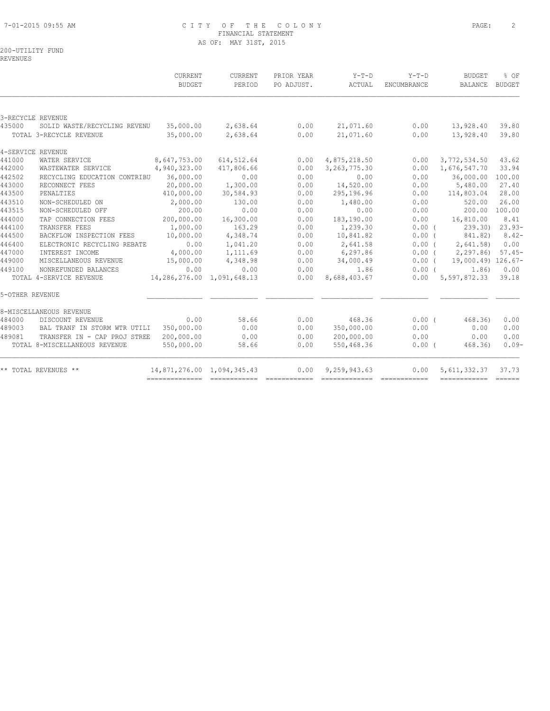#### 7-01-2015 09:55 AM C I T Y O F T H E C O L O N Y PAGE: 2 FINANCIAL STATEMENT AS OF: MAY 31ST, 2015

# 200-UTILITY FUND

REVENUES

|        |                               | CURRENT                    | CURRENT                        | PRIOR YEAR | $Y-T-D$        | $Y-T-D$     | <b>BUDGET</b>                  | % OF     |
|--------|-------------------------------|----------------------------|--------------------------------|------------|----------------|-------------|--------------------------------|----------|
|        |                               | <b>BUDGET</b>              | PERIOD                         | PO ADJUST. | ACTUAL         | ENCUMBRANCE | BALANCE                        | BUDGET   |
|        |                               |                            |                                |            |                |             |                                |          |
|        | 3-RECYCLE REVENUE             |                            |                                |            |                |             |                                |          |
| 435000 | SOLID WASTE/RECYCLING REVENU  |                            | 35,000.00 2,638.64             | 0.00       | 21,071.60      | 0.00        | 13,928.40                      | 39.80    |
|        | TOTAL 3-RECYCLE REVENUE       | 35,000.00                  | 2,638.64                       | 0.00       | 21,071.60      | 0.00        | 13,928.40                      | 39.80    |
|        | 4-SERVICE REVENUE             |                            |                                |            |                |             |                                |          |
| 441000 | WATER SERVICE                 | 8,647,753.00               | 614, 512.64                    | 0.00       | 4,875,218.50   | 0.00        | 3,772,534.50                   | 43.62    |
| 442000 | WASTEWATER SERVICE            | 4,940,323.00               | 417,806.66                     | 0.00       | 3, 263, 775.30 | 0.00        | 1,676,547.70                   | 33.94    |
| 442502 | RECYCLING EDUCATION CONTRIBU  | 36,000.00                  | 0.00                           | 0.00       | 0.00           | 0.00        | 36,000.00                      | 100.00   |
| 443000 | RECONNECT FEES                | 20,000.00                  | 1,300.00                       | 0.00       | 14,520.00      | 0.00        | 5,480.00                       | 27.40    |
| 443500 | PENALTIES                     | 410,000.00                 | 30,584.93                      | 0.00       | 295,196.96     | 0.00        | 114,803.04                     | 28.00    |
| 443510 | NON-SCHEDULED ON              | 2,000.00                   | 130.00                         | 0.00       | 1,480.00       | 0.00        | 520.00                         | 26.00    |
| 443515 | NON-SCHEDULED OFF             | 200.00                     | 0.00                           | 0.00       | 0.00           | 0.00        | 200.00                         | 100.00   |
| 444000 | TAP CONNECTION FEES           | 200,000.00                 | 16,300.00                      | 0.00       | 183,190.00     |             | $0.00$ 16,810.00               | 8.41     |
| 444100 | TRANSFER FEES                 | 1,000.00                   | 163.29                         | 0.00       | 1,239.30       |             | 0.00(<br>239.30) 23.93-        |          |
| 444500 | BACKFLOW INSPECTION FEES      | 10,000.00                  | 4,348.74                       | 0.00       | 10,841.82      | $0.00$ (    | 841.82)                        | $8.42-$  |
| 446400 | ELECTRONIC RECYCLING REBATE   | 0.00                       | 1,041.20                       | 0.00       | 2,641.58       | $0.00$ (    | 2,641.58)                      | 0.00     |
| 447000 | INTEREST INCOME               | 4,000.00                   | 1,111.69                       | 0.00       | 6,297.86       |             | 0.00(2,297.86)                 | $57.45-$ |
| 449000 | MISCELLANEOUS REVENUE         | 15,000.00                  | 4,348.98                       | 0.00       | 34,000.49      |             | $0.00$ ( $19,000.49$ ) 126.67- |          |
| 449100 | NONREFUNDED BALANCES          | 0.00                       | 0.00                           | 0.00       | 1.86           |             | $0.00$ (<br>1.86)              | 0.00     |
|        | TOTAL 4-SERVICE REVENUE       |                            | 14, 286, 276.00 1, 091, 648.13 | 0.00       | 8,688,403.67   |             | $0.00$ 5,597,872.33            | 39.18    |
|        | 5-OTHER REVENUE               |                            |                                |            |                |             |                                |          |
|        | 8-MISCELLANEOUS REVENUE       |                            |                                |            |                |             |                                |          |
| 484000 | DISCOUNT REVENUE              | 0.00                       | 58.66                          | 0.00       | 468.36         |             | $0.00$ ( $468.36$ )            | 0.00     |
| 489003 | BAL TRANF IN STORM WTR UTILI  | 350,000.00                 | 0.00                           | 0.00       | 350,000.00     | 0.00        | 0.00                           | 0.00     |
| 489081 | TRANSFER IN - CAP PROJ STREE  | 200,000.00                 | 0.00                           | 0.00       | 200,000.00     | 0.00        | 0.00                           | 0.00     |
|        | TOTAL 8-MISCELLANEOUS REVENUE | 550,000.00                 | 58.66                          | 0.00       | 550,468.36     | $0.00$ (    | 468.36)                        | $0.09-$  |
|        | ** TOTAL REVENUES **          | 14,871,276.00 1,094,345.43 |                                | 0.00       | 9,259,943.63   | 0.00        | 5,611,332.37                   | 37.73    |
|        |                               |                            |                                |            |                |             |                                |          |
|        |                               |                            |                                |            |                |             |                                |          |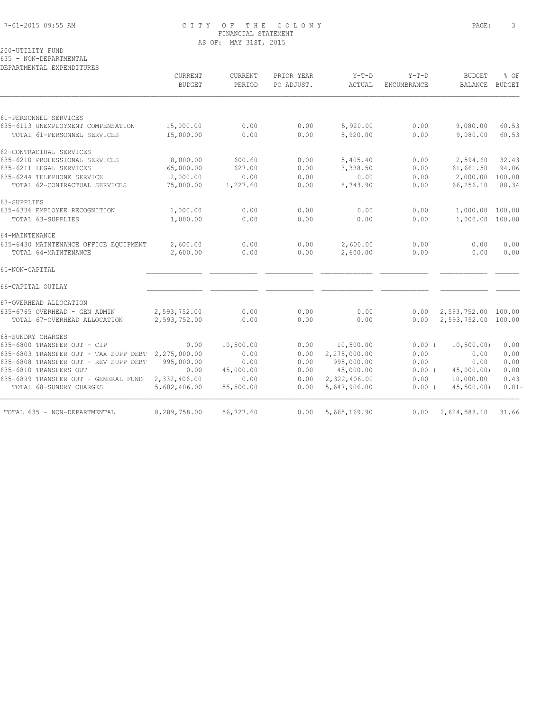# 7-01-2015 09:55 AM C I T Y O F T H E C O L O N Y PAGE: 3 FINANCIAL STATEMENT AS OF: MAY 31ST, 2015

# 200-UTILITY FUND

635 - NON-DEPARTMENTAL DEPARTMENTAL EXPENDITURES

| CURRENT<br><b>BUDGET</b>                              | CURRENT<br>PERIOD      | PRIOR YEAR<br>PO ADJUST. | $Y-T-D$<br>ACTUAL | $Y-T-D$<br>ENCUMBRANCE | <b>BUDGET</b><br><b>BALANCE</b> | % OF<br><b>BUDGET</b>                                                                                                                                       |
|-------------------------------------------------------|------------------------|--------------------------|-------------------|------------------------|---------------------------------|-------------------------------------------------------------------------------------------------------------------------------------------------------------|
|                                                       |                        |                          |                   |                        |                                 |                                                                                                                                                             |
|                                                       |                        |                          |                   |                        |                                 |                                                                                                                                                             |
|                                                       |                        |                          |                   |                        |                                 | 60.53                                                                                                                                                       |
|                                                       |                        |                          |                   |                        |                                 | 60.53                                                                                                                                                       |
|                                                       |                        |                          |                   |                        |                                 |                                                                                                                                                             |
| 8,000.00                                              | 600.60                 | 0.00                     | 5,405.40          | 0.00                   | 2,594.60                        | 32.43                                                                                                                                                       |
| 65,000.00                                             | 627.00                 | 0.00                     | 3,338.50          | 0.00                   | 61,661.50                       | 94.86                                                                                                                                                       |
| 2,000.00                                              | 0.00                   | 0.00                     | 0.00              | 0.00                   | 2,000.00                        | 100.00                                                                                                                                                      |
| 75,000.00                                             | 1,227.60               | 0.00                     | 8,743.90          | 0.00                   | 66,256.10                       | 88.34                                                                                                                                                       |
|                                                       |                        |                          |                   |                        |                                 |                                                                                                                                                             |
| 1,000.00                                              | 0.00                   | 0.00                     | 0.00              | 0.00                   |                                 |                                                                                                                                                             |
| 1,000.00                                              | 0.00                   | 0.00                     | 0.00              | 0.00                   |                                 |                                                                                                                                                             |
|                                                       |                        |                          |                   |                        |                                 |                                                                                                                                                             |
| 2,600.00                                              | 0.00                   | 0.00                     | 2,600.00          | 0.00                   | 0.00                            | 0.00                                                                                                                                                        |
| 2,600.00                                              | 0.00                   | 0.00                     | 2,600.00          | 0.00                   | 0.00                            | 0.00                                                                                                                                                        |
|                                                       |                        |                          |                   |                        |                                 |                                                                                                                                                             |
|                                                       |                        |                          |                   |                        |                                 |                                                                                                                                                             |
|                                                       |                        |                          |                   |                        |                                 |                                                                                                                                                             |
| 2,593,752.00                                          | 0.00                   | 0.00                     | 0.00              | 0.00                   |                                 |                                                                                                                                                             |
| 2,593,752.00                                          | 0.00                   | 0.00                     | 0.00              | 0.00                   |                                 |                                                                                                                                                             |
|                                                       |                        |                          |                   |                        |                                 |                                                                                                                                                             |
| 0.00                                                  | 10,500.00              | 0.00                     | 10,500.00         |                        | 10, 500.00)                     | 0.00                                                                                                                                                        |
| 635-6803 TRANSFER OUT - TAX SUPP DEBT<br>2,275,000.00 | 0.00                   | 0.00                     | 2,275,000.00      | 0.00                   | 0.00                            | 0.00                                                                                                                                                        |
| 995,000.00                                            | 0.00                   | 0.00                     | 995,000.00        | 0.00                   | 0.00                            | 0.00                                                                                                                                                        |
| 0.00                                                  | 45,000.00              | 0.00                     | 45,000.00         |                        | 45,000.00)                      | 0.00                                                                                                                                                        |
| 2,332,406.00                                          | 0.00                   | 0.00                     | 2,322,406.00      | 0.00                   | 10,000.00                       | 0.43                                                                                                                                                        |
| 5,602,406.00                                          | 55,500.00              | 0.00                     | 5,647,906.00      |                        | 45,500.00)                      | $0.81 -$                                                                                                                                                    |
| 8,289,758.00                                          | 56,727.60              | 0.00                     | 5,665,169.90      |                        |                                 | 31.66                                                                                                                                                       |
|                                                       | 15,000.00<br>15,000.00 | 0.00<br>0.00             | 0.00<br>0.00      | 5,920.00<br>5,920.00   | 0.00<br>0.00                    | 9,080.00<br>9,080.00<br>1,000.00 100.00<br>1,000.00 100.00<br>2,593,752.00 100.00<br>2,593,752.00 100.00<br>0.00(<br>0.00(<br>0.00(<br>0.00<br>2,624,588.10 |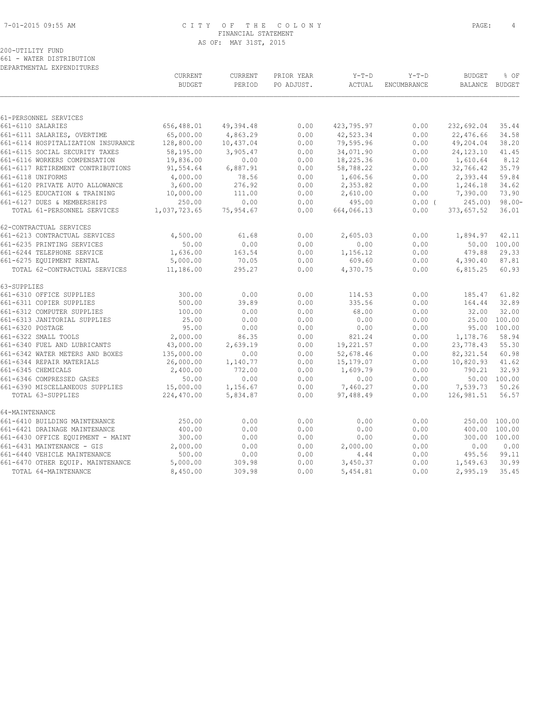#### 7-01-2015 09:55 AM C I T Y O F T H E C O L O N Y PAGE: 4 FINANCIAL STATEMENT AS OF: MAY 31ST, 2015

|                                            | CURRENT<br><b>BUDGET</b> | CURRENT<br>PERIOD | PRIOR YEAR<br>PO ADJUST. | $Y-T-D$<br>ACTUAL | $Y-T-D$<br><b>ENCUMBRANCE</b> | <b>BUDGET</b><br><b>BALANCE</b> | % OF<br>BUDGET |
|--------------------------------------------|--------------------------|-------------------|--------------------------|-------------------|-------------------------------|---------------------------------|----------------|
|                                            |                          |                   |                          |                   |                               |                                 |                |
| 61-PERSONNEL SERVICES<br>661-6110 SALARIES | 656,488.01               | 49,394.48         | 0.00                     | 423,795.97        | 0.00                          | 232,692.04                      | 35.44          |
| 661-6111 SALARIES, OVERTIME                | 65,000.00                | 4,863.29          | 0.00                     | 42,523.34         | 0.00                          | 22,476.66                       | 34.58          |
| 661-6114 HOSPITALIZATION INSURANCE         | 128,800.00               | 10,437.04         | 0.00                     | 79,595.96         | 0.00                          | 49,204.04                       | 38.20          |
| 661-6115 SOCIAL SECURITY TAXES             | 58,195.00                | 3,905.47          | 0.00                     | 34,071.90         | 0.00                          | 24, 123. 10                     | 41.45          |
| 661-6116 WORKERS COMPENSATION              | 19,836.00                | 0.00              | 0.00                     | 18,225.36         | 0.00                          | 1,610.64                        | 8.12           |
| 661-6117 RETIREMENT CONTRIBUTIONS          | 91,554.64                | 6,887.91          | 0.00                     | 58,788.22         | 0.00                          | 32,766.42                       | 35.79          |
| 661-6118 UNIFORMS                          | 4,000.00                 | 78.56             | 0.00                     | 1,606.56          | 0.00                          | 2,393.44                        | 59.84          |
| 661-6120 PRIVATE AUTO ALLOWANCE            | 3,600.00                 | 276.92            | 0.00                     | 2,353.82          | 0.00                          | 1,246.18                        | 34.62          |
| 661-6125 EDUCATION & TRAINING              | 10,000.00                | 111.00            | 0.00                     | 2,610.00          | 0.00                          | 7,390.00                        | 73.90          |
| 661-6127 DUES & MEMBERSHIPS                | 250.00                   | 0.00              | 0.00                     | 495.00            | $0.00$ (                      | 245.00                          | $98.00 -$      |
| TOTAL 61-PERSONNEL SERVICES                | 1,037,723.65             | 75,954.67         | 0.00                     | 664,066.13        | 0.00                          | 373,657.52                      | 36.01          |
| 62-CONTRACTUAL SERVICES                    |                          |                   |                          |                   |                               |                                 |                |
| 661-6213 CONTRACTUAL SERVICES              | 4,500.00                 | 61.68             | 0.00                     | 2,605.03          | 0.00                          | 1,894.97                        | 42.11          |
| 661-6235 PRINTING SERVICES                 | 50.00                    | 0.00              | 0.00                     | 0.00              | 0.00                          |                                 | 50.00 100.00   |
| 661-6244 TELEPHONE SERVICE                 | 1,636.00                 | 163.54            | 0.00                     | 1,156.12          | 0.00                          | 479.88                          | 29.33          |
| 661-6275 EQUIPMENT RENTAL                  | 5,000.00                 | 70.05             | 0.00                     | 609.60            | 0.00                          | 4,390.40                        | 87.81          |
| TOTAL 62-CONTRACTUAL SERVICES              | 11,186.00                | 295.27            | 0.00                     | 4,370.75          | 0.00                          | 6,815.25                        | 60.93          |
| 63-SUPPLIES                                |                          |                   |                          |                   |                               |                                 |                |
| 661-6310 OFFICE SUPPLIES                   | 300.00                   | 0.00              | 0.00                     | 114.53            | 0.00                          | 185.47                          | 61.82          |
| 661-6311 COPIER SUPPLIES                   | 500.00                   | 39.89             | 0.00                     | 335.56            | 0.00                          | 164.44                          | 32.89          |
| 661-6312 COMPUTER SUPPLIES                 | 100.00                   | 0.00              | 0.00                     | 68.00             | 0.00                          | 32.00                           | 32.00          |
| 661-6313 JANITORIAL SUPPLIES               | 25.00                    | 0.00              | 0.00                     | 0.00              | 0.00                          | 25.00                           | 100.00         |
| 661-6320 POSTAGE                           | 95.00                    | 0.00              | 0.00                     | 0.00              | 0.00                          | 95.00                           | 100.00         |
| 661-6322 SMALL TOOLS                       | 2,000.00                 | 86.35             | 0.00                     | 821.24            | 0.00                          | 1,178.76                        | 58.94          |
| 661-6340 FUEL AND LUBRICANTS               | 43,000.00                | 2,639.19          | 0.00                     | 19,221.57         | 0.00                          | 23,778.43                       | 55.30          |
| 661-6342 WATER METERS AND BOXES            | 135,000.00               | 0.00              | 0.00                     | 52,678.46         | 0.00                          | 82, 321.54                      | 60.98          |
| 661-6344 REPAIR MATERIALS                  | 26,000.00                | 1,140.77          | 0.00                     | 15,179.07         | 0.00                          | 10,820.93                       | 41.62          |
| 661-6345 CHEMICALS                         | 2,400.00                 | 772.00            | 0.00                     | 1,609.79          | 0.00                          | 790.21                          | 32.93          |
| 661-6346 COMPRESSED GASES                  | 50.00                    | 0.00              | 0.00                     | 0.00              | 0.00                          |                                 | 50.00 100.00   |
| 661-6390 MISCELLANEOUS SUPPLIES            | 15,000.00                | 1,156.67          | 0.00                     | 7,460.27          | 0.00                          | 7,539.73                        | 50.26          |
| TOTAL 63-SUPPLIES                          | 224,470.00               | 5,834.87          | 0.00                     | 97,488.49         | 0.00                          | 126,981.51                      | 56.57          |
| 64-MAINTENANCE                             |                          |                   |                          |                   |                               |                                 |                |
| 661-6410 BUILDING MAINTENANCE              | 250.00                   | 0.00              | 0.00                     | 0.00              | 0.00                          |                                 | 250.00 100.00  |
| 661-6421 DRAINAGE MAINTENANCE              | 400.00                   | 0.00              | 0.00                     | 0.00              | 0.00                          |                                 | 400.00 100.00  |
| 661-6430 OFFICE EQUIPMENT - MAINT          | 300.00                   | 0.00              | 0.00                     | 0.00              | 0.00                          | 300.00                          | 100.00         |
| 661-6431 MAINTENANCE - GIS                 | 2,000.00                 | 0.00              | 0.00                     | 2,000.00          | 0.00                          | 0.00                            | 0.00           |
| 661-6440 VEHICLE MAINTENANCE               | 500.00                   | 0.00              | 0.00                     | 4.44              | 0.00                          | 495.56                          | 99.11          |
| 661-6470 OTHER EQUIP. MAINTENANCE          | 5,000.00                 | 309.98            | 0.00                     | 3,450.37          | 0.00                          | 1,549.63                        | 30.99          |
| TOTAL 64-MAINTENANCE                       | 8,450.00                 | 309.98            | 0.00                     | 5,454.81          | 0.00                          | 2,995.19                        | 35.45          |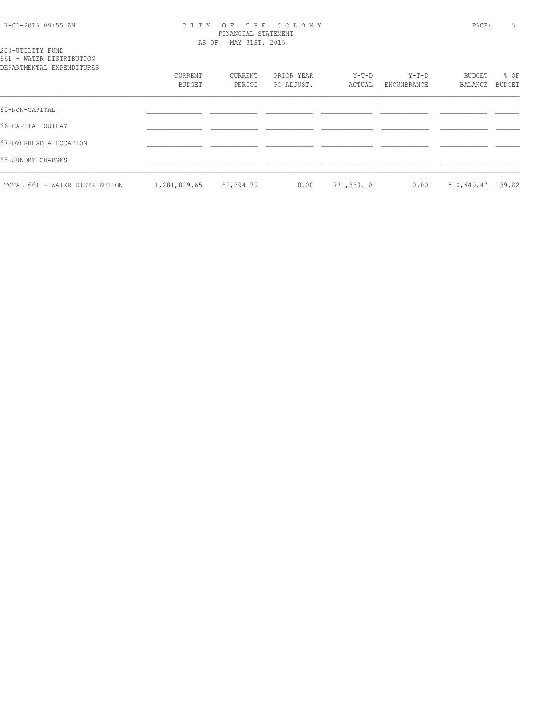#### 7-01-2015 09:55 AM C I T Y O F T H E C O L O N Y PAGE: 5 FINANCIAL STATEMENT AS OF: MAY 31ST, 2015

200-UTILITY FUND 661 - WATER DISTRIBUTION

| DEPARTMENTAL EXPENDITURES      |              |           |            |            |             |            |        |
|--------------------------------|--------------|-----------|------------|------------|-------------|------------|--------|
|                                | CURRENT      | CURRENT   | PRIOR YEAR | Y-T-D      | $Y-T-D$     | BUDGET     | % OF   |
|                                | BUDGET       | PERIOD    | PO ADJUST. | ACTUAL     | ENCUMBRANCE | BALANCE    | BUDGET |
| 65-NON-CAPITAL                 |              |           |            |            |             |            |        |
| 66-CAPITAL OUTLAY              |              |           |            |            |             |            |        |
| 67-OVERHEAD ALLOCATION         |              |           |            |            |             |            |        |
| 68-SUNDRY CHARGES              |              |           |            |            |             |            |        |
| TOTAL 661 - WATER DISTRIBUTION | 1,281,829.65 | 82,394.79 | 0.00       | 771,380.18 | 0.00        | 510,449.47 | 39.82  |
|                                |              |           |            |            |             |            |        |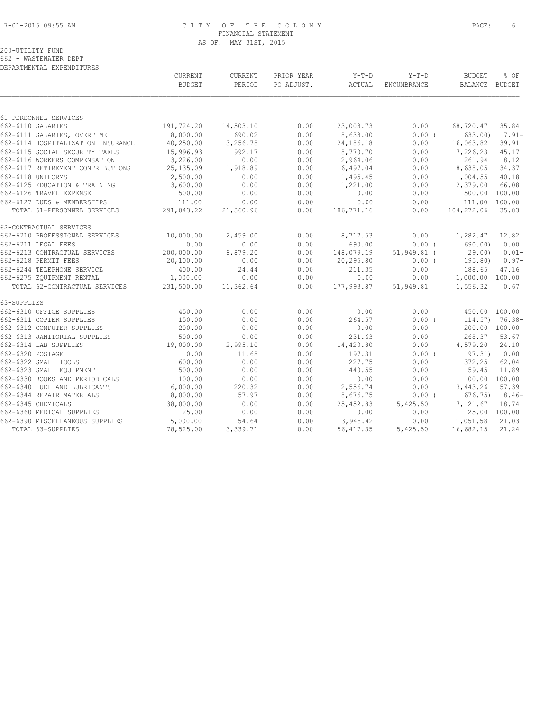# 7-01-2015 09:55 AM C I T Y O F T H E C O L O N Y PAGE: 6 FINANCIAL STATEMENT AS OF: MAY 31ST, 2015

|                                                                | CURRENT<br><b>BUDGET</b> | CURRENT<br>PERIOD | PRIOR YEAR<br>PO ADJUST. | $Y-T-D$<br>ACTUAL      | $Y-T-D$<br>ENCUMBRANCE | <b>BUDGET</b><br>BALANCE BUDGET | % OF         |
|----------------------------------------------------------------|--------------------------|-------------------|--------------------------|------------------------|------------------------|---------------------------------|--------------|
|                                                                |                          |                   |                          |                        |                        |                                 |              |
|                                                                |                          |                   |                          |                        |                        |                                 |              |
| 61-PERSONNEL SERVICES<br>662-6110 SALARIES                     | 191,724.20               | 14,503.10         | 0.00                     | 123,003.73             | 0.00                   | 68,720.47                       | 35.84        |
| 662-6111 SALARIES, OVERTIME                                    | 8,000.00                 | 690.02            | 0.00                     | 8,633.00               | $0.00$ (               | 633.00                          | $7.91 -$     |
| 662-6114 HOSPITALIZATION INSURANCE                             | 40,250.00                | 3,256.78          | 0.00                     | 24,186.18              | 0.00                   | 16,063.82                       | 39.91        |
| 662-6115 SOCIAL SECURITY TAXES                                 | 15,996.93                | 992.17            | 0.00                     | 8,770.70               | 0.00                   | 7,226.23                        | 45.17        |
| 662-6116 WORKERS COMPENSATION                                  | 3,226.00                 | 0.00              | 0.00                     | 2,964.06               | 0.00                   | 261.94                          | 8.12         |
| 662-6117 RETIREMENT CONTRIBUTIONS                              | 25, 135.09               | 1,918.89          | 0.00                     | 16,497.04              | 0.00                   | 8,638.05                        | 34.37        |
| 662-6118 UNIFORMS                                              | 2,500.00                 | 0.00              | 0.00                     | 1,495.45               | 0.00                   | 1,004.55                        | 40.18        |
| 662-6125 EDUCATION & TRAINING                                  | 3,600.00                 | 0.00              | 0.00                     | 1,221.00               | 0.00                   | 2,379.00                        | 66.08        |
| 662-6126 TRAVEL EXPENSE                                        | 500.00                   | 0.00              | 0.00                     | 0.00                   | 0.00                   | 500.00 100.00                   |              |
| 662-6127 DUES & MEMBERSHIPS                                    | 111.00                   | 0.00              | 0.00                     | 0.00                   | 0.00                   | 111.00 100.00                   |              |
| TOTAL 61-PERSONNEL SERVICES                                    | 291,043.22               | 21,360.96         | 0.00                     | 186,771.16             | 0.00                   | 104,272.06                      | 35.83        |
| 62-CONTRACTUAL SERVICES                                        |                          |                   |                          |                        |                        |                                 |              |
| 662-6210 PROFESSIONAL SERVICES                                 | 10,000.00                | 2,459.00          | 0.00                     | 8,717.53               | 0.00                   | 1,282.47                        | 12.82        |
| 662-6211 LEGAL FEES                                            | 0.00                     | 0.00              | 0.00                     | 690.00                 | $0.00$ (               | 690.00)                         | 0.00         |
| 662-6213 CONTRACTUAL SERVICES                                  | 200,000.00               | 8,879.20          | 0.00                     | 148,079.19             | 51,949.81 (            | 29.00)                          | $0.01 -$     |
| 662-6218 PERMIT FEES                                           | 20,100.00                | 0.00              | 0.00                     | 20,295.80              | $0.00$ (               | 195.80)                         | $0.97-$      |
| 662-6244 TELEPHONE SERVICE                                     | 400.00                   | 24.44             | 0.00                     | 211.35                 | 0.00                   | 188.65                          | 47.16        |
| 662-6275 EQUIPMENT RENTAL                                      | 1,000.00                 | 0.00              | 0.00                     | 0.00                   | 0.00                   | 1,000.00 100.00                 |              |
| TOTAL 62-CONTRACTUAL SERVICES                                  | 231,500.00               | 11,362.64         | 0.00                     | 177,993.87             | 51,949.81              | 1,556.32                        | 0.67         |
| 63-SUPPLIES                                                    |                          |                   |                          |                        |                        |                                 |              |
| 662-6310 OFFICE SUPPLIES                                       | 450.00                   | 0.00              | 0.00                     | 0.00                   | 0.00                   | 450.00 100.00                   |              |
| 662-6311 COPIER SUPPLIES                                       | 150.00                   | 0.00              | 0.00                     | 264.57                 | $0.00$ (               | $114.57$ ) 76.38-               |              |
| 662-6312 COMPUTER SUPPLIES                                     | 200.00                   | 0.00              | 0.00                     | 0.00                   | 0.00                   | 200.00 100.00                   |              |
| 662-6313 JANITORIAL SUPPLIES                                   | 500.00                   | 0.00              | 0.00                     | 231.63                 | 0.00                   | 268.37                          | 53.67        |
| 662-6314 LAB SUPPLIES                                          | 19,000.00                | 2,995.10          | 0.00                     | 14,420.80              | 0.00                   | 4,579.20                        | 24.10        |
| 662-6320 POSTAGE                                               | 0.00                     | 11.68             | 0.00                     | 197.31                 | $0.00$ (               | 197.31)                         | 0.00         |
| 662-6322 SMALL TOOLS                                           | 600.00                   | 0.00              | 0.00                     | 227.75                 | 0.00                   | 372.25                          | 62.04        |
| 662-6323 SMALL EQUIPMENT                                       | 500.00                   | 0.00              | 0.00                     | 440.55                 | 0.00                   | 59.45                           | 11.89        |
| 662-6330 BOOKS AND PERIODICALS<br>662-6340 FUEL AND LUBRICANTS | 100.00<br>6,000.00       | 0.00<br>220.32    | 0.00<br>0.00             | 0.00<br>2,556.74       | 0.00<br>0.00           | 100.00 100.00<br>3,443.26       | 57.39        |
| 662-6344 REPAIR MATERIALS                                      | 8,000.00                 | 57.97             | 0.00                     | 8,676.75               | $0.00$ (               | 676.75)                         | $8.46-$      |
| 662-6345 CHEMICALS                                             |                          | 0.00              | 0.00                     |                        |                        | 7,121.67                        | 18.74        |
| 662-6360 MEDICAL SUPPLIES                                      | 38,000.00<br>25.00       | 0.00              | 0.00                     | 25,452.83<br>0.00      | 5,425.50<br>0.00       |                                 | 25.00 100.00 |
|                                                                | 5,000.00                 | 54.64             | 0.00                     |                        | 0.00                   | 1,051.58                        | 21.03        |
| 662-6390 MISCELLANEOUS SUPPLIES<br>TOTAL 63-SUPPLIES           |                          | 3,339.71          | 0.00                     | 3,948.42<br>56, 417.35 | 5,425.50               | 16,682.15                       | 21.24        |
|                                                                | 78,525.00                |                   |                          |                        |                        |                                 |              |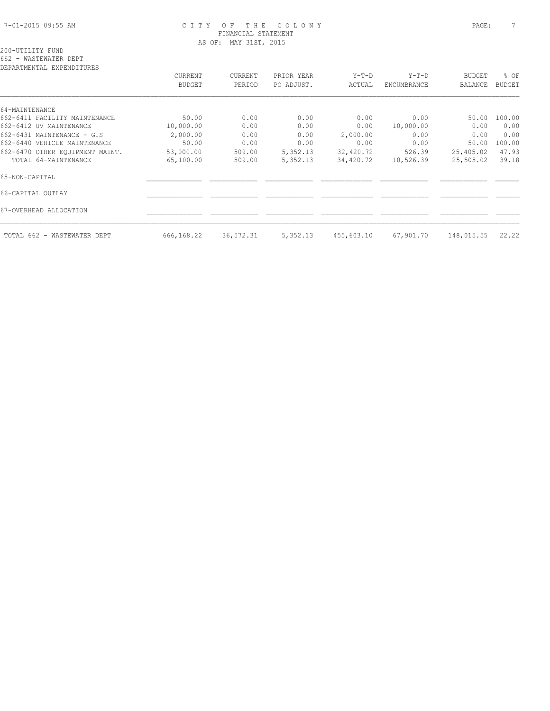#### 7-01-2015 09:55 AM C I T Y O F T H E C O L O N Y PAGE: 7 FINANCIAL STATEMENT AS OF: MAY 31ST, 2015

# 200-UTILITY FUND 662 - WASTEWATER DEPT

| DEPARTMENTAL EXPENDITURES       |               |           |            |            |             |               |               |
|---------------------------------|---------------|-----------|------------|------------|-------------|---------------|---------------|
|                                 | CURRENT       | CURRENT   | PRIOR YEAR | $Y-T-D$    | $Y-T-D$     | <b>BUDGET</b> | % OF          |
|                                 | <b>BUDGET</b> | PERIOD    | PO ADJUST. | ACTUAL     | ENCUMBRANCE | BALANCE       | <b>BUDGET</b> |
|                                 |               |           |            |            |             |               |               |
| 64-MAINTENANCE                  |               |           |            |            |             |               |               |
| 662-6411 FACILITY MAINTENANCE   | 50.00         | 0.00      | 0.00       | 0.00       | 0.00        | 50.00         | 100.00        |
| 662-6412 UV MAINTENANCE         | 10,000.00     | 0.00      | 0.00       | 0.00       | 10,000.00   | 0.00          | 0.00          |
| 662-6431 MAINTENANCE - GIS      | 2,000.00      | 0.00      | 0.00       | 2,000.00   | 0.00        | 0.00          | 0.00          |
| 662-6440 VEHICLE MAINTENANCE    | 50.00         | 0.00      | 0.00       | 0.00       | 0.00        | 50.00         | 100.00        |
| 662-6470 OTHER EQUIPMENT MAINT. | 53,000.00     | 509.00    | 5,352.13   | 32,420.72  | 526.39      | 25,405.02     | 47.93         |
| TOTAL 64-MAINTENANCE            | 65,100.00     | 509.00    | 5,352.13   | 34,420.72  | 10,526.39   | 25,505.02     | 39.18         |
| 65-NON-CAPITAL                  |               |           |            |            |             |               |               |
| 66-CAPITAL OUTLAY               |               |           |            |            |             |               |               |
| 67-OVERHEAD ALLOCATION          |               |           |            |            |             |               |               |
| TOTAL 662 - WASTEWATER DEPT     | 666,168.22    | 36,572.31 | 5,352.13   | 455,603.10 | 67,901.70   | 148,015.55    | 22.22         |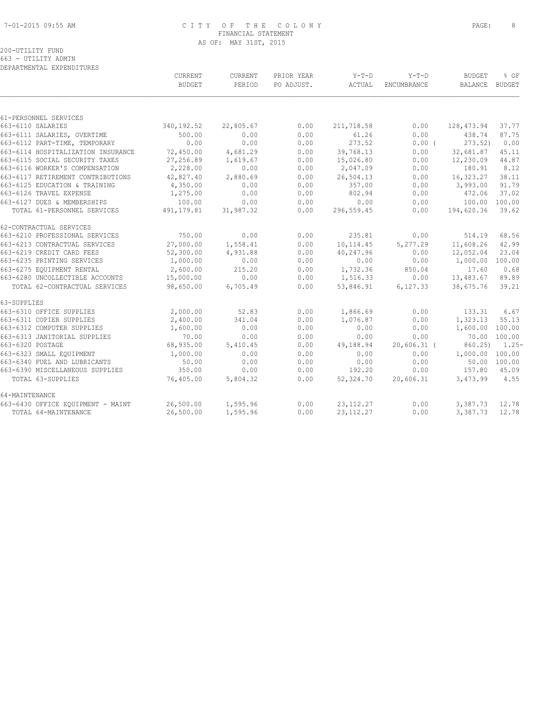#### 7-01-2015 09:55 AM C I T Y O F T H E C O L O N Y PAGE: 8 FINANCIAL STATEMENT AS OF: MAY 31ST, 2015

|  | 200-UTILITY FUND    |  |  |
|--|---------------------|--|--|
|  | 663 - UTILITY ADMIN |  |  |

| DEPARTMENTAL | EXPENDITURES |
|--------------|--------------|
|              |              |

|                                    | CURRENT       | CURRENT   | PRIOR YEAR | $Y-T-D$     | $Y-T-D$       | <b>BUDGET</b>   | % OF         |
|------------------------------------|---------------|-----------|------------|-------------|---------------|-----------------|--------------|
|                                    | <b>BUDGET</b> | PERIOD    | PO ADJUST. | ACTUAL      | ENCUMBRANCE   | BALANCE BUDGET  |              |
|                                    |               |           |            |             |               |                 |              |
| 61-PERSONNEL SERVICES              |               |           |            |             |               |                 |              |
| 663-6110 SALARIES                  | 340,192.52    | 22,805.67 | 0.00       | 211,718.58  | 0.00          | 128,473.94      | 37.77        |
| 663-6111 SALARIES, OVERTIME        | 500.00        | 0.00      | 0.00       | 61.26       | 0.00          | 438.74          | 87.75        |
| 663-6112 PART-TIME, TEMPORARY      | 0.00          | 0.00      | 0.00       | 273.52      | 0.00(         | 273.52          | 0.00         |
| 663-6114 HOSPITALIZATION INSURANCE | 72,450.00     | 4,681.29  | 0.00       | 39,768.13   | 0.00          | 32,681.87       | 45.11        |
| 663-6115 SOCIAL SECURITY TAXES     | 27,256.89     | 1,619.67  | 0.00       | 15,026.80   | 0.00          | 12,230.09       | 44.87        |
| 663-6116 WORKER'S COMPENSATION     | 2,228.00      | 0.00      | 0.00       | 2,047.09    | 0.00          | 180.91          | 8.12         |
| 663-6117 RETIREMENT CONTRIBUTIONS  | 42,827.40     | 2,880.69  | 0.00       | 26,504.13   | 0.00          | 16,323.27       | 38.11        |
| 663-6125 EDUCATION & TRAINING      | 4,350.00      | 0.00      | 0.00       | 357.00      | 0.00          | 3,993.00        | 91.79        |
| 663-6126 TRAVEL EXPENSE            | 1,275.00      | 0.00      | 0.00       | 802.94      | 0.00          | 472.06          | 37.02        |
| 663-6127 DUES & MEMBERSHIPS        | 100.00        | 0.00      | 0.00       | 0.00        | 0.00          | 100.00          | 100.00       |
| TOTAL 61-PERSONNEL SERVICES        | 491,179.81    | 31,987.32 | 0.00       | 296,559.45  | 0.00          | 194,620.36      | 39.62        |
| 62-CONTRACTUAL SERVICES            |               |           |            |             |               |                 |              |
| 663-6210 PROFESSIONAL SERVICES     | 750.00        | 0.00      | 0.00       | 235.81      | 0.00          | 514.19          | 68.56        |
| 663-6213 CONTRACTUAL SERVICES      | 27,000.00     | 1,558.41  | 0.00       | 10,114.45   | 5,277.29      | 11,608.26       | 42.99        |
| 663-6219 CREDIT CARD FEES          | 52,300.00     | 4,931.88  | 0.00       | 40,247.96   | 0.00          | 12,052.04       | 23.04        |
| 663-6235 PRINTING SERVICES         | 1,000.00      | 0.00      | 0.00       | 0.00        | 0.00          | 1,000.00 100.00 |              |
| 663-6275 EOUIPMENT RENTAL          | 2,600.00      | 215.20    | 0.00       | 1,732.36    | 850.04        | 17.60           | 0.68         |
| 663-6280 UNCOLLECTIBLE ACCOUNTS    | 15,000.00     | 0.00      | 0.00       | 1,516.33    | 0.00          | 13,483.67       | 89.89        |
| TOTAL 62-CONTRACTUAL SERVICES      | 98,650.00     | 6,705.49  | 0.00       | 53,846.91   | 6,127.33      | 38,675.76       | 39.21        |
| 63-SUPPLIES                        |               |           |            |             |               |                 |              |
| 663-6310 OFFICE SUPPLIES           | 2,000.00      | 52.83     | 0.00       | 1,866.69    | 0.00          | 133.31          | 6.67         |
| 663-6311 COPIER SUPPLIES           | 2,400.00      | 341.04    | 0.00       | 1,076.87    | 0.00          | 1,323.13        | 55.13        |
| 663-6312 COMPUTER SUPPLIES         | 1,600.00      | 0.00      | 0.00       | 0.00        | 0.00          | 1,600.00        | 100.00       |
| 663-6313 JANITORIAL SUPPLIES       | 70.00         | 0.00      | 0.00       | 0.00        | 0.00          |                 | 70.00 100.00 |
| 663-6320 POSTAGE                   | 68,935.00     | 5,410.45  | 0.00       | 49,188.94   | $20,606.31$ ( | 860.25)         | $1.25-$      |
| 663-6323 SMALL EQUIPMENT           | 1,000.00      | 0.00      | 0.00       | 0.00        | 0.00          | 1,000.00 100.00 |              |
| 663-6340 FUEL AND LUBRICANTS       | 50.00         | 0.00      | 0.00       | 0.00        | 0.00          |                 | 50.00 100.00 |
| 663-6390 MISCELLANEOUS SUPPLIES    | 350.00        | 0.00      | 0.00       | 192.20      | 0.00          | 157.80          | 45.09        |
| TOTAL 63-SUPPLIES                  | 76,405.00     | 5,804.32  | 0.00       | 52,324.70   | 20,606.31     | 3,473.99        | 4.55         |
| 64-MAINTENANCE                     |               |           |            |             |               |                 |              |
| 663-6430 OFFICE EQUIPMENT - MAINT  | 26,500.00     | 1,595.96  | 0.00       | 23, 112.27  | 0.00          | 3,387.73        | 12.78        |
| TOTAL 64-MAINTENANCE               | 26,500.00     | 1,595.96  | 0.00       | 23, 112. 27 | 0.00          | 3,387.73        | 12.78        |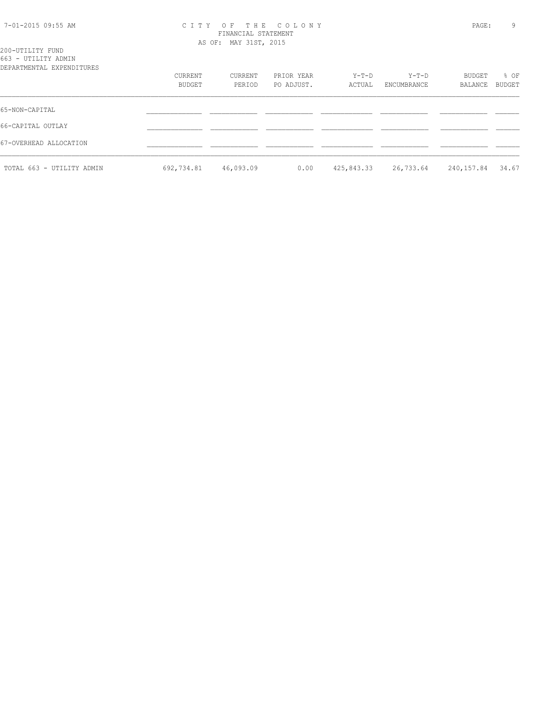| 7-01-2015 09:55 AM |  |  |
|--------------------|--|--|
|--------------------|--|--|

#### 7-01-2015 09:55 AM C I T Y O F T H E C O L O N Y PAGE: 9 FINANCIAL STATEMENT AS OF: MAY 31ST, 2015

|  | 200-UTILITY FUND    |  |  |
|--|---------------------|--|--|
|  | 663 - UTILITY ADMIN |  |  |

| DEPARTMENTAL EXPENDITURES | CURRENT<br>BUDGET | CURRENT<br>PERIOD | PRIOR YEAR<br>PO ADJUST. | $Y-T-D$<br>ACTUAL | Y-T-D<br>ENCUMBRANCE | BUDGET<br>BALANCE | % OF<br>BUDGET |
|---------------------------|-------------------|-------------------|--------------------------|-------------------|----------------------|-------------------|----------------|
| 65-NON-CAPITAL            |                   |                   |                          |                   |                      |                   |                |
| 66-CAPITAL OUTLAY         |                   |                   |                          |                   |                      |                   |                |
| 67-OVERHEAD ALLOCATION    |                   |                   |                          |                   |                      |                   |                |
| TOTAL 663 - UTILITY ADMIN | 692,734.81        | 46,093.09         | 0.00                     | 425,843.33        | 26,733.64            | 240,157.84        | 34.67          |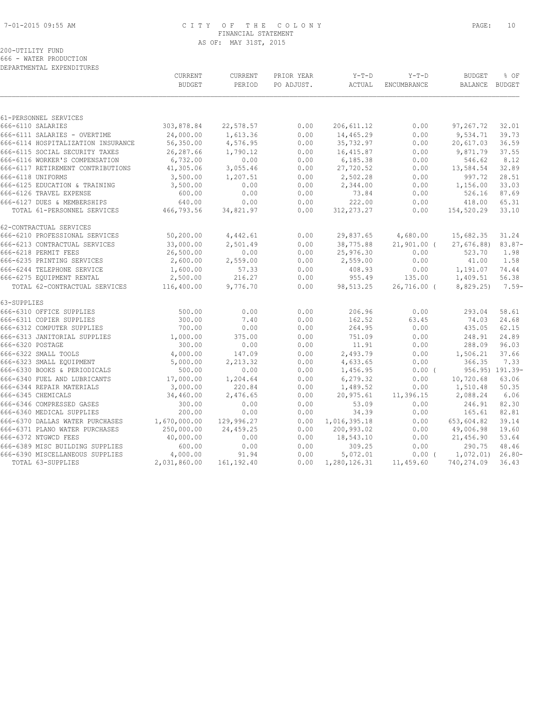#### 7-01-2015 09:55 AM C I T Y O F T H E C O L O N Y PAGE: 10 FINANCIAL STATEMENT AS OF: MAY 31ST, 2015

# 200-UTILITY FUND 666 - WATER PRODUCTION

| ,,,,,, | WAIBR IRODOCIION          |
|--------|---------------------------|
|        | DEPARTMENTAL EXPENDITURES |

|                                                                      | CURRENT<br><b>BUDGET</b> | CURRENT<br>PERIOD    | PRIOR YEAR<br>PO ADJUST. | $Y-T-D$<br>ACTUAL       | $Y-T-D$<br>ENCUMBRANCE  | <b>BUDGET</b><br>BALANCE | % OF<br>BUDGET   |
|----------------------------------------------------------------------|--------------------------|----------------------|--------------------------|-------------------------|-------------------------|--------------------------|------------------|
|                                                                      |                          |                      |                          |                         |                         |                          |                  |
| 61-PERSONNEL SERVICES                                                |                          |                      |                          |                         |                         |                          |                  |
| 666-6110 SALARIES                                                    | 303,878.84               | 22,578.57            | 0.00                     | 206, 611.12             | 0.00                    | 97,267.72                | 32.01            |
| 666-6111 SALARIES - OVERTIME                                         | 24,000.00                | 1,613.36             | 0.00                     | 14,465.29               | 0.00                    | 9,534.71                 | 39.73            |
| 666-6114 HOSPITALIZATION INSURANCE<br>666-6115 SOCIAL SECURITY TAXES | 56,350.00<br>26, 287.66  | 4,576.95<br>1,790.12 | 0.00                     | 35,732.97<br>16, 415.87 | 0.00                    | 20,617.03<br>9,871.79    | 36.59<br>37.55   |
| 666-6116 WORKER'S COMPENSATION                                       | 6,732.00                 | 0.00                 | 0.00<br>0.00             | 6,185.38                | 0.00<br>0.00            | 546.62                   | 8.12             |
| 666-6117 RETIREMENT CONTRIBUTIONS                                    | 41,305.06                | 3,055.46             | 0.00                     | 27,720.52               | 0.00                    | 13,584.54                | 32.89            |
| 666-6118 UNIFORMS                                                    | 3,500.00                 | 1,207.51             | 0.00                     | 2,502.28                | 0.00                    | 997.72                   | 28.51            |
| 666-6125 EDUCATION & TRAINING                                        | 3,500.00                 | 0.00                 | 0.00                     | 2,344.00                | 0.00                    | 1,156.00                 | 33.03            |
| 666-6126 TRAVEL EXPENSE                                              | 600.00                   | 0.00                 | 0.00                     | 73.84                   | 0.00                    | 526.16                   | 87.69            |
| 666-6127 DUES & MEMBERSHIPS                                          | 640.00                   | 0.00                 | 0.00                     | 222.00                  | 0.00                    | 418.00                   | 65.31            |
| TOTAL 61-PERSONNEL SERVICES                                          | 466,793.56               | 34,821.97            | 0.00                     | 312, 273. 27            | 0.00                    | 154,520.29               | 33.10            |
| 62-CONTRACTUAL SERVICES                                              |                          |                      |                          |                         |                         |                          |                  |
| 666-6210 PROFESSIONAL SERVICES                                       | 50,200.00                | 4,442.61             | 0.00                     | 29,837.65               | 4,680.00                | 15,682.35                | 31.24            |
| 666-6213 CONTRACTUAL SERVICES                                        | 33,000.00                | 2,501.49             | 0.00                     | 38,775.88               | $21,901.00$ (           | 27,676.88)               | $83.87-$         |
| 666-6218 PERMIT FEES                                                 | 26,500.00                | 0.00                 | 0.00                     | 25,976.30               | 0.00                    | 523.70                   | 1.98             |
| 666-6235 PRINTING SERVICES                                           | 2,600.00                 | 2,559.00             | 0.00                     | 2,559.00                | 0.00                    | 41.00                    | 1.58             |
| 666-6244 TELEPHONE SERVICE                                           | 1,600.00                 | 57.33                | 0.00                     | 408.93                  | 0.00                    | 1,191.07                 | 74.44            |
| 666-6275 EQUIPMENT RENTAL<br>TOTAL 62-CONTRACTUAL SERVICES           | 2,500.00<br>116,400.00   | 216.27<br>9,776.70   | 0.00<br>0.00             | 955.49<br>98,513.25     | 135.00<br>$26,716.00$ ( | 1,409.51<br>8,829.25)    | 56.38<br>$7.59-$ |
|                                                                      |                          |                      |                          |                         |                         |                          |                  |
| 63-SUPPLIES                                                          |                          |                      |                          |                         |                         |                          |                  |
| 666-6310 OFFICE SUPPLIES                                             | 500.00                   | 0.00                 | 0.00                     | 206.96                  | 0.00                    | 293.04                   | 58.61            |
| 666-6311 COPIER SUPPLIES<br>666-6312 COMPUTER SUPPLIES               | 300.00<br>700.00         | 7.40<br>0.00         | 0.00<br>0.00             | 162.52<br>264.95        | 63.45<br>0.00           | 74.03<br>435.05          | 24.68<br>62.15   |
| 666-6313 JANITORIAL SUPPLIES                                         | 1,000.00                 | 375.00               | 0.00                     | 751.09                  | 0.00                    | 248.91                   | 24.89            |
| 666-6320 POSTAGE                                                     | 300.00                   | 0.00                 | 0.00                     | 11.91                   | 0.00                    | 288.09                   | 96.03            |
| 666-6322 SMALL TOOLS                                                 | 4,000.00                 | 147.09               | 0.00                     | 2,493.79                | 0.00                    | 1,506.21                 | 37.66            |
| 666-6323 SMALL EOUIPMENT                                             | 5,000.00                 | 2,213.32             | 0.00                     | 4,633.65                | 0.00                    | 366.35                   | 7.33             |
| 666-6330 BOOKS & PERIODICALS                                         | 500.00                   | 0.00                 | 0.00                     | 1,456.95                | $0.00$ (                |                          | 956.95) 191.39-  |
| 666-6340 FUEL AND LUBRICANTS                                         | 17,000.00                | 1,204.64             | 0.00                     | 6,279.32                | 0.00                    | 10,720.68                | 63.06            |
| 666-6344 REPAIR MATERIALS                                            | 3,000.00                 | 220.84               | 0.00                     | 1,489.52                | 0.00                    | 1,510.48                 | 50.35            |
| 666-6345 CHEMICALS                                                   | 34,460.00                | 2,476.65             | 0.00                     | 20,975.61               | 11,396.15               | 2,088.24                 | 6.06             |
| 666-6346 COMPRESSED GASES                                            | 300.00                   | 0.00                 | 0.00                     | 53.09                   | 0.00                    | 246.91                   | 82.30            |
| 666-6360 MEDICAL SUPPLIES                                            | 200.00                   | 0.00                 | 0.00                     | 34.39                   | 0.00                    | 165.61                   | 82.81            |
| 666-6370 DALLAS WATER PURCHASES                                      | 1,670,000.00             | 129,996.27           | 0.00                     | 1,016,395.18            | 0.00                    | 653,604.82               | 39.14            |
| 666-6371 PLANO WATER PURCHASES                                       | 250,000.00               | 24,459.25            | 0.00                     | 200,993.02              | 0.00                    | 49,006.98                | 19.60            |
| 666-6372 NTGWCD FEES                                                 | 40,000.00                | 0.00                 | 0.00                     | 18,543.10               | 0.00                    | 21,456.90                | 53.64            |
| 666-6389 MISC BUILDING SUPPLIES                                      | 600.00                   | 0.00                 | 0.00                     | 309.25                  | 0.00                    | 290.75                   | 48.46            |
| 666-6390 MISCELLANEOUS SUPPLIES                                      | 4,000.00                 | 91.94                | 0.00                     | 5,072.01                | $0.00$ (                | 1,072.01)                | $26.80 -$        |
| TOTAL 63-SUPPLIES                                                    | 2,031,860.00             | 161, 192.40          | 0.00                     | 1,280,126.31            | 11,459.60               | 740,274.09               | 36.43            |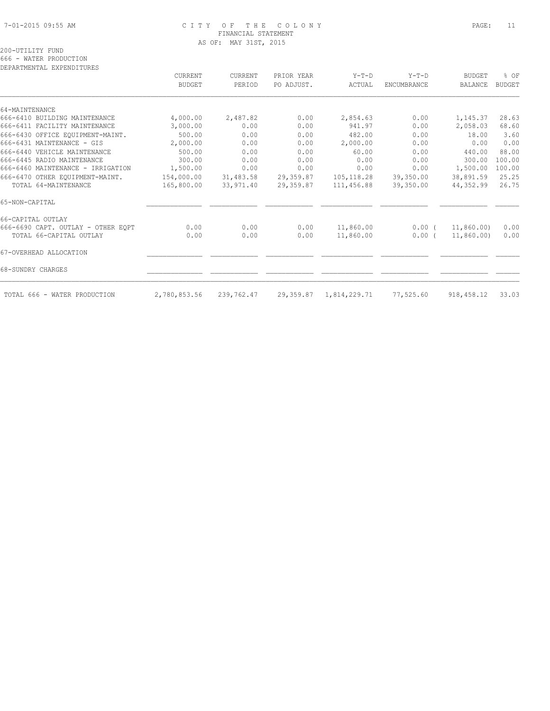#### 7-01-2015 09:55 AM C I T Y O F T H E C O L O N Y PAGE: 11 FINANCIAL STATEMENT AS OF: MAY 31ST, 2015

#### 200-UTILITY FUND 666 - WATER PRODUCTION

| ARI UNIMENIUM – RAT RIANI I ANRO   | CURRENT       | <b>CURRENT</b> | PRIOR YEAR | $Y-T-D$      | $Y-T-D$     | <b>BUDGET</b>  | % OF          |
|------------------------------------|---------------|----------------|------------|--------------|-------------|----------------|---------------|
|                                    | <b>BUDGET</b> | PERIOD         | PO ADJUST. | ACTUAL       | ENCUMBRANCE | <b>BALANCE</b> | <b>BUDGET</b> |
|                                    |               |                |            |              |             |                |               |
| 64-MAINTENANCE                     |               |                |            |              |             |                |               |
| 666-6410 BUILDING MAINTENANCE      | 4,000.00      | 2,487.82       | 0.00       | 2,854.63     | 0.00        | 1,145.37       | 28.63         |
| 666-6411 FACILITY MAINTENANCE      | 3,000.00      | 0.00           | 0.00       | 941.97       | 0.00        | 2,058.03       | 68.60         |
| 666-6430 OFFICE EQUIPMENT-MAINT.   | 500.00        | 0.00           | 0.00       | 482.00       | 0.00        | 18.00          | 3.60          |
| 666-6431 MAINTENANCE - GIS         | 2,000.00      | 0.00           | 0.00       | 2,000.00     | 0.00        | 0.00           | 0.00          |
| 666-6440 VEHICLE MAINTENANCE       | 500.00        | 0.00           | 0.00       | 60.00        | 0.00        | 440.00         | 88.00         |
| 666-6445 RADIO MAINTENANCE         | 300.00        | 0.00           | 0.00       | 0.00         | 0.00        | 300.00         | 100.00        |
| 666-6460 MAINTENANCE - IRRIGATION  | 1,500.00      | 0.00           | 0.00       | 0.00         | 0.00        | 1,500.00       | 100.00        |
| 666-6470 OTHER EQUIPMENT-MAINT.    | 154,000.00    | 31,483.58      | 29,359.87  | 105, 118.28  | 39,350.00   | 38,891.59      | 25.25         |
| TOTAL 64-MAINTENANCE               | 165,800.00    | 33,971.40      | 29,359.87  | 111,456.88   | 39,350.00   | 44,352.99      | 26.75         |
| 65-NON-CAPITAL                     |               |                |            |              |             |                |               |
| 66-CAPITAL OUTLAY                  |               |                |            |              |             |                |               |
| 666-6690 CAPT. OUTLAY - OTHER EOPT | 0.00          | 0.00           | 0.00       | 11,860.00    | $0.00$ $($  | 11,860.00)     | 0.00          |
| TOTAL 66-CAPITAL OUTLAY            | 0.00          | 0.00           | 0.00       | 11,860.00    | 0.00(       | 11,860.00)     | 0.00          |
| 67-OVERHEAD ALLOCATION             |               |                |            |              |             |                |               |
| 68-SUNDRY CHARGES                  |               |                |            |              |             |                |               |
| TOTAL 666 - WATER PRODUCTION       | 2,780,853.56  | 239,762.47     | 29,359.87  | 1,814,229.71 | 77,525.60   | 918,458.12     | 33.03         |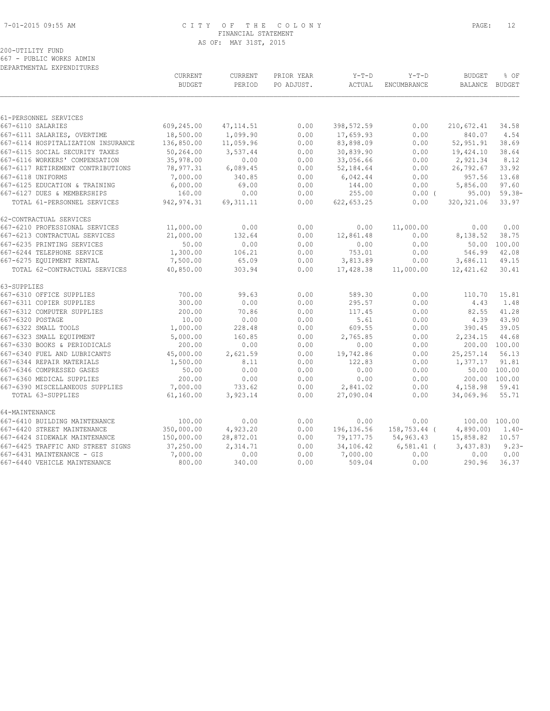# 7-01-2015 09:55 AM C I T Y O F T H E C O L O N Y PAGE: 12 FINANCIAL STATEMENT AS OF: MAY 31ST, 2015

200-UTILITY FUND 667 - PUBLIC WORKS ADMIN

|                                    | CURRENT<br><b>BUDGET</b> | CURRENT<br>PERIOD | PRIOR YEAR<br>PO ADJUST. | $Y-T-D$<br>ACTUAL | $Y-T-D$<br>ENCUMBRANCE | <b>BUDGET</b><br><b>BALANCE</b> | % OF<br><b>BUDGET</b> |
|------------------------------------|--------------------------|-------------------|--------------------------|-------------------|------------------------|---------------------------------|-----------------------|
|                                    |                          |                   |                          |                   |                        |                                 |                       |
| 61-PERSONNEL SERVICES              |                          |                   |                          |                   |                        |                                 |                       |
| 667-6110 SALARIES                  | 609,245.00               | 47, 114.51        | 0.00                     | 398, 572.59       | 0.00                   | 210,672.41                      | 34.58                 |
| 667-6111 SALARIES, OVERTIME        | 18,500.00                | 1,099.90          | 0.00                     | 17,659.93         | 0.00                   | 840.07                          | 4.54                  |
| 667-6114 HOSPITALIZATION INSURANCE | 136,850.00               | 11,059.96         | 0.00                     | 83,898.09         | 0.00                   | 52,951.91                       | 38.69                 |
| 667-6115 SOCIAL SECURITY TAXES     | 50,264.00                | 3,537.44          | 0.00                     | 30,839.90         | 0.00                   | 19,424.10                       | 38.64                 |
| 667-6116 WORKERS' COMPENSATION     | 35,978.00                | 0.00              | 0.00                     | 33,056.66         | 0.00                   | 2,921.34                        | 8.12                  |
| 667-6117 RETIREMENT CONTRIBUTIONS  | 78,977.31                | 6,089.45          | 0.00                     | 52,184.64         | 0.00                   | 26,792.67                       | 33.92                 |
| 667-6118 UNIFORMS                  | 7,000.00                 | 340.85            | 0.00                     | 6,042.44          | 0.00                   | 957.56                          | 13.68                 |
| 667-6125 EDUCATION & TRAINING      | 6,000.00                 | 69.00             | 0.00                     | 144.00            | 0.00                   | 5,856.00                        | 97.60                 |
| 667-6127 DUES & MEMBERSHIPS        | 160.00                   | 0.00              | 0.00                     | 255.00            | $0.00$ (               | 95.00                           | $59.38-$              |
| TOTAL 61-PERSONNEL SERVICES        | 942, 974.31              | 69, 311.11        | 0.00                     | 622,653.25        | 0.00                   | 320, 321.06                     | 33.97                 |
| 62-CONTRACTUAL SERVICES            |                          |                   |                          |                   |                        |                                 |                       |
| 667-6210 PROFESSIONAL SERVICES     | 11,000.00                | 0.00              | 0.00                     | 0.00              | 11,000.00              | 0.00                            | 0.00                  |
| 667-6213 CONTRACTUAL SERVICES      | 21,000.00                | 132.64            | 0.00                     | 12,861.48         | 0.00                   | 8,138.52                        | 38.75                 |
| 667-6235 PRINTING SERVICES         | 50.00                    | 0.00              | 0.00                     | 0.00              | 0.00                   | 50.00                           | 100.00                |
| 667-6244 TELEPHONE SERVICE         | 1,300.00                 | 106.21            | 0.00                     | 753.01            | 0.00                   | 546.99                          | 42.08                 |
| 667-6275 EQUIPMENT RENTAL          | 7,500.00                 | 65.09             | 0.00                     | 3,813.89          | 0.00                   | 3,686.11                        | 49.15                 |
| TOTAL 62-CONTRACTUAL SERVICES      | 40,850.00                | 303.94            | 0.00                     | 17,428.38         | 11,000.00              | 12,421.62                       | 30.41                 |
| 63-SUPPLIES                        |                          |                   |                          |                   |                        |                                 |                       |
| 667-6310 OFFICE SUPPLIES           | 700.00                   | 99.63             | 0.00                     | 589.30            | 0.00                   | 110.70                          | 15.81                 |
| 667-6311 COPIER SUPPLIES           | 300.00                   | 0.00              | 0.00                     | 295.57            | 0.00                   | 4.43                            | 1.48                  |
| 667-6312 COMPUTER SUPPLIES         | 200.00                   | 70.86             | 0.00                     | 117.45            | 0.00                   | 82.55                           | 41.28                 |
| 667-6320 POSTAGE                   | 10.00                    | 0.00              | 0.00                     | 5.61              | 0.00                   | 4.39                            | 43.90                 |
| 667-6322 SMALL TOOLS               | 1,000.00                 | 228.48            | 0.00                     | 609.55            | 0.00                   | 390.45                          | 39.05                 |
| 667-6323 SMALL EQUIPMENT           | 5,000.00                 | 160.85            | 0.00                     | 2,765.85          | 0.00                   | 2,234.15                        | 44.68                 |
| 667-6330 BOOKS & PERIODICALS       | 200.00                   | 0.00              | 0.00                     | 0.00              | 0.00                   | 200.00                          | 100.00                |
| 667-6340 FUEL AND LUBRICANTS       | 45,000.00                | 2,621.59          | 0.00                     | 19,742.86         | 0.00                   | 25, 257.14                      | 56.13                 |
| 667-6344 REPAIR MATERIALS          | 1,500.00                 | 8.11              | 0.00                     | 122.83            | 0.00                   | 1,377.17                        | 91.81                 |
| 667-6346 COMPRESSED GASES          | 50.00                    | 0.00              | 0.00                     | 0.00              | 0.00                   | 50.00                           | 100.00                |
| 667-6360 MEDICAL SUPPLIES          | 200.00                   | 0.00              | 0.00                     | 0.00              | 0.00                   | 200.00                          | 100.00                |
| 667-6390 MISCELLANEOUS SUPPLIES    | 7,000.00                 | 733.62            | 0.00                     | 2,841.02          | 0.00                   | 4,158.98                        | 59.41                 |
| TOTAL 63-SUPPLIES                  | 61,160.00                | 3,923.14          | 0.00                     | 27,090.04         | 0.00                   | 34,069.96                       | 55.71                 |
| 64-MAINTENANCE                     |                          |                   |                          |                   |                        |                                 |                       |
| 667-6410 BUILDING MAINTENANCE      | 100.00                   | 0.00              | 0.00                     | 0.00              | 0.00                   |                                 | 100.00 100.00         |
| 667-6420 STREET MAINTENANCE        | 350,000.00               | 4,923.20          | 0.00                     | 196, 136.56       | 158,753.44 (           | 4,890.00                        | $1.40-$               |
| 667-6424 SIDEWALK MAINTENANCE      | 150,000.00               | 28,872.01         | 0.00                     | 79,177.75         | 54,963.43              | 15,858.82                       | 10.57                 |
| 667-6425 TRAFFIC AND STREET SIGNS  | 37,250.00                | 2,314.71          | 0.00                     | 34,106.42         | $6,581.41$ (           | 3,437.83                        | $9.23 -$              |
| 667-6431 MAINTENANCE - GIS         | 7,000.00                 | 0.00              | 0.00                     | 7,000.00          | 0.00                   | 0.00                            | 0.00                  |
| 667-6440 VEHICLE MAINTENANCE       | 800.00                   | 340.00            | 0.00                     | 509.04            | 0.00                   | 290.96                          | 36.37                 |
|                                    |                          |                   |                          |                   |                        |                                 |                       |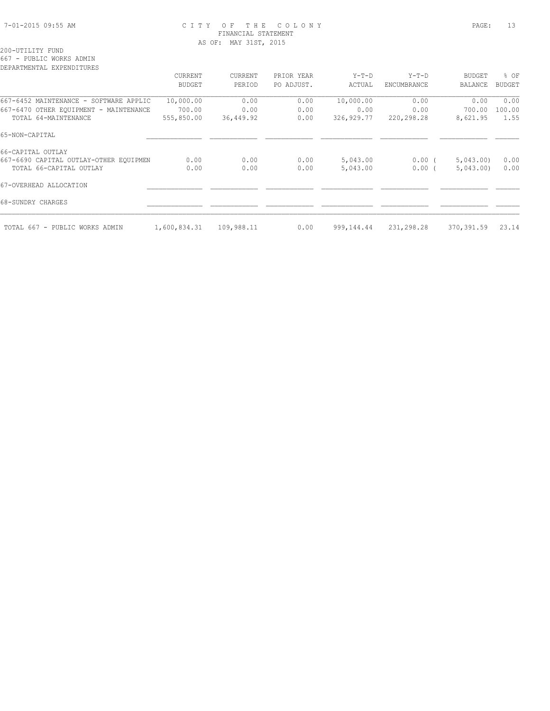# 7-01-2015 09:55 AM C I T Y O F T H E C O L O N Y PAGE: 13 FINANCIAL STATEMENT AS OF: MAY 31ST, 2015

#### 200-UTILITY FUND 667 - PUBLIC WORKS ADMIN

|                                        | CURRENT       | CURRENT    | PRIOR YEAR | $Y-T-D$    | $Y-T-D$     | <b>BUDGET</b>  | % OF          |
|----------------------------------------|---------------|------------|------------|------------|-------------|----------------|---------------|
|                                        | <b>BUDGET</b> | PERIOD     | PO ADJUST. | ACTUAL     | ENCUMBRANCE | <b>BALANCE</b> | <b>BUDGET</b> |
| 667-6452 MAINTENANCE - SOFTWARE APPLIC | 10,000.00     | 0.00       | 0.00       | 10,000.00  | 0.00        | 0.00           | 0.00          |
| 667-6470 OTHER EQUIPMENT - MAINTENANCE | 700.00        | 0.00       | 0.00       | 0.00       | 0.00        | 700.00         | 100.00        |
| TOTAL 64-MAINTENANCE                   | 555,850.00    | 36,449.92  | 0.00       | 326,929.77 | 220,298.28  | 8,621.95       | 1.55          |
| 65-NON-CAPITAL                         |               |            |            |            |             |                |               |
| 66-CAPITAL OUTLAY                      |               |            |            |            |             |                |               |
| 667-6690 CAPITAL OUTLAY-OTHER EQUIPMEN | 0.00          | 0.00       | 0.00       | 5,043.00   | $0.00$ (    | 5,043,00)      | 0.00          |
| TOTAL 66-CAPITAL OUTLAY                | 0.00          | 0.00       | 0.00       | 5,043.00   | $0.00$ (    | 5,043.00       | 0.00          |
| 67-OVERHEAD ALLOCATION                 |               |            |            |            |             |                |               |
| 68-SUNDRY CHARGES                      |               |            |            |            |             |                |               |
| TOTAL 667 - PUBLIC WORKS ADMIN         | 1,600,834.31  | 109,988.11 | 0.00       | 999,144.44 | 231,298.28  | 370,391.59     | 23.14         |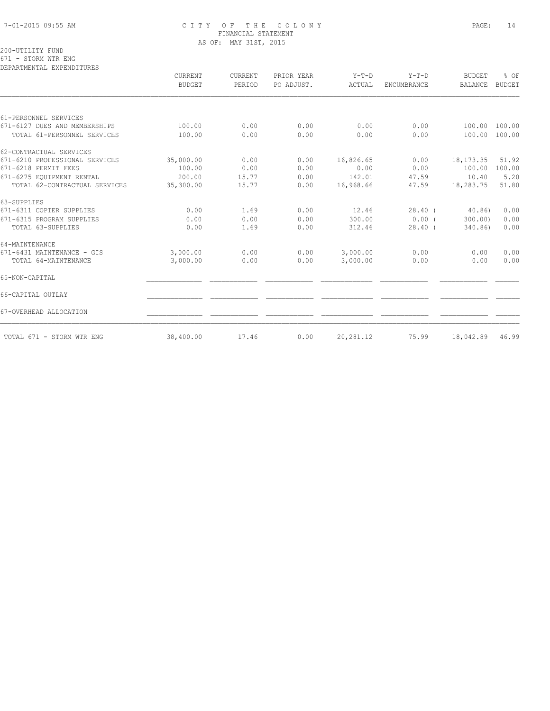# 7-01-2015 09:55 AM C I T Y O F T H E C O L O N Y PAGE: 14 FINANCIAL STATEMENT AS OF: MAY 31ST, 2015

200-UTILITY FUND 671 - STORM WTR ENG

|                                | CURRENT<br><b>BUDGET</b> | <b>CURRENT</b><br>PERIOD | PRIOR YEAR<br>PO ADJUST. | $Y-T-D$<br>ACTUAL | $Y-T-D$<br><b>ENCUMBRANCE</b> | <b>BUDGET</b><br><b>BALANCE</b> | % OF<br><b>BUDGET</b> |
|--------------------------------|--------------------------|--------------------------|--------------------------|-------------------|-------------------------------|---------------------------------|-----------------------|
|                                |                          |                          |                          |                   |                               |                                 |                       |
| 61-PERSONNEL SERVICES          |                          |                          |                          |                   |                               |                                 |                       |
| 671-6127 DUES AND MEMBERSHIPS  | 100.00                   | 0.00                     | 0.00                     | 0.00              | 0.00                          | 100.00                          | 100.00                |
| TOTAL 61-PERSONNEL SERVICES    | 100.00                   | 0.00                     | 0.00                     | 0.00              | 0.00                          | 100.00                          | 100.00                |
| 62-CONTRACTUAL SERVICES        |                          |                          |                          |                   |                               |                                 |                       |
| 671-6210 PROFESSIONAL SERVICES | 35,000.00                | 0.00                     | 0.00                     | 16,826.65         | 0.00                          | 18, 173. 35                     | 51.92                 |
| 671-6218 PERMIT FEES           | 100.00                   | 0.00                     | 0.00                     | 0.00              | 0.00                          | 100.00                          | 100.00                |
| 671-6275 EQUIPMENT RENTAL      | 200.00                   | 15.77                    | 0.00                     | 142.01            | 47.59                         | 10.40                           | 5.20                  |
| TOTAL 62-CONTRACTUAL SERVICES  | 35,300.00                | 15.77                    | 0.00                     | 16,968.66         | 47.59                         | 18,283.75                       | 51.80                 |
| 63-SUPPLIES                    |                          |                          |                          |                   |                               |                                 |                       |
| 671-6311 COPIER SUPPLIES       | 0.00                     | 1.69                     | 0.00                     | 12.46             | $28.40$ (                     | 40.86                           | 0.00                  |
| 671-6315 PROGRAM SUPPLIES      | 0.00                     | 0.00                     | 0.00                     | 300.00            | 0.00(                         | 300.00                          | 0.00                  |
| TOTAL 63-SUPPLIES              | 0.00                     | 1.69                     | 0.00                     | 312.46            | $28.40$ (                     | 340.86)                         | 0.00                  |
| 64-MAINTENANCE                 |                          |                          |                          |                   |                               |                                 |                       |
| 671-6431 MAINTENANCE - GIS     | 3,000.00                 | 0.00                     | 0.00                     | 3,000.00          | 0.00                          | 0.00                            | 0.00                  |
| TOTAL 64-MAINTENANCE           | 3,000.00                 | 0.00                     | 0.00                     | 3,000.00          | 0.00                          | 0.00                            | 0.00                  |
| 65-NON-CAPITAL                 |                          |                          |                          |                   |                               |                                 |                       |
| 66-CAPITAL OUTLAY              |                          |                          |                          |                   |                               |                                 |                       |
| 67-OVERHEAD ALLOCATION         |                          |                          |                          |                   |                               |                                 |                       |
| TOTAL 671 - STORM WTR ENG      | 38,400.00                | 17.46                    | 0.00                     | 20,281.12         | 75.99                         | 18,042.89                       | 46.99                 |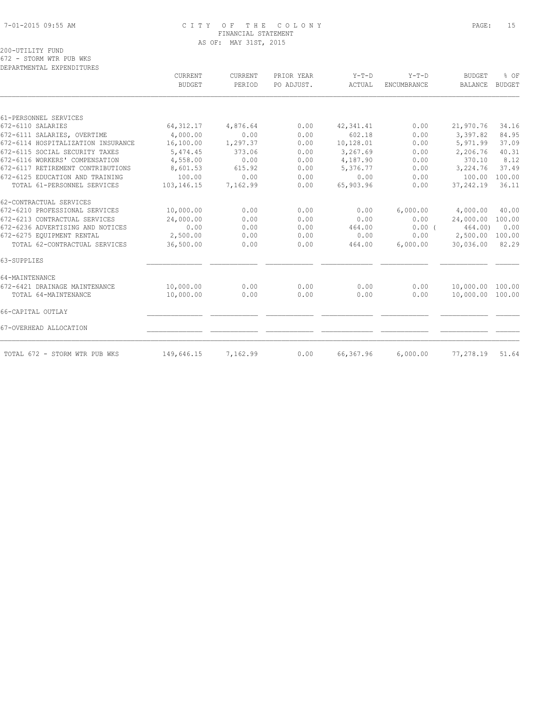# 7-01-2015 09:55 AM C I T Y O F T H E C O L O N Y PAGE: 15 FINANCIAL STATEMENT AS OF: MAY 31ST, 2015

|                                    | <b>CURRENT</b> | <b>CURRENT</b> | PRIOR YEAR | $Y-T-D$    | $Y-T-D$            | <b>BUDGET</b>    | % OF          |
|------------------------------------|----------------|----------------|------------|------------|--------------------|------------------|---------------|
|                                    | <b>BUDGET</b>  | PERIOD         | PO ADJUST. | ACTUAL     | <b>ENCUMBRANCE</b> | <b>BALANCE</b>   | <b>BUDGET</b> |
|                                    |                |                |            |            |                    |                  |               |
| 61-PERSONNEL SERVICES              |                |                |            |            |                    |                  |               |
| 672-6110 SALARIES                  | 64, 312.17     | 4,876.64       | 0.00       | 42, 341.41 | 0.00               | 21,970.76        | 34.16         |
| 672-6111 SALARIES, OVERTIME        | 4,000.00       | 0.00           | 0.00       | 602.18     | 0.00               | 3,397.82         | 84.95         |
| 672-6114 HOSPITALIZATION INSURANCE | 16,100.00      | 1,297.37       | 0.00       | 10,128.01  | 0.00               | 5,971.99         | 37.09         |
| 672-6115 SOCIAL SECURITY TAXES     | 5,474.45       | 373.06         | 0.00       | 3,267.69   | 0.00               | 2,206.76         | 40.31         |
| 672-6116 WORKERS' COMPENSATION     | 4,558.00       | 0.00           | 0.00       | 4,187.90   | 0.00               | 370.10           | 8.12          |
| 672-6117 RETIREMENT CONTRIBUTIONS  | 8,601.53       | 615.92         | 0.00       | 5,376.77   | 0.00               | 3,224.76         | 37.49         |
| 672-6125 EDUCATION AND TRAINING    | 100.00         | 0.00           | 0.00       | 0.00       | 0.00               | 100.00           | 100.00        |
| TOTAL 61-PERSONNEL SERVICES        | 103,146.15     | 7,162.99       | 0.00       | 65,903.96  | 0.00               | 37,242.19        | 36.11         |
| 62-CONTRACTUAL SERVICES            |                |                |            |            |                    |                  |               |
| 672-6210 PROFESSIONAL SERVICES     | 10,000.00      | 0.00           | 0.00       | 0.00       | 6,000.00           | 4,000.00         | 40.00         |
| 672-6213 CONTRACTUAL SERVICES      | 24,000.00      | 0.00           | 0.00       | 0.00       | 0.00               | 24,000.00        | 100.00        |
| 672-6236 ADVERTISING AND NOTICES   | 0.00           | 0.00           | 0.00       | 464.00     | $0.00$ (           | 464.00)          | 0.00          |
| 672-6275 EQUIPMENT RENTAL          | 2,500.00       | 0.00           | 0.00       | 0.00       | 0.00               | 2,500.00         | 100.00        |
| TOTAL 62-CONTRACTUAL SERVICES      | 36,500.00      | 0.00           | 0.00       | 464.00     | 6,000.00           | 30,036.00        | 82.29         |
| 63-SUPPLIES                        |                |                |            |            |                    |                  |               |
| 64-MAINTENANCE                     |                |                |            |            |                    |                  |               |
| 672-6421 DRAINAGE MAINTENANCE      | 10,000.00      | 0.00           | 0.00       | 0.00       | 0.00               | 10,000.00 100.00 |               |
| TOTAL 64-MAINTENANCE               | 10,000.00      | 0.00           | 0.00       | 0.00       | 0.00               | 10,000.00 100.00 |               |
| 66-CAPITAL OUTLAY                  |                |                |            |            |                    |                  |               |
| 67-OVERHEAD ALLOCATION             |                |                |            |            |                    |                  |               |
| TOTAL 672 - STORM WTR PUB WKS      | 149,646.15     | 7,162.99       | 0.00       | 66,367.96  | 6,000.00           | 77,278.19        | 51.64         |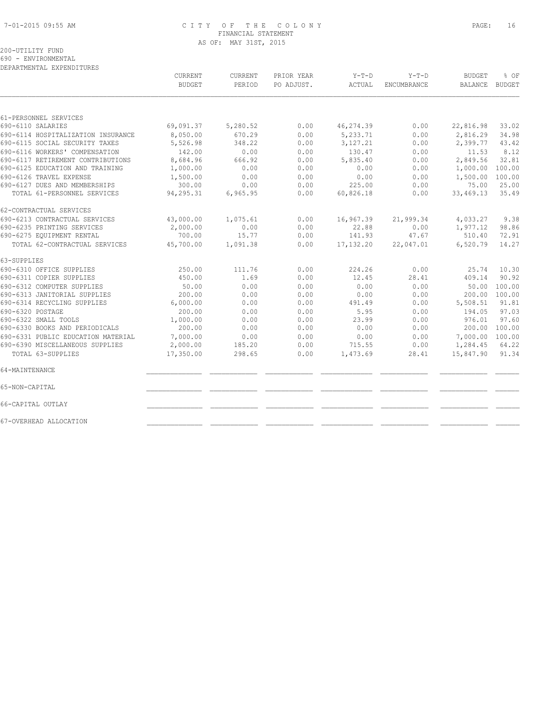#### 7-01-2015 09:55 AM C I T Y O F T H E C O L O N Y PAGE: 16 FINANCIAL STATEMENT AS OF: MAY 31ST, 2015

# 200-UTILITY FUND

690 - ENVIRONMENTAL

| DEPARTMENTAL EXPENDITURES          |               |                |            |             | $Y-T-D$     | <b>BUDGET</b> | % OF   |
|------------------------------------|---------------|----------------|------------|-------------|-------------|---------------|--------|
|                                    | CURRENT       | <b>CURRENT</b> | PRIOR YEAR | Y-T-D       |             |               |        |
|                                    | <b>BUDGET</b> | PERIOD         | PO ADJUST. | ACTUAL      | ENCUMBRANCE | BALANCE       | BUDGET |
|                                    |               |                |            |             |             |               |        |
| 61-PERSONNEL SERVICES              |               |                |            |             |             |               |        |
| 690-6110 SALARIES                  | 69,091.37     | 5,280.52       | 0.00       | 46,274.39   | 0.00        | 22,816.98     | 33.02  |
| 690-6114 HOSPITALIZATION INSURANCE | 8,050.00      | 670.29         | 0.00       | 5,233.71    | 0.00        | 2,816.29      | 34.98  |
| 690-6115 SOCIAL SECURITY TAXES     | 5,526.98      | 348.22         | 0.00       | 3,127.21    | 0.00        | 2,399.77      | 43.42  |
| 690-6116 WORKERS' COMPENSATION     | 142.00        | 0.00           | 0.00       | 130.47      | 0.00        | 11.53         | 8.12   |
| 690-6117 RETIREMENT CONTRIBUTIONS  | 8,684.96      | 666.92         | 0.00       | 5,835.40    | 0.00        | 2,849.56      | 32.81  |
| 690-6125 EDUCATION AND TRAINING    | 1,000.00      | 0.00           | 0.00       | 0.00        | 0.00        | 1,000.00      | 100.00 |
| 690-6126 TRAVEL EXPENSE            | 1,500.00      | 0.00           | 0.00       | 0.00        | 0.00        | 1,500.00      | 100.00 |
| 690-6127 DUES AND MEMBERSHIPS      | 300.00        | 0.00           | 0.00       | 225.00      | 0.00        | 75.00         | 25.00  |
| TOTAL 61-PERSONNEL SERVICES        | 94,295.31     | 6,965.95       | 0.00       | 60,826.18   | 0.00        | 33,469.13     | 35.49  |
| 62-CONTRACTUAL SERVICES            |               |                |            |             |             |               |        |
| 690-6213 CONTRACTUAL SERVICES      | 43,000.00     | 1,075.61       | 0.00       | 16,967.39   | 21,999.34   | 4,033.27      | 9.38   |
| 690-6235 PRINTING SERVICES         | 2,000.00      | 0.00           | 0.00       | 22.88       | 0.00        | 1,977.12      | 98.86  |
| 690-6275 EQUIPMENT RENTAL          | 700.00        | 15.77          | 0.00       | 141.93      | 47.67       | 510.40        | 72.91  |
| TOTAL 62-CONTRACTUAL SERVICES      | 45,700.00     | 1,091.38       | 0.00       | 17, 132, 20 | 22,047.01   | 6,520.79      | 14.27  |
| 63-SUPPLIES                        |               |                |            |             |             |               |        |
| 690-6310 OFFICE SUPPLIES           | 250.00        | 111.76         | 0.00       | 224.26      | 0.00        | 25.74         | 10.30  |
| 690-6311 COPIER SUPPLIES           | 450.00        | 1.69           | 0.00       | 12.45       | 28.41       | 409.14        | 90.92  |
| 690-6312 COMPUTER SUPPLIES         | 50.00         | 0.00           | 0.00       | 0.00        | 0.00        | 50.00         | 100.00 |
| 690-6313 JANITORIAL SUPPLIES       | 200.00        | 0.00           | 0.00       | 0.00        | 0.00        | 200.00        | 100.00 |
| 690-6314 RECYCLING SUPPLIES        | 6,000.00      | 0.00           | 0.00       | 491.49      | 0.00        | 5,508.51      | 91.81  |
| 690-6320 POSTAGE                   | 200.00        | 0.00           | 0.00       | 5.95        | 0.00        | 194.05        | 97.03  |
| 690-6322 SMALL TOOLS               | 1,000.00      | 0.00           | 0.00       | 23.99       | 0.00        | 976.01        | 97.60  |
| 690-6330 BOOKS AND PERIODICALS     | 200.00        | 0.00           | 0.00       | 0.00        | 0.00        | 200.00        | 100.00 |
| 690-6331 PUBLIC EDUCATION MATERIAL | 7,000.00      | 0.00           | 0.00       | 0.00        | 0.00        | 7,000.00      | 100.00 |
| 690-6390 MISCELLANEOUS SUPPLIES    | 2,000.00      | 185.20         | 0.00       | 715.55      | 0.00        | 1,284.45      | 64.22  |
| TOTAL 63-SUPPLIES                  | 17,350.00     | 298.65         | 0.00       | 1,473.69    | 28.41       | 15,847.90     | 91.34  |
| 64-MAINTENANCE                     |               |                |            |             |             |               |        |
| 65-NON-CAPITAL                     |               |                |            |             |             |               |        |
| 66-CAPITAL OUTLAY                  |               |                |            |             |             |               |        |
| 67-OVERHEAD ALLOCATION             |               |                |            |             |             |               |        |
|                                    |               |                |            |             |             |               |        |